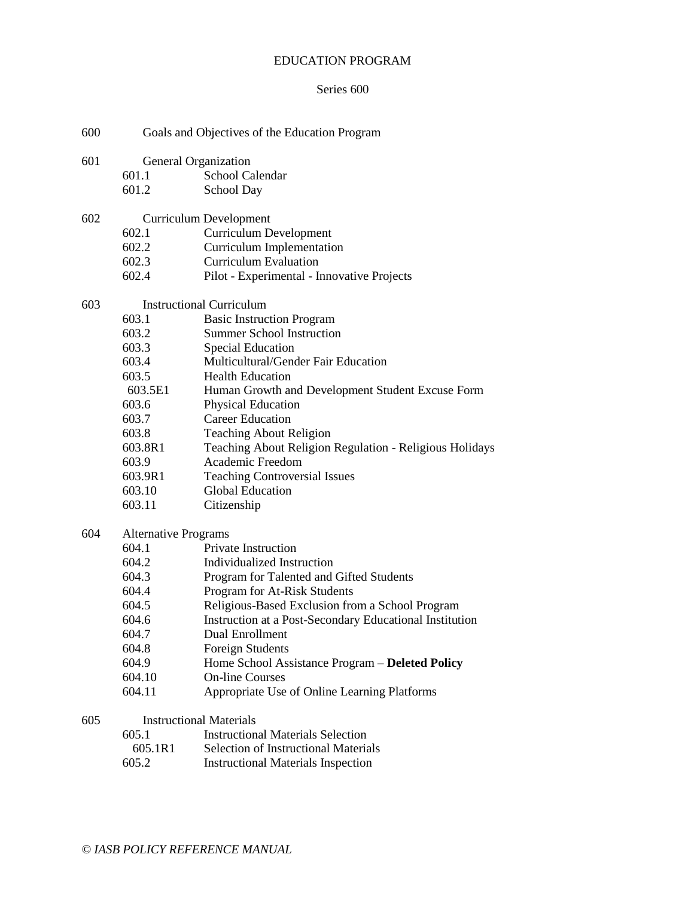#### EDUCATION PROGRAM

### Series 600

- 600 Goals and Objectives of the Education Program
- 601 General Organization
	- 601.1 School Calendar
	- 601.2 School Day
- 602 Curriculum Development
	- 602.1 Curriculum Development
	- 602.2 Curriculum Implementation
	- 602.3 Curriculum Evaluation
	- 602.4 Pilot Experimental Innovative Projects

#### 603 Instructional Curriculum

- 603.1 Basic Instruction Program
- 603.2 Summer School Instruction
- 603.3 Special Education
- 603.4 Multicultural/Gender Fair Education
- 603.5 Health Education
- 603.5E1 Human Growth and Development Student Excuse Form
- 603.6 Physical Education
- 603.7 Career Education
- 603.8 Teaching About Religion
- 603.8R1 Teaching About Religion Regulation Religious Holidays
- 603.9 Academic Freedom
- 603.9R1 Teaching Controversial Issues
- 603.10 Global Education
- 603.11 Citizenship

### 604 Alternative Programs

- 604.1 Private Instruction
- 604.2 Individualized Instruction
- 604.3 Program for Talented and Gifted Students
- 604.4 Program for At-Risk Students
- 604.5 Religious-Based Exclusion from a School Program
- 604.6 Instruction at a Post-Secondary Educational Institution
- 604.7 Dual Enrollment
- 604.8 Foreign Students
- 604.9 Home School Assistance Program **Deleted Policy**
- 604.10 On-line Courses
- 604.11 Appropriate Use of Online Learning Platforms

#### 605 Instructional Materials

- 605.1 Instructional Materials Selection
- 605.1R1 Selection of Instructional Materials
- 605.2 Instructional Materials Inspection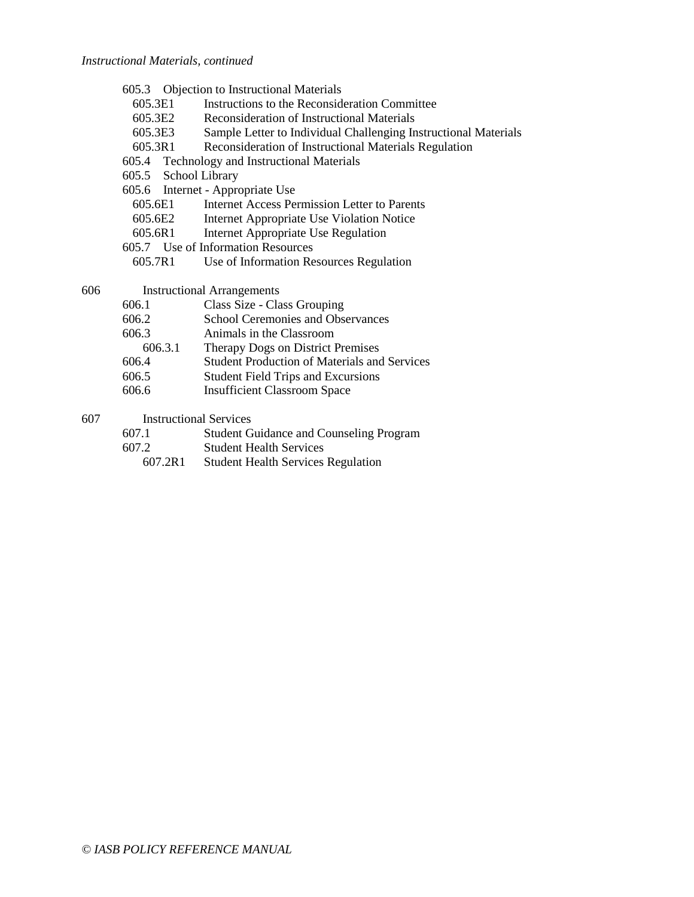#### *Instructional Materials, continued*

| 605.3 |  | <b>Objection to Instructional Materials</b> |  |
|-------|--|---------------------------------------------|--|
|-------|--|---------------------------------------------|--|

- 605.3E1 Instructions to the Reconsideration Committee
- 605.3E2 Reconsideration of Instructional Materials
- 605.3E3 Sample Letter to Individual Challenging Instructional Materials
- 605.3R1 Reconsideration of Instructional Materials Regulation
- 605.4 Technology and Instructional Materials
- 605.5 School Library
- 605.6 Internet Appropriate Use
	- 605.6E1 Internet Access Permission Letter to Parents
	- 605.6E2 Internet Appropriate Use Violation Notice
	- 605.6R1 Internet Appropriate Use Regulation
- 605.7 Use of Information Resources
	- 605.7R1 Use of Information Resources Regulation

606 Instructional Arrangements

| 606.1 | Class Size - Class Grouping |
|-------|-----------------------------|
|-------|-----------------------------|

- 606.2 School Ceremonies and Observances
- 606.3 Animals in the Classroom
- 606.3.1 Therapy Dogs on District Premises
- 606.4 Student Production of Materials and Services
- 606.5 Student Field Trips and Excursions
- 606.6 Insufficient Classroom Space

### 607 Instructional Services

- 607.1 Student Guidance and Counseling Program
- 607.2 Student Health Services
	- 607.2R1 Student Health Services Regulation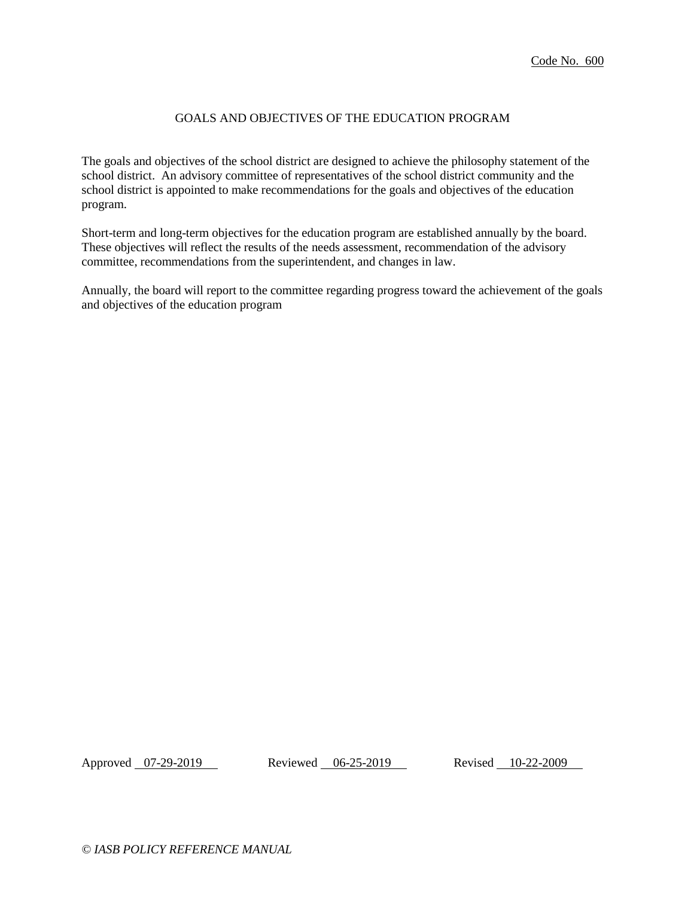# GOALS AND OBJECTIVES OF THE EDUCATION PROGRAM

The goals and objectives of the school district are designed to achieve the philosophy statement of the school district. An advisory committee of representatives of the school district community and the school district is appointed to make recommendations for the goals and objectives of the education program.

Short-term and long-term objectives for the education program are established annually by the board. These objectives will reflect the results of the needs assessment, recommendation of the advisory committee, recommendations from the superintendent, and changes in law.

Annually, the board will report to the committee regarding progress toward the achievement of the goals and objectives of the education program

Approved 07-29-2019 Reviewed 06-25-2019 Revised 10-22-2009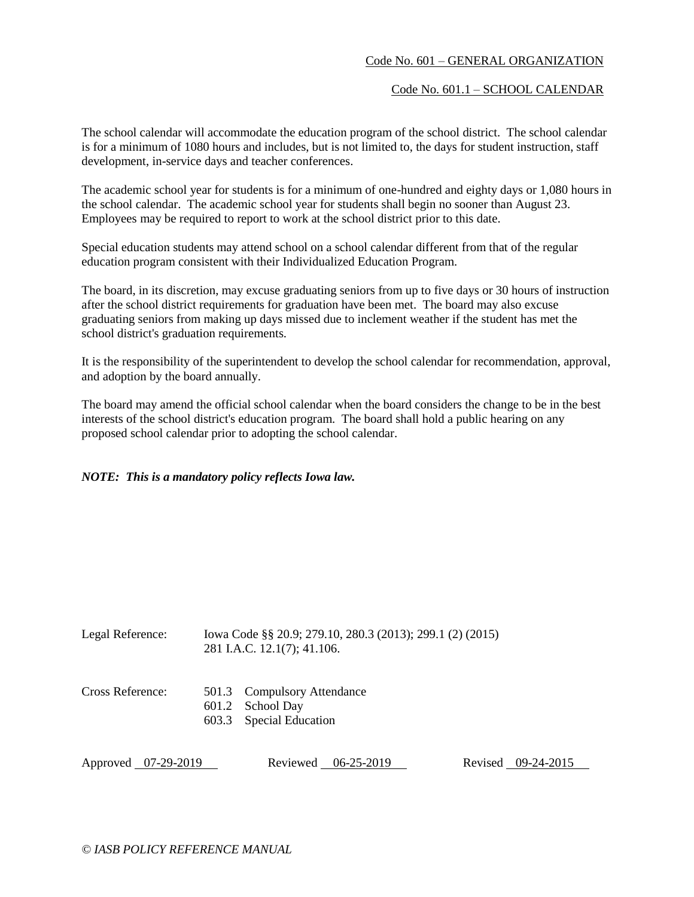## Code No. 601 – GENERAL ORGANIZATION

Code No. 601.1 – SCHOOL CALENDAR

The school calendar will accommodate the education program of the school district. The school calendar is for a minimum of 1080 hours and includes, but is not limited to, the days for student instruction, staff development, in-service days and teacher conferences.

The academic school year for students is for a minimum of one-hundred and eighty days or 1,080 hours in the school calendar. The academic school year for students shall begin no sooner than August 23. Employees may be required to report to work at the school district prior to this date.

Special education students may attend school on a school calendar different from that of the regular education program consistent with their Individualized Education Program.

The board, in its discretion, may excuse graduating seniors from up to five days or 30 hours of instruction after the school district requirements for graduation have been met. The board may also excuse graduating seniors from making up days missed due to inclement weather if the student has met the school district's graduation requirements.

It is the responsibility of the superintendent to develop the school calendar for recommendation, approval, and adoption by the board annually.

The board may amend the official school calendar when the board considers the change to be in the best interests of the school district's education program. The board shall hold a public hearing on any proposed school calendar prior to adopting the school calendar.

## *NOTE: This is a mandatory policy reflects Iowa law.*

| Legal Reference:    | Iowa Code §§ 20.9; 279.10, 280.3 (2013); 299.1 (2) (2015)<br>281 I.A.C. 12.1(7); 41.106. |  |                    |
|---------------------|------------------------------------------------------------------------------------------|--|--------------------|
| Cross Reference:    | 501.3 Compulsory Attendance<br>601.2 School Day<br>603.3 Special Education               |  |                    |
| Approved 07-29-2019 | Reviewed 06-25-2019                                                                      |  | Revised 09-24-2015 |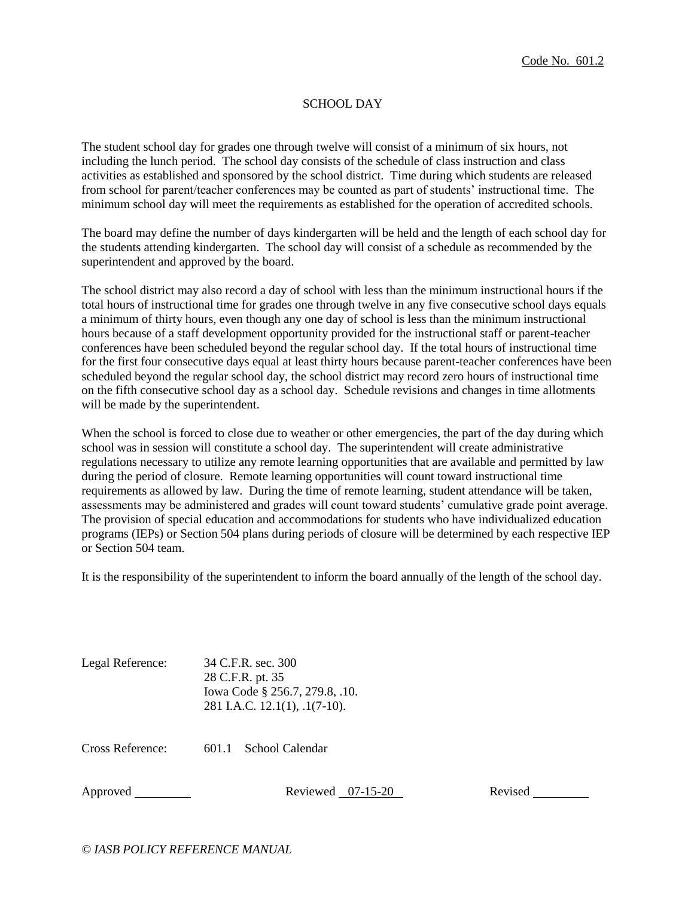## SCHOOL DAY

The student school day for grades one through twelve will consist of a minimum of six hours, not including the lunch period. The school day consists of the schedule of class instruction and class activities as established and sponsored by the school district. Time during which students are released from school for parent/teacher conferences may be counted as part of students' instructional time. The minimum school day will meet the requirements as established for the operation of accredited schools.

The board may define the number of days kindergarten will be held and the length of each school day for the students attending kindergarten. The school day will consist of a schedule as recommended by the superintendent and approved by the board.

The school district may also record a day of school with less than the minimum instructional hours if the total hours of instructional time for grades one through twelve in any five consecutive school days equals a minimum of thirty hours, even though any one day of school is less than the minimum instructional hours because of a staff development opportunity provided for the instructional staff or parent-teacher conferences have been scheduled beyond the regular school day. If the total hours of instructional time for the first four consecutive days equal at least thirty hours because parent-teacher conferences have been scheduled beyond the regular school day, the school district may record zero hours of instructional time on the fifth consecutive school day as a school day. Schedule revisions and changes in time allotments will be made by the superintendent.

When the school is forced to close due to weather or other emergencies, the part of the day during which school was in session will constitute a school day. The superintendent will create administrative regulations necessary to utilize any remote learning opportunities that are available and permitted by law during the period of closure. Remote learning opportunities will count toward instructional time requirements as allowed by law. During the time of remote learning, student attendance will be taken, assessments may be administered and grades will count toward students' cumulative grade point average. The provision of special education and accommodations for students who have individualized education programs (IEPs) or Section 504 plans during periods of closure will be determined by each respective IEP or Section 504 team.

It is the responsibility of the superintendent to inform the board annually of the length of the school day.

| Legal Reference: | 34 C.F.R. sec. 300                    |
|------------------|---------------------------------------|
|                  | 28 C.F.R. pt. 35                      |
|                  | Iowa Code § 256.7, 279.8, .10.        |
|                  | 281 I.A.C. 12.1(1), $\ldots$ 1(7-10). |

Cross Reference: 601.1 School Calendar

Approved Reviewed 07-15-20 Revised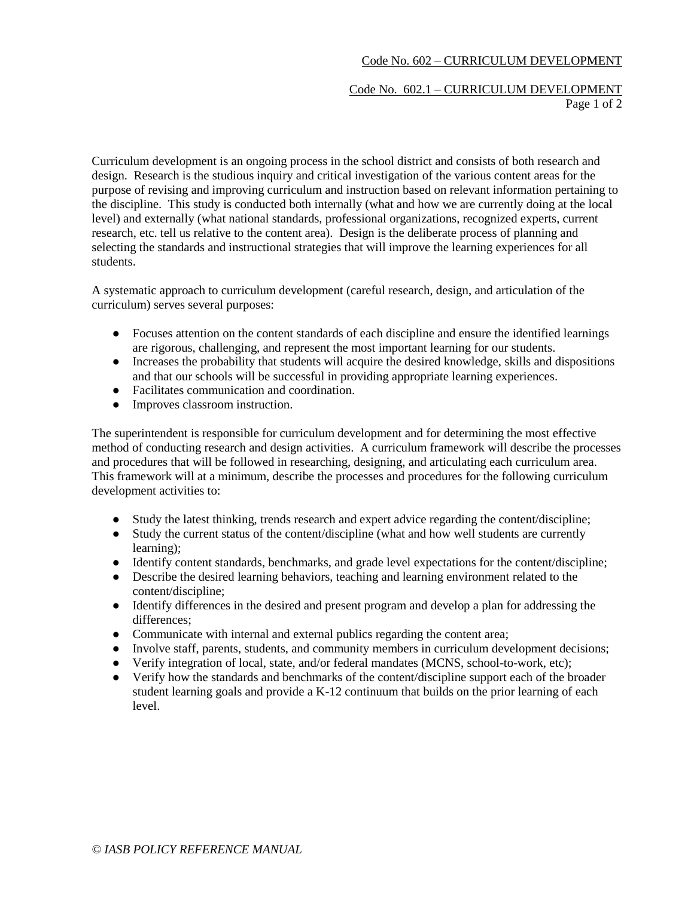# Code No. 602 – CURRICULUM DEVELOPMENT

### Code No. 602.1 – CURRICULUM DEVELOPMENT Page 1 of 2

Curriculum development is an ongoing process in the school district and consists of both research and design. Research is the studious inquiry and critical investigation of the various content areas for the purpose of revising and improving curriculum and instruction based on relevant information pertaining to the discipline. This study is conducted both internally (what and how we are currently doing at the local level) and externally (what national standards, professional organizations, recognized experts, current research, etc. tell us relative to the content area). Design is the deliberate process of planning and selecting the standards and instructional strategies that will improve the learning experiences for all students.

A systematic approach to curriculum development (careful research, design, and articulation of the curriculum) serves several purposes:

- Focuses attention on the content standards of each discipline and ensure the identified learnings are rigorous, challenging, and represent the most important learning for our students.
- Increases the probability that students will acquire the desired knowledge, skills and dispositions and that our schools will be successful in providing appropriate learning experiences.
- Facilitates communication and coordination.
- Improves classroom instruction.

The superintendent is responsible for curriculum development and for determining the most effective method of conducting research and design activities. A curriculum framework will describe the processes and procedures that will be followed in researching, designing, and articulating each curriculum area. This framework will at a minimum, describe the processes and procedures for the following curriculum development activities to:

- Study the latest thinking, trends research and expert advice regarding the content/discipline;
- Study the current status of the content/discipline (what and how well students are currently learning);
- Identify content standards, benchmarks, and grade level expectations for the content/discipline;
- Describe the desired learning behaviors, teaching and learning environment related to the content/discipline;
- Identify differences in the desired and present program and develop a plan for addressing the differences;
- Communicate with internal and external publics regarding the content area;
- Involve staff, parents, students, and community members in curriculum development decisions;
- Verify integration of local, state, and/or federal mandates (MCNS, school-to-work, etc);
- Verify how the standards and benchmarks of the content/discipline support each of the broader student learning goals and provide a K-12 continuum that builds on the prior learning of each level.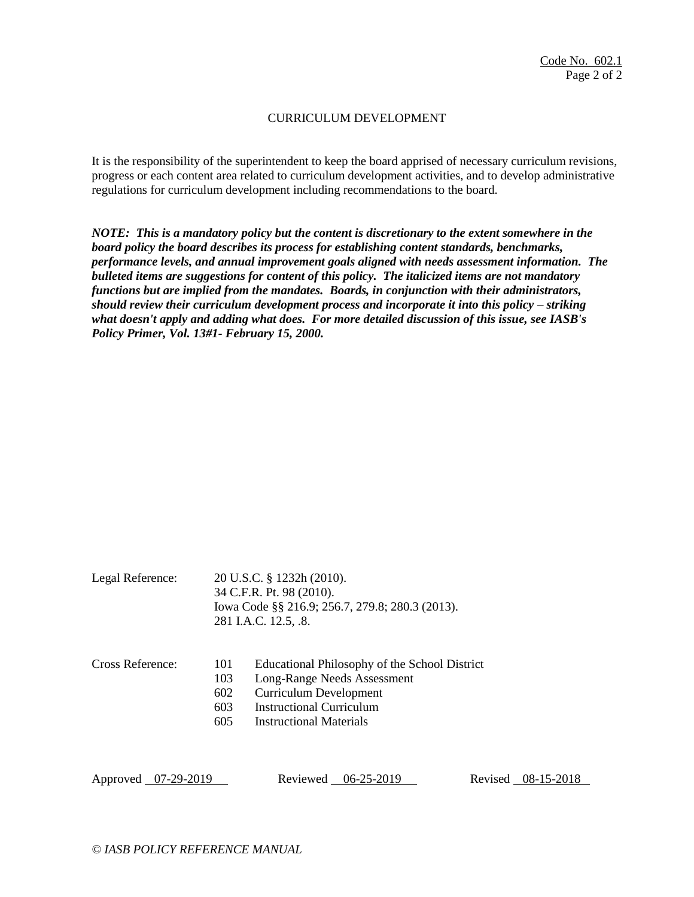## CURRICULUM DEVELOPMENT

It is the responsibility of the superintendent to keep the board apprised of necessary curriculum revisions, progress or each content area related to curriculum development activities, and to develop administrative regulations for curriculum development including recommendations to the board.

*NOTE: This is a mandatory policy but the content is discretionary to the extent somewhere in the board policy the board describes its process for establishing content standards, benchmarks, performance levels, and annual improvement goals aligned with needs assessment information. The bulleted items are suggestions for content of this policy. The italicized items are not mandatory functions but are implied from the mandates. Boards, in conjunction with their administrators, should review their curriculum development process and incorporate it into this policy – striking what doesn't apply and adding what does. For more detailed discussion of this issue, see IASB's Policy Primer, Vol. 13#1- February 15, 2000.*

| Legal Reference: | 20 U.S.C. § 1232h (2010).<br>34 C.F.R. Pt. 98 (2010).<br>Iowa Code §§ 216.9; 256.7, 279.8; 280.3 (2013).<br>281 I.A.C. 12.5, .8. |                                                                                                                                                                             |
|------------------|----------------------------------------------------------------------------------------------------------------------------------|-----------------------------------------------------------------------------------------------------------------------------------------------------------------------------|
| Cross Reference: | 101<br>103<br>602<br>603<br>605                                                                                                  | Educational Philosophy of the School District<br>Long-Range Needs Assessment<br><b>Curriculum Development</b><br>Instructional Curriculum<br><b>Instructional Materials</b> |

Approved 07-29-2019 Reviewed 06-25-2019 Revised 08-15-2018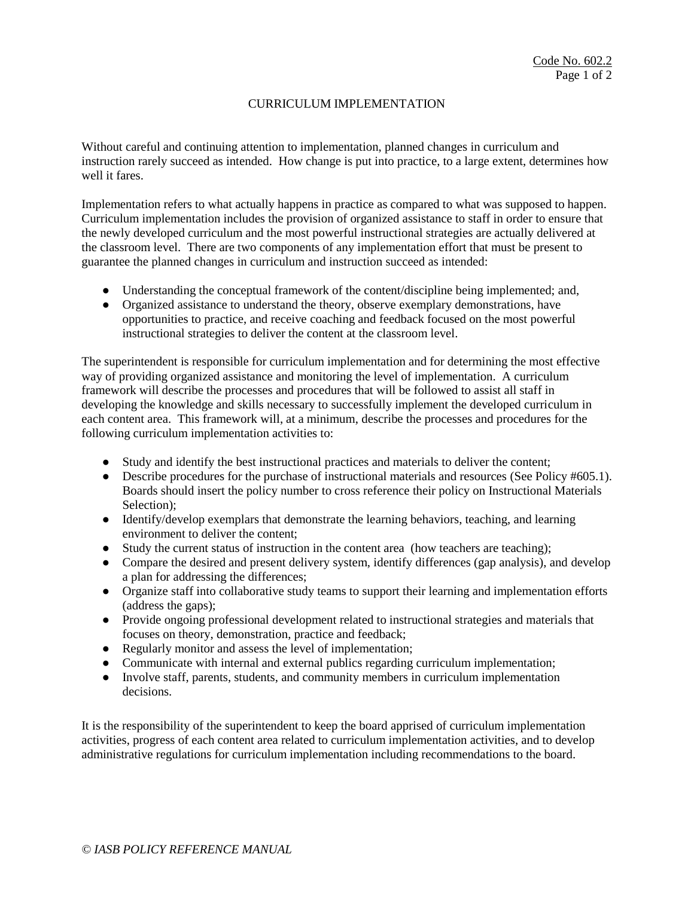## CURRICULUM IMPLEMENTATION

Without careful and continuing attention to implementation, planned changes in curriculum and instruction rarely succeed as intended. How change is put into practice, to a large extent, determines how well it fares.

Implementation refers to what actually happens in practice as compared to what was supposed to happen. Curriculum implementation includes the provision of organized assistance to staff in order to ensure that the newly developed curriculum and the most powerful instructional strategies are actually delivered at the classroom level. There are two components of any implementation effort that must be present to guarantee the planned changes in curriculum and instruction succeed as intended:

- Understanding the conceptual framework of the content/discipline being implemented; and,
- Organized assistance to understand the theory, observe exemplary demonstrations, have opportunities to practice, and receive coaching and feedback focused on the most powerful instructional strategies to deliver the content at the classroom level.

The superintendent is responsible for curriculum implementation and for determining the most effective way of providing organized assistance and monitoring the level of implementation. A curriculum framework will describe the processes and procedures that will be followed to assist all staff in developing the knowledge and skills necessary to successfully implement the developed curriculum in each content area. This framework will, at a minimum, describe the processes and procedures for the following curriculum implementation activities to:

- Study and identify the best instructional practices and materials to deliver the content;
- Describe procedures for the purchase of instructional materials and resources (See Policy #605.1). Boards should insert the policy number to cross reference their policy on Instructional Materials Selection):
- Identify/develop exemplars that demonstrate the learning behaviors, teaching, and learning environment to deliver the content;
- Study the current status of instruction in the content area (how teachers are teaching);
- Compare the desired and present delivery system, identify differences (gap analysis), and develop a plan for addressing the differences;
- Organize staff into collaborative study teams to support their learning and implementation efforts (address the gaps);
- Provide ongoing professional development related to instructional strategies and materials that focuses on theory, demonstration, practice and feedback;
- Regularly monitor and assess the level of implementation;
- Communicate with internal and external publics regarding curriculum implementation;
- Involve staff, parents, students, and community members in curriculum implementation decisions.

It is the responsibility of the superintendent to keep the board apprised of curriculum implementation activities, progress of each content area related to curriculum implementation activities, and to develop administrative regulations for curriculum implementation including recommendations to the board.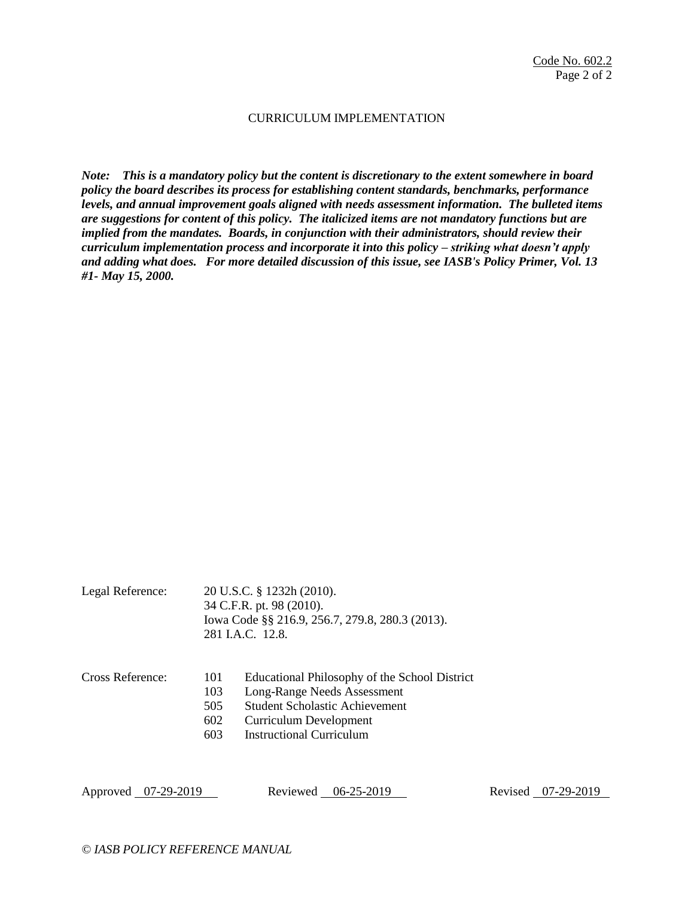### CURRICULUM IMPLEMENTATION

*Note: This is a mandatory policy but the content is discretionary to the extent somewhere in board policy the board describes its process for establishing content standards, benchmarks, performance levels, and annual improvement goals aligned with needs assessment information. The bulleted items are suggestions for content of this policy. The italicized items are not mandatory functions but are implied from the mandates. Boards, in conjunction with their administrators, should review their curriculum implementation process and incorporate it into this policy – striking what doesn't apply and adding what does. For more detailed discussion of this issue, see IASB's Policy Primer, Vol. 13 #1- May 15, 2000.*

|                  |     | 34 C.F.K. pt. 98 (2010).<br>Iowa Code §§ 216.9, 256.7, 279.8, 280.3 (2013).<br>281 I.A.C. 12.8. |
|------------------|-----|-------------------------------------------------------------------------------------------------|
| Cross Reference: | 101 | Educational Philosophy of the School District                                                   |
|                  | 103 | Long-Range Needs Assessment                                                                     |
|                  | 505 | <b>Student Scholastic Achievement</b>                                                           |
|                  | 602 | <b>Curriculum Development</b>                                                                   |
|                  | 603 | <b>Instructional Curriculum</b>                                                                 |

 $24$  C.F.R.  $_{24}$  08 (2010).

Approved 07-29-2019 Reviewed 06-25-2019 Revised 07-29-2019

Legal Reference: 20 U.S.C. § 1232h (2010).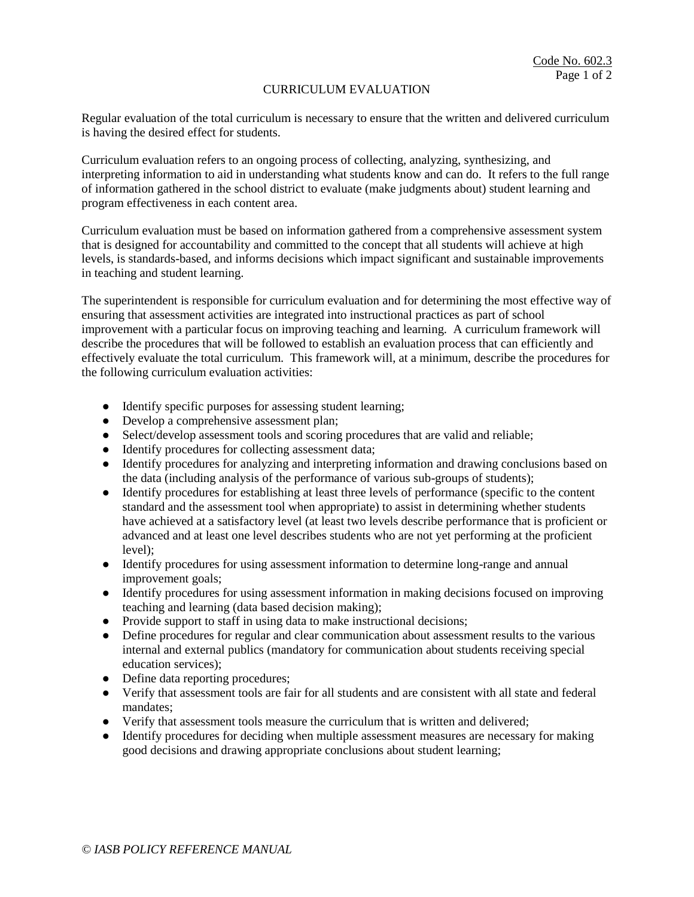#### CURRICULUM EVALUATION

Regular evaluation of the total curriculum is necessary to ensure that the written and delivered curriculum is having the desired effect for students.

Curriculum evaluation refers to an ongoing process of collecting, analyzing, synthesizing, and interpreting information to aid in understanding what students know and can do. It refers to the full range of information gathered in the school district to evaluate (make judgments about) student learning and program effectiveness in each content area.

Curriculum evaluation must be based on information gathered from a comprehensive assessment system that is designed for accountability and committed to the concept that all students will achieve at high levels, is standards-based, and informs decisions which impact significant and sustainable improvements in teaching and student learning.

The superintendent is responsible for curriculum evaluation and for determining the most effective way of ensuring that assessment activities are integrated into instructional practices as part of school improvement with a particular focus on improving teaching and learning. A curriculum framework will describe the procedures that will be followed to establish an evaluation process that can efficiently and effectively evaluate the total curriculum. This framework will, at a minimum, describe the procedures for the following curriculum evaluation activities:

- Identify specific purposes for assessing student learning;
- Develop a comprehensive assessment plan;
- Select/develop assessment tools and scoring procedures that are valid and reliable;
- Identify procedures for collecting assessment data;
- Identify procedures for analyzing and interpreting information and drawing conclusions based on the data (including analysis of the performance of various sub-groups of students);
- Identify procedures for establishing at least three levels of performance (specific to the content standard and the assessment tool when appropriate) to assist in determining whether students have achieved at a satisfactory level (at least two levels describe performance that is proficient or advanced and at least one level describes students who are not yet performing at the proficient level);
- Identify procedures for using assessment information to determine long-range and annual improvement goals;
- Identify procedures for using assessment information in making decisions focused on improving teaching and learning (data based decision making);
- Provide support to staff in using data to make instructional decisions;
- Define procedures for regular and clear communication about assessment results to the various internal and external publics (mandatory for communication about students receiving special education services);
- Define data reporting procedures;
- Verify that assessment tools are fair for all students and are consistent with all state and federal mandates;
- Verify that assessment tools measure the curriculum that is written and delivered;
- Identify procedures for deciding when multiple assessment measures are necessary for making good decisions and drawing appropriate conclusions about student learning;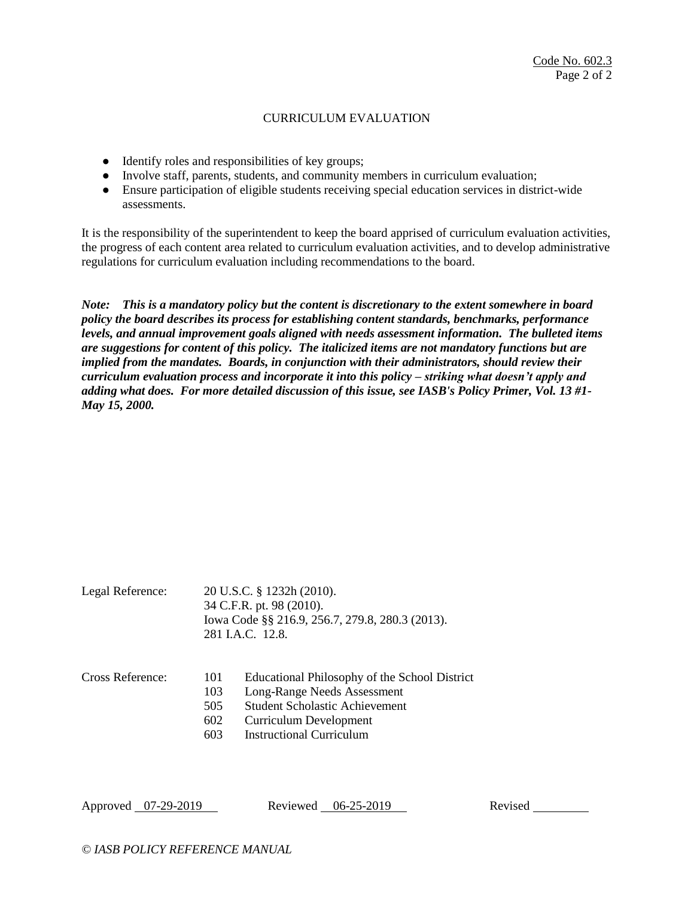# CURRICULUM EVALUATION

- Identify roles and responsibilities of key groups;
- Involve staff, parents, students, and community members in curriculum evaluation;
- Ensure participation of eligible students receiving special education services in district-wide assessments.

It is the responsibility of the superintendent to keep the board apprised of curriculum evaluation activities, the progress of each content area related to curriculum evaluation activities, and to develop administrative regulations for curriculum evaluation including recommendations to the board.

*Note: This is a mandatory policy but the content is discretionary to the extent somewhere in board policy the board describes its process for establishing content standards, benchmarks, performance levels, and annual improvement goals aligned with needs assessment information. The bulleted items are suggestions for content of this policy. The italicized items are not mandatory functions but are implied from the mandates. Boards, in conjunction with their administrators, should review their curriculum evaluation process and incorporate it into this policy – striking what doesn't apply and adding what does. For more detailed discussion of this issue, see IASB's Policy Primer, Vol. 13 #1- May 15, 2000.*

| Legal Reference: | 20 U.S.C. § 1232h (2010).<br>34 C.F.R. pt. 98 (2010).<br>Iowa Code §§ 216.9, 256.7, 279.8, 280.3 (2013).<br>281 I.A.C. 12.8. |                                                                                                           |  |
|------------------|------------------------------------------------------------------------------------------------------------------------------|-----------------------------------------------------------------------------------------------------------|--|
| Cross Reference: | 101<br>103                                                                                                                   | Educational Philosophy of the School District<br>Long-Range Needs Assessment                              |  |
|                  | 505<br>602<br>603                                                                                                            | <b>Student Scholastic Achievement</b><br><b>Curriculum Development</b><br><b>Instructional Curriculum</b> |  |

Approved 07-29-2019 Reviewed 06-25-2019 Revised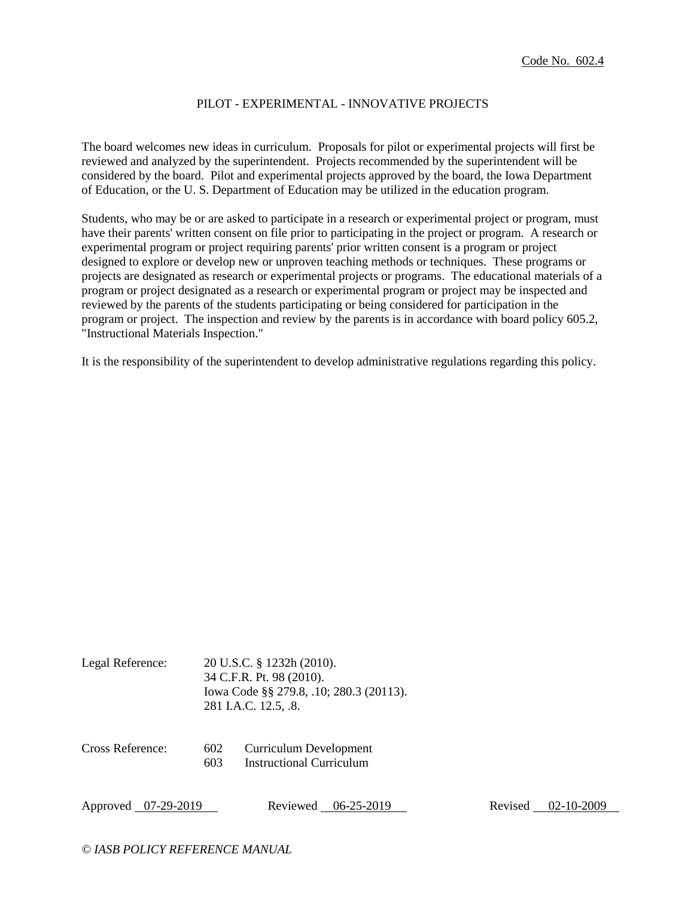## PILOT - EXPERIMENTAL - INNOVATIVE PROJECTS

The board welcomes new ideas in curriculum. Proposals for pilot or experimental projects will first be reviewed and analyzed by the superintendent. Projects recommended by the superintendent will be considered by the board. Pilot and experimental projects approved by the board, the Iowa Department of Education, or the U. S. Department of Education may be utilized in the education program.

Students, who may be or are asked to participate in a research or experimental project or program, must have their parents' written consent on file prior to participating in the project or program. A research or experimental program or project requiring parents' prior written consent is a program or project designed to explore or develop new or unproven teaching methods or techniques. These programs or projects are designated as research or experimental projects or programs. The educational materials of a program or project designated as a research or experimental program or project may be inspected and reviewed by the parents of the students participating or being considered for participation in the program or project. The inspection and review by the parents is in accordance with board policy 605.2, "Instructional Materials Inspection."

It is the responsibility of the superintendent to develop administrative regulations regarding this policy.

| Legal Reference: | 20 U.S.C. § 1232h (2010).               |
|------------------|-----------------------------------------|
|                  | 34 C.F.R. Pt. 98 (2010).                |
|                  | lowa Code §§ 279.8, .10; 280.3 (20113). |
|                  | 281 I.A.C. 12.5, .8.                    |
|                  |                                         |

| Cross Reference: | 602 | <b>Curriculum Development</b>   |
|------------------|-----|---------------------------------|
|                  | 603 | <b>Instructional Curriculum</b> |

|  | Approved 07-29-2019 |
|--|---------------------|
|--|---------------------|

Reviewed 06-25-2019 Revised 02-10-2009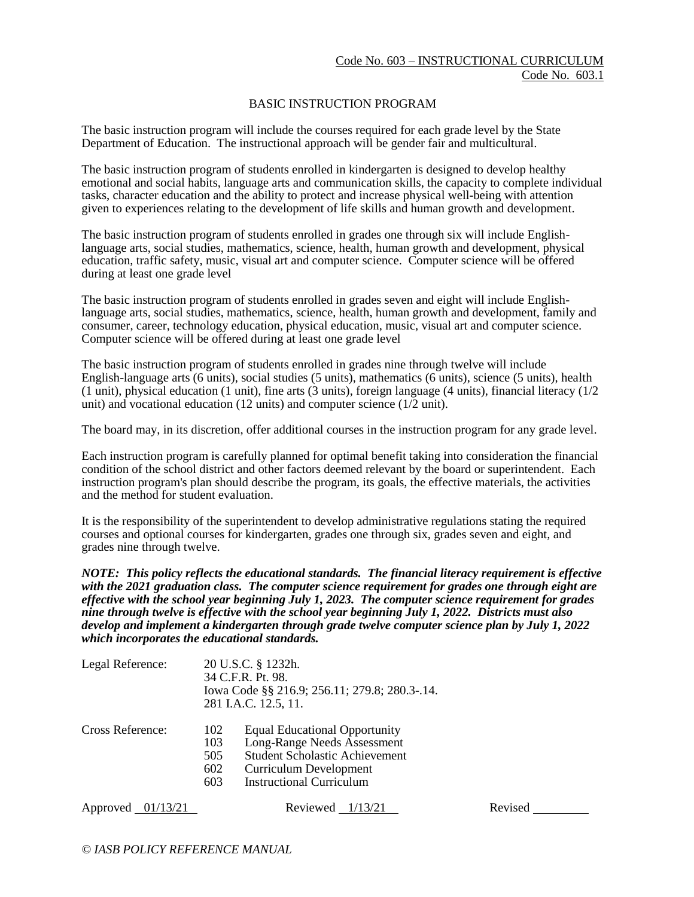### BASIC INSTRUCTION PROGRAM

The basic instruction program will include the courses required for each grade level by the State Department of Education. The instructional approach will be gender fair and multicultural.

The basic instruction program of students enrolled in kindergarten is designed to develop healthy emotional and social habits, language arts and communication skills, the capacity to complete individual tasks, character education and the ability to protect and increase physical well-being with attention given to experiences relating to the development of life skills and human growth and development.

The basic instruction program of students enrolled in grades one through six will include Englishlanguage arts, social studies, mathematics, science, health, human growth and development, physical education, traffic safety, music, visual art and computer science. Computer science will be offered during at least one grade level

The basic instruction program of students enrolled in grades seven and eight will include Englishlanguage arts, social studies, mathematics, science, health, human growth and development, family and consumer, career, technology education, physical education, music, visual art and computer science. Computer science will be offered during at least one grade level

The basic instruction program of students enrolled in grades nine through twelve will include English-language arts (6 units), social studies (5 units), mathematics (6 units), science (5 units), health (1 unit), physical education (1 unit), fine arts (3 units), foreign language (4 units), financial literacy (1/2 unit) and vocational education (12 units) and computer science (1/2 unit).

The board may, in its discretion, offer additional courses in the instruction program for any grade level.

Each instruction program is carefully planned for optimal benefit taking into consideration the financial condition of the school district and other factors deemed relevant by the board or superintendent. Each instruction program's plan should describe the program, its goals, the effective materials, the activities and the method for student evaluation.

It is the responsibility of the superintendent to develop administrative regulations stating the required courses and optional courses for kindergarten, grades one through six, grades seven and eight, and grades nine through twelve.

*NOTE: This policy reflects the educational standards. The financial literacy requirement is effective with the 2021 graduation class. The computer science requirement for grades one through eight are effective with the school year beginning July 1, 2023. The computer science requirement for grades nine through twelve is effective with the school year beginning July 1, 2022. Districts must also develop and implement a kindergarten through grade twelve computer science plan by July 1, 2022 which incorporates the educational standards.*

| Legal Reference: | 20 U.S.C. § 1232h.<br>34 C.F.R. Pt. 98.<br>Iowa Code §§ 216.9; 256.11; 279.8; 280.3-.14.<br>281 I.A.C. 12.5, 11. |                                                                                                                                                                                  |  |
|------------------|------------------------------------------------------------------------------------------------------------------|----------------------------------------------------------------------------------------------------------------------------------------------------------------------------------|--|
| Cross Reference: | 102<br>103<br>505<br>602<br>603                                                                                  | <b>Equal Educational Opportunity</b><br>Long-Range Needs Assessment<br><b>Student Scholastic Achievement</b><br><b>Curriculum Development</b><br><b>Instructional Curriculum</b> |  |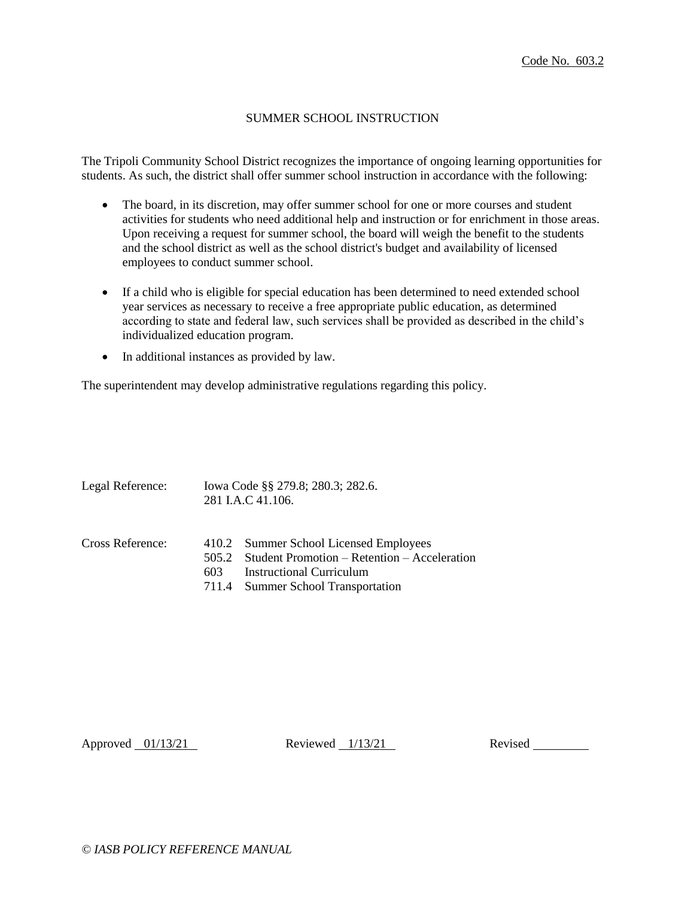# SUMMER SCHOOL INSTRUCTION

The Tripoli Community School District recognizes the importance of ongoing learning opportunities for students. As such, the district shall offer summer school instruction in accordance with the following:

- The board, in its discretion, may offer summer school for one or more courses and student activities for students who need additional help and instruction or for enrichment in those areas. Upon receiving a request for summer school, the board will weigh the benefit to the students and the school district as well as the school district's budget and availability of licensed employees to conduct summer school.
- If a child who is eligible for special education has been determined to need extended school year services as necessary to receive a free appropriate public education, as determined according to state and federal law, such services shall be provided as described in the child's individualized education program.
- In additional instances as provided by law.

The superintendent may develop administrative regulations regarding this policy.

| Legal Reference: | Iowa Code §§ 279.8; 280.3; 282.6.<br>281 I.A.C 41.106. |                                                                                                                                                          |
|------------------|--------------------------------------------------------|----------------------------------------------------------------------------------------------------------------------------------------------------------|
| Cross Reference: | 505.2<br>603                                           | 410.2 Summer School Licensed Employees<br>Student Promotion – Retention – Acceleration<br>Instructional Curriculum<br>711.4 Summer School Transportation |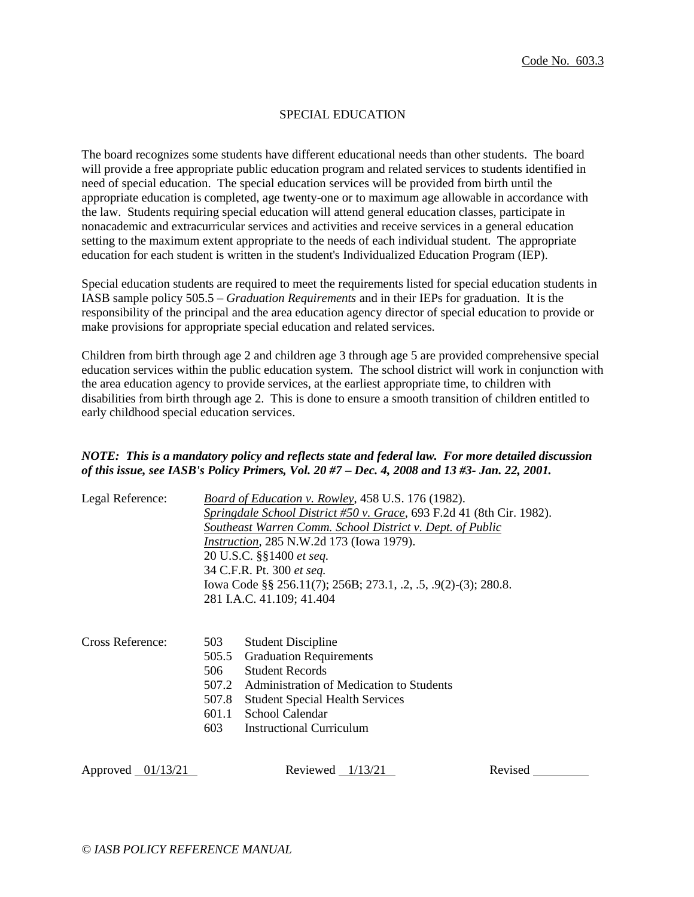# SPECIAL EDUCATION

The board recognizes some students have different educational needs than other students. The board will provide a free appropriate public education program and related services to students identified in need of special education. The special education services will be provided from birth until the appropriate education is completed, age twenty-one or to maximum age allowable in accordance with the law. Students requiring special education will attend general education classes, participate in nonacademic and extracurricular services and activities and receive services in a general education setting to the maximum extent appropriate to the needs of each individual student. The appropriate education for each student is written in the student's Individualized Education Program (IEP).

Special education students are required to meet the requirements listed for special education students in IASB sample policy 505.5 – *Graduation Requirements* and in their IEPs for graduation. It is the responsibility of the principal and the area education agency director of special education to provide or make provisions for appropriate special education and related services.

Children from birth through age 2 and children age 3 through age 5 are provided comprehensive special education services within the public education system. The school district will work in conjunction with the area education agency to provide services, at the earliest appropriate time, to children with disabilities from birth through age 2. This is done to ensure a smooth transition of children entitled to early childhood special education services.

## *NOTE: This is a mandatory policy and reflects state and federal law. For more detailed discussion of this issue, see IASB's Policy Primers, Vol. 20 #7 – Dec. 4, 2008 and 13 #3- Jan. 22, 2001.*

| Legal Reference: | Board of Education v. Rowley, 458 U.S. 176 (1982).<br>Springdale School District #50 v. Grace, 693 F.2d 41 (8th Cir. 1982).<br>Southeast Warren Comm. School District v. Dept. of Public<br><i>Instruction, 285 N.W.2d 173 (Iowa 1979).</i><br>20 U.S.C. §§1400 et seq.<br>34 C.F.R. Pt. 300 et seq. |
|------------------|------------------------------------------------------------------------------------------------------------------------------------------------------------------------------------------------------------------------------------------------------------------------------------------------------|
|                  | Iowa Code §§ 256.11(7); 256B; 273.1, .2, .5, .9(2)-(3); 280.8.                                                                                                                                                                                                                                       |
|                  | 281 I.A.C. 41.109; 41.404                                                                                                                                                                                                                                                                            |

| Cross Reference: |     | 503 Student Discipline                         |
|------------------|-----|------------------------------------------------|
|                  |     | 505.5 Graduation Requirements                  |
|                  |     | 506 Student Records                            |
|                  |     | 507.2 Administration of Medication to Students |
|                  |     | 507.8 Student Special Health Services          |
|                  |     | 601.1 School Calendar                          |
|                  | 603 | <b>Instructional Curriculum</b>                |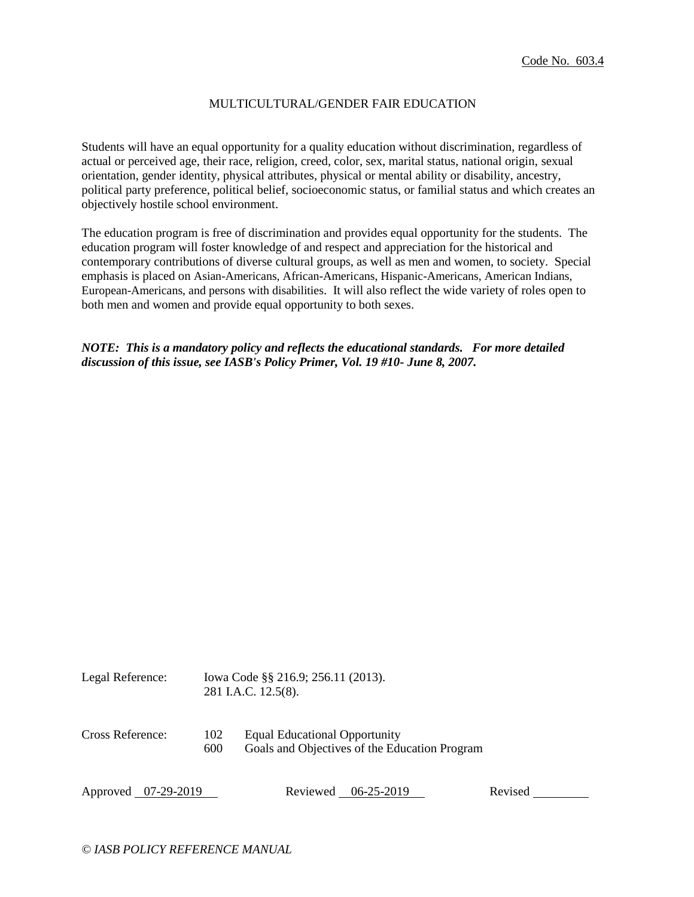### MULTICULTURAL/GENDER FAIR EDUCATION

Students will have an equal opportunity for a quality education without discrimination, regardless of actual or perceived age, their race, religion, creed, color, sex, marital status, national origin, sexual orientation, gender identity, physical attributes, physical or mental ability or disability, ancestry, political party preference, political belief, socioeconomic status, or familial status and which creates an objectively hostile school environment.

The education program is free of discrimination and provides equal opportunity for the students. The education program will foster knowledge of and respect and appreciation for the historical and contemporary contributions of diverse cultural groups, as well as men and women, to society. Special emphasis is placed on Asian-Americans, African-Americans, Hispanic-Americans, American Indians, European-Americans, and persons with disabilities. It will also reflect the wide variety of roles open to both men and women and provide equal opportunity to both sexes.

*NOTE: This is a mandatory policy and reflects the educational standards. For more detailed discussion of this issue, see IASB's Policy Primer, Vol. 19 #10- June 8, 2007.*

| Legal Reference: | Iowa Code §§ 216.9; 256.11 (2013).<br>281 I.A.C. 12.5(8). |                                                                                       |
|------------------|-----------------------------------------------------------|---------------------------------------------------------------------------------------|
| Cross Reference: | 102<br>600                                                | <b>Equal Educational Opportunity</b><br>Goals and Objectives of the Education Program |

Approved 07-29-2019 Reviewed 06-25-2019 Revised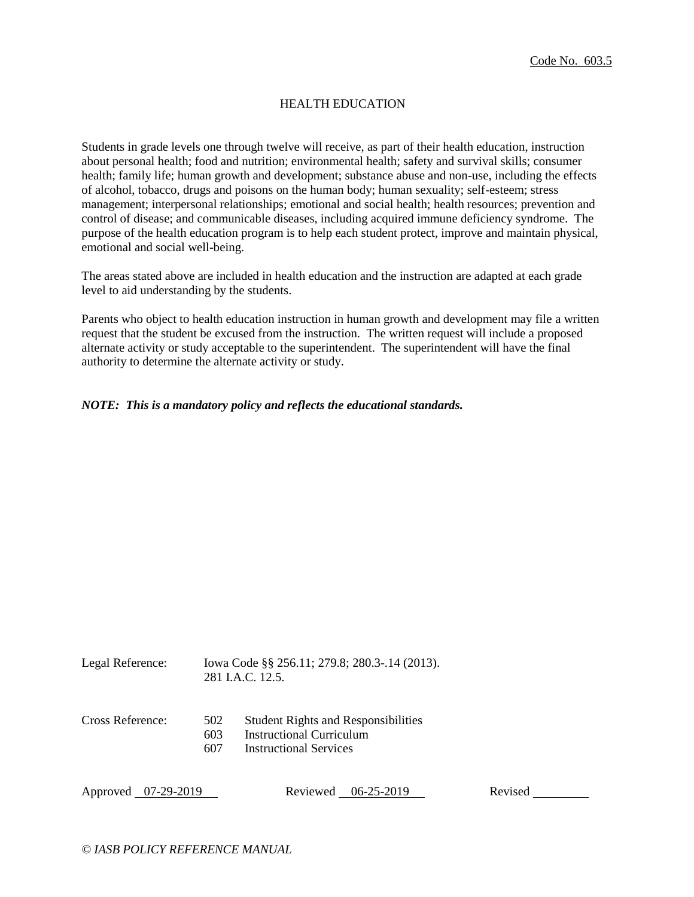### HEALTH EDUCATION

Students in grade levels one through twelve will receive, as part of their health education, instruction about personal health; food and nutrition; environmental health; safety and survival skills; consumer health; family life; human growth and development; substance abuse and non-use, including the effects of alcohol, tobacco, drugs and poisons on the human body; human sexuality; self-esteem; stress management; interpersonal relationships; emotional and social health; health resources; prevention and control of disease; and communicable diseases, including acquired immune deficiency syndrome. The purpose of the health education program is to help each student protect, improve and maintain physical, emotional and social well-being.

The areas stated above are included in health education and the instruction are adapted at each grade level to aid understanding by the students.

Parents who object to health education instruction in human growth and development may file a written request that the student be excused from the instruction. The written request will include a proposed alternate activity or study acceptable to the superintendent. The superintendent will have the final authority to determine the alternate activity or study.

*NOTE: This is a mandatory policy and reflects the educational standards.*

| Legal Reference: | Iowa Code §§ 256.11; 279.8; 280.3-.14 (2013). |
|------------------|-----------------------------------------------|
|                  | 281 I.A.C. 12.5.                              |

- Cross Reference: 502 Student Rights and Responsibilities
	- 603 Instructional Curriculum
	- 607 Instructional Services

Approved 07-29-2019 Reviewed 06-25-2019 Revised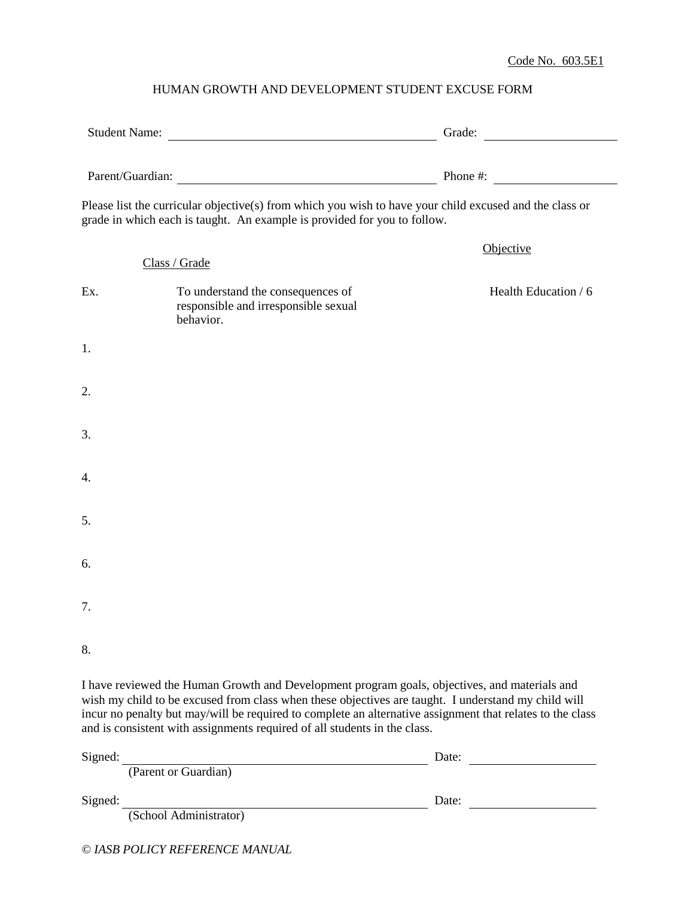# HUMAN GROWTH AND DEVELOPMENT STUDENT EXCUSE FORM

| Student Name:<br>Parent/Guardian: |                                                                                                                                                                                                                                                                                                                                                                                                | Grade:                          |  |
|-----------------------------------|------------------------------------------------------------------------------------------------------------------------------------------------------------------------------------------------------------------------------------------------------------------------------------------------------------------------------------------------------------------------------------------------|---------------------------------|--|
|                                   |                                                                                                                                                                                                                                                                                                                                                                                                | Phone #: $\qquad \qquad \qquad$ |  |
|                                   | Please list the curricular objective(s) from which you wish to have your child excused and the class or<br>grade in which each is taught. An example is provided for you to follow.                                                                                                                                                                                                            |                                 |  |
|                                   | Class / Grade                                                                                                                                                                                                                                                                                                                                                                                  | Objective                       |  |
| Ex.                               | To understand the consequences of<br>responsible and irresponsible sexual<br>behavior.                                                                                                                                                                                                                                                                                                         | Health Education / 6            |  |
| 1.                                |                                                                                                                                                                                                                                                                                                                                                                                                |                                 |  |
| 2.                                |                                                                                                                                                                                                                                                                                                                                                                                                |                                 |  |
| 3.                                |                                                                                                                                                                                                                                                                                                                                                                                                |                                 |  |
| 4.                                |                                                                                                                                                                                                                                                                                                                                                                                                |                                 |  |
| 5.                                |                                                                                                                                                                                                                                                                                                                                                                                                |                                 |  |
| 6.                                |                                                                                                                                                                                                                                                                                                                                                                                                |                                 |  |
| 7.                                |                                                                                                                                                                                                                                                                                                                                                                                                |                                 |  |
| 8.                                |                                                                                                                                                                                                                                                                                                                                                                                                |                                 |  |
|                                   | I have reviewed the Human Growth and Development program goals, objectives, and materials and<br>wish my child to be excused from class when these objectives are taught. I understand my child will<br>incur no penalty but may/will be required to complete an alternative assignment that relates to the class<br>and is consistent with assignments required of all students in the class. |                                 |  |

| Signed: |                        | Date: |  |
|---------|------------------------|-------|--|
|         | (Parent or Guardian)   |       |  |
| Signed: |                        | Date: |  |
|         | (School Administrator) |       |  |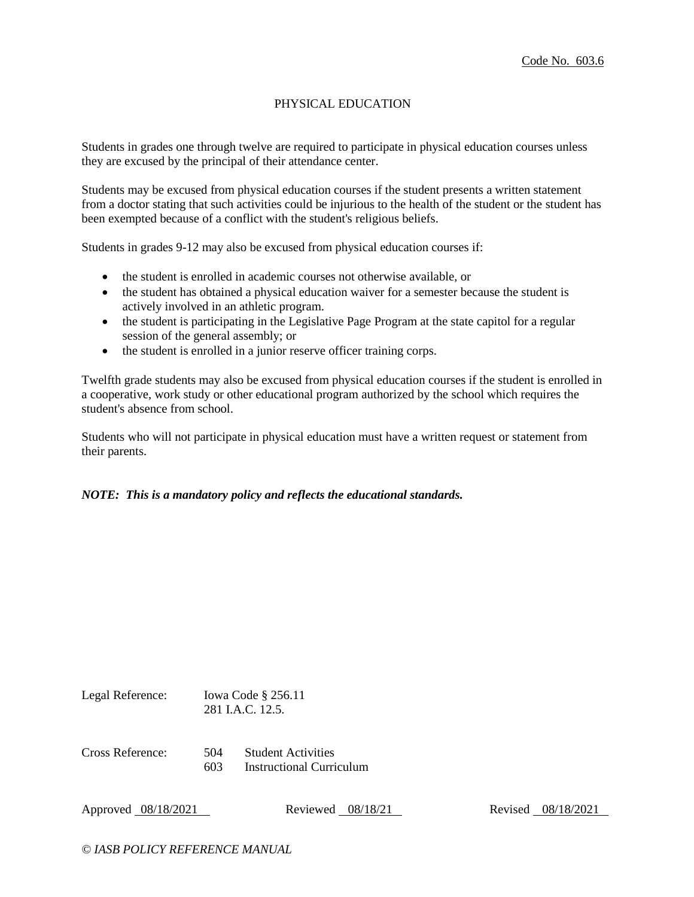# PHYSICAL EDUCATION

Students in grades one through twelve are required to participate in physical education courses unless they are excused by the principal of their attendance center.

Students may be excused from physical education courses if the student presents a written statement from a doctor stating that such activities could be injurious to the health of the student or the student has been exempted because of a conflict with the student's religious beliefs.

Students in grades 9-12 may also be excused from physical education courses if:

- the student is enrolled in academic courses not otherwise available, or
- the student has obtained a physical education waiver for a semester because the student is actively involved in an athletic program.
- the student is participating in the Legislative Page Program at the state capitol for a regular session of the general assembly; or
- the student is enrolled in a junior reserve officer training corps.

Twelfth grade students may also be excused from physical education courses if the student is enrolled in a cooperative, work study or other educational program authorized by the school which requires the student's absence from school.

Students who will not participate in physical education must have a written request or statement from their parents.

# *NOTE: This is a mandatory policy and reflects the educational standards.*

| Legal Reference: |            | Iowa Code $\S$ 256.11<br>281 I.A.C. 12.5.                    |
|------------------|------------|--------------------------------------------------------------|
| Cross Reference: | 504<br>603 | <b>Student Activities</b><br><b>Instructional Curriculum</b> |

Approved 08/18/2021 Reviewed 08/18/21 Revised 08/18/2021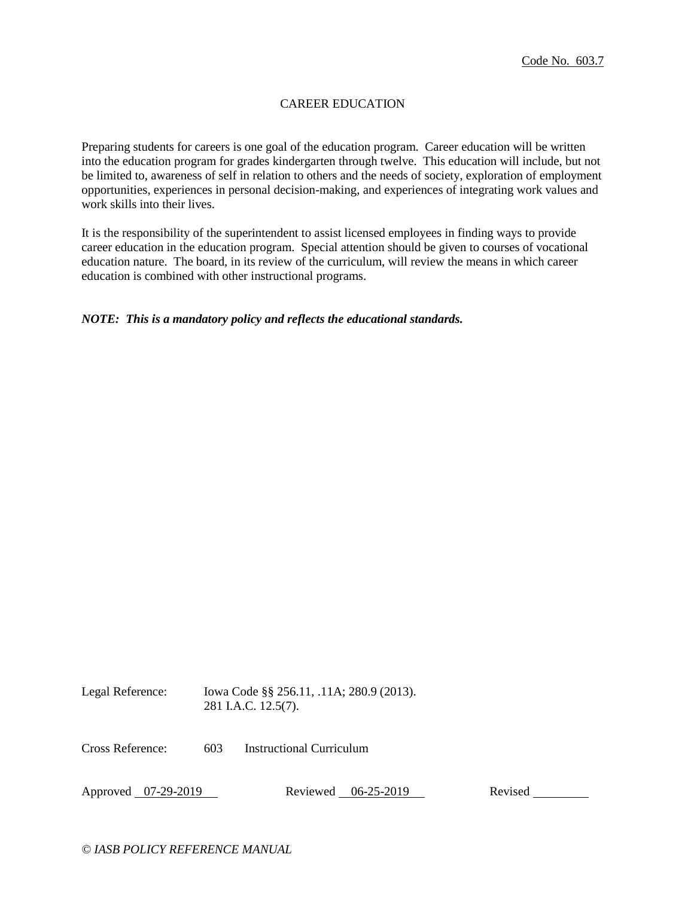# CAREER EDUCATION

Preparing students for careers is one goal of the education program. Career education will be written into the education program for grades kindergarten through twelve. This education will include, but not be limited to, awareness of self in relation to others and the needs of society, exploration of employment opportunities, experiences in personal decision-making, and experiences of integrating work values and work skills into their lives.

It is the responsibility of the superintendent to assist licensed employees in finding ways to provide career education in the education program. Special attention should be given to courses of vocational education nature. The board, in its review of the curriculum, will review the means in which career education is combined with other instructional programs.

## *NOTE: This is a mandatory policy and reflects the educational standards.*

Legal Reference: Iowa Code §§ 256.11, .11A; 280.9 (2013). 281 I.A.C. 12.5(7).

Cross Reference: 603 Instructional Curriculum

Approved 07-29-2019 Reviewed 06-25-2019 Revised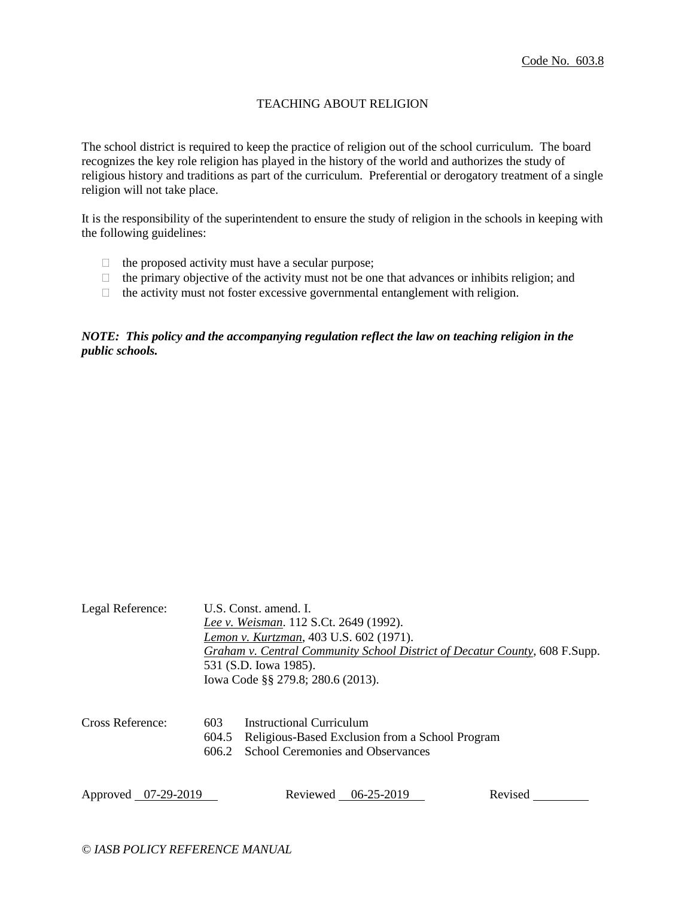# TEACHING ABOUT RELIGION

The school district is required to keep the practice of religion out of the school curriculum. The board recognizes the key role religion has played in the history of the world and authorizes the study of religious history and traditions as part of the curriculum. Preferential or derogatory treatment of a single religion will not take place.

It is the responsibility of the superintendent to ensure the study of religion in the schools in keeping with the following guidelines:

- $\Box$  the proposed activity must have a secular purpose;
- $\Box$  the primary objective of the activity must not be one that advances or inhibits religion; and
- $\Box$  the activity must not foster excessive governmental entanglement with religion.

# *NOTE: This policy and the accompanying regulation reflect the law on teaching religion in the public schools.*

| Legal Reference:    |                       | U.S. Const. amend. I.<br>Lee v. Weisman. 112 S.Ct. 2649 (1992).<br>Lemon v. Kurtzman, 403 U.S. 602 (1971).<br>531 (S.D. Iowa 1985).<br>Iowa Code §§ 279.8; 280.6 (2013). | Graham v. Central Community School District of Decatur County, 608 F.Supp. |         |
|---------------------|-----------------------|--------------------------------------------------------------------------------------------------------------------------------------------------------------------------|----------------------------------------------------------------------------|---------|
| Cross Reference:    | 603<br>604.5<br>606.2 | Instructional Curriculum<br><b>School Ceremonies and Observances</b>                                                                                                     | Religious-Based Exclusion from a School Program                            |         |
| Approved 07-29-2019 |                       |                                                                                                                                                                          | Reviewed 06-25-2019                                                        | Revised |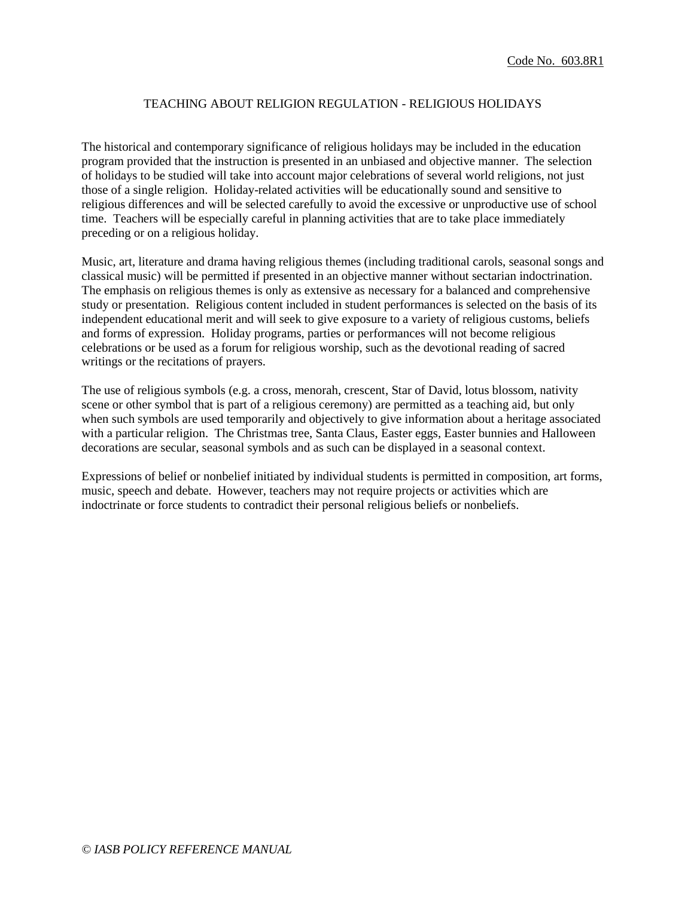### TEACHING ABOUT RELIGION REGULATION - RELIGIOUS HOLIDAYS

The historical and contemporary significance of religious holidays may be included in the education program provided that the instruction is presented in an unbiased and objective manner. The selection of holidays to be studied will take into account major celebrations of several world religions, not just those of a single religion. Holiday-related activities will be educationally sound and sensitive to religious differences and will be selected carefully to avoid the excessive or unproductive use of school time. Teachers will be especially careful in planning activities that are to take place immediately preceding or on a religious holiday.

Music, art, literature and drama having religious themes (including traditional carols, seasonal songs and classical music) will be permitted if presented in an objective manner without sectarian indoctrination. The emphasis on religious themes is only as extensive as necessary for a balanced and comprehensive study or presentation. Religious content included in student performances is selected on the basis of its independent educational merit and will seek to give exposure to a variety of religious customs, beliefs and forms of expression. Holiday programs, parties or performances will not become religious celebrations or be used as a forum for religious worship, such as the devotional reading of sacred writings or the recitations of prayers.

The use of religious symbols (e.g. a cross, menorah, crescent, Star of David, lotus blossom, nativity scene or other symbol that is part of a religious ceremony) are permitted as a teaching aid, but only when such symbols are used temporarily and objectively to give information about a heritage associated with a particular religion. The Christmas tree, Santa Claus, Easter eggs, Easter bunnies and Halloween decorations are secular, seasonal symbols and as such can be displayed in a seasonal context.

Expressions of belief or nonbelief initiated by individual students is permitted in composition, art forms, music, speech and debate. However, teachers may not require projects or activities which are indoctrinate or force students to contradict their personal religious beliefs or nonbeliefs.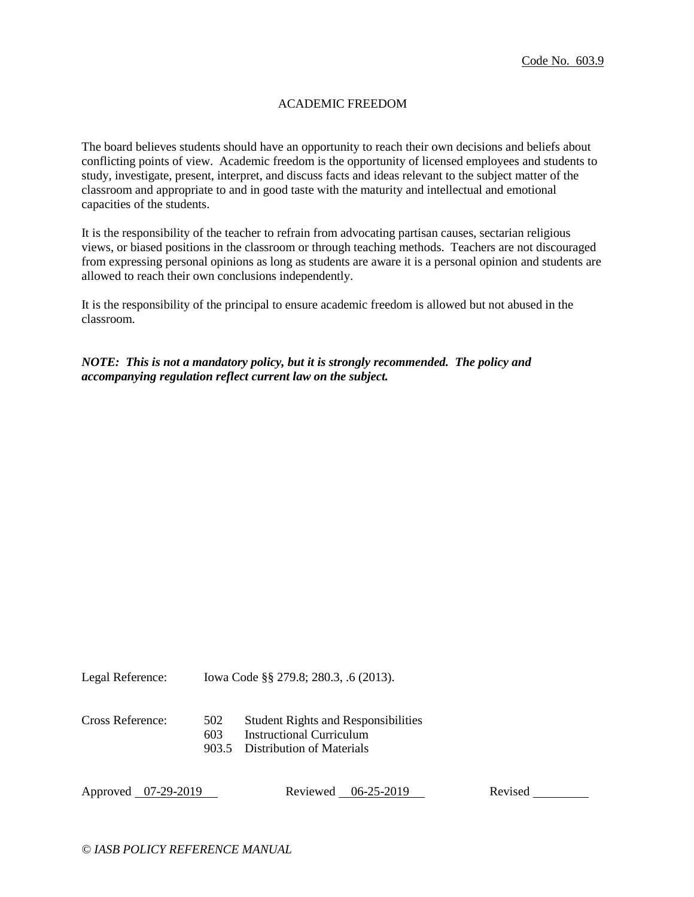## ACADEMIC FREEDOM

The board believes students should have an opportunity to reach their own decisions and beliefs about conflicting points of view. Academic freedom is the opportunity of licensed employees and students to study, investigate, present, interpret, and discuss facts and ideas relevant to the subject matter of the classroom and appropriate to and in good taste with the maturity and intellectual and emotional capacities of the students.

It is the responsibility of the teacher to refrain from advocating partisan causes, sectarian religious views, or biased positions in the classroom or through teaching methods. Teachers are not discouraged from expressing personal opinions as long as students are aware it is a personal opinion and students are allowed to reach their own conclusions independently.

It is the responsibility of the principal to ensure academic freedom is allowed but not abused in the classroom.

*NOTE: This is not a mandatory policy, but it is strongly recommended. The policy and accompanying regulation reflect current law on the subject.*

Legal Reference: Iowa Code §§ 279.8; 280.3, .6 (2013).

- Cross Reference: 502 Student Rights and Responsibilities
	- 603 Instructional Curriculum
	- 903.5 Distribution of Materials

Approved 07-29-2019 Reviewed 06-25-2019 Revised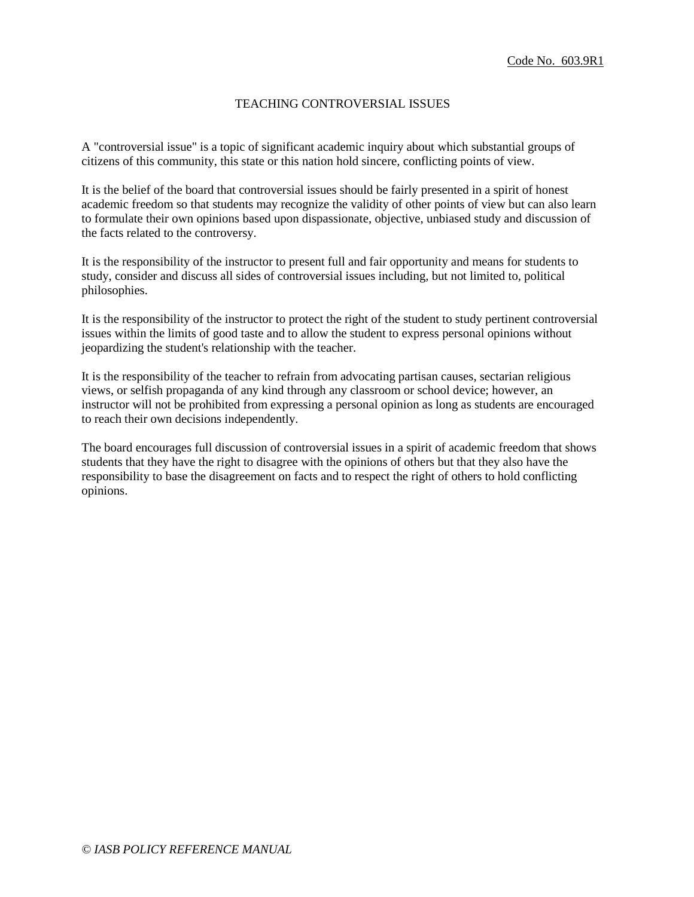# TEACHING CONTROVERSIAL ISSUES

A "controversial issue" is a topic of significant academic inquiry about which substantial groups of citizens of this community, this state or this nation hold sincere, conflicting points of view.

It is the belief of the board that controversial issues should be fairly presented in a spirit of honest academic freedom so that students may recognize the validity of other points of view but can also learn to formulate their own opinions based upon dispassionate, objective, unbiased study and discussion of the facts related to the controversy.

It is the responsibility of the instructor to present full and fair opportunity and means for students to study, consider and discuss all sides of controversial issues including, but not limited to, political philosophies.

It is the responsibility of the instructor to protect the right of the student to study pertinent controversial issues within the limits of good taste and to allow the student to express personal opinions without jeopardizing the student's relationship with the teacher.

It is the responsibility of the teacher to refrain from advocating partisan causes, sectarian religious views, or selfish propaganda of any kind through any classroom or school device; however, an instructor will not be prohibited from expressing a personal opinion as long as students are encouraged to reach their own decisions independently.

The board encourages full discussion of controversial issues in a spirit of academic freedom that shows students that they have the right to disagree with the opinions of others but that they also have the responsibility to base the disagreement on facts and to respect the right of others to hold conflicting opinions.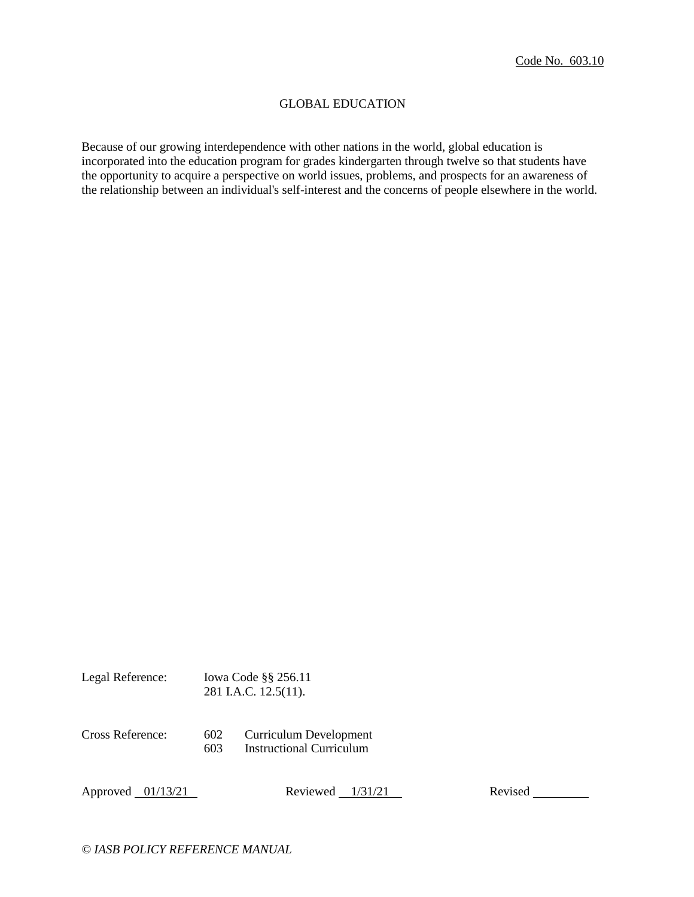### GLOBAL EDUCATION

Because of our growing interdependence with other nations in the world, global education is incorporated into the education program for grades kindergarten through twelve so that students have the opportunity to acquire a perspective on world issues, problems, and prospects for an awareness of the relationship between an individual's self-interest and the concerns of people elsewhere in the world.

| Legal Reference: |            | lowa Code §§ 256.11<br>281 I.A.C. 12.5(11).               |
|------------------|------------|-----------------------------------------------------------|
| Cross Reference: | 602<br>603 | Curriculum Development<br><b>Instructional Curriculum</b> |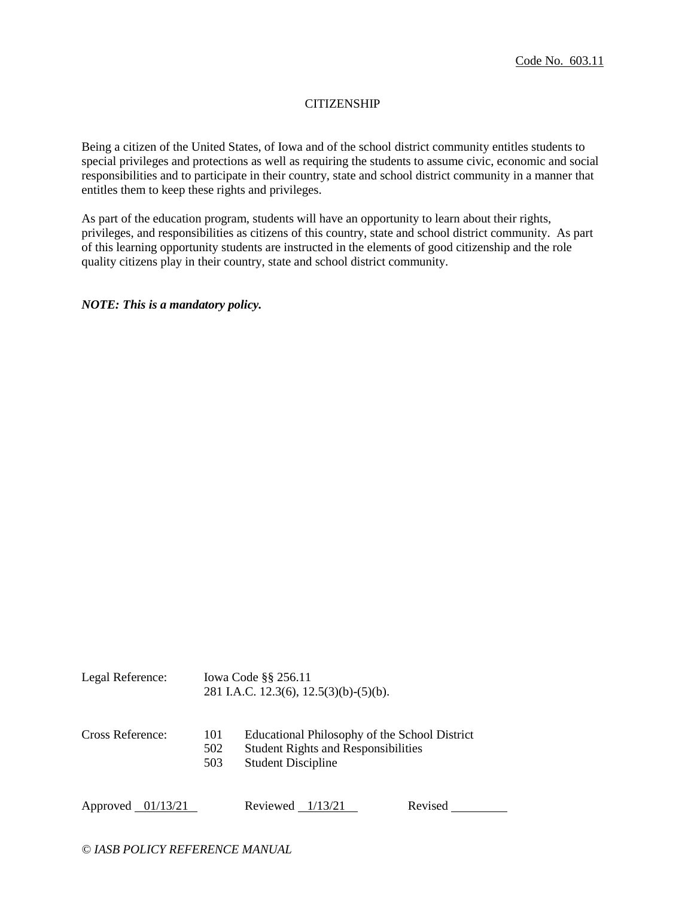## **CITIZENSHIP**

Being a citizen of the United States, of Iowa and of the school district community entitles students to special privileges and protections as well as requiring the students to assume civic, economic and social responsibilities and to participate in their country, state and school district community in a manner that entitles them to keep these rights and privileges.

As part of the education program, students will have an opportunity to learn about their rights, privileges, and responsibilities as citizens of this country, state and school district community. As part of this learning opportunity students are instructed in the elements of good citizenship and the role quality citizens play in their country, state and school district community.

*NOTE: This is a mandatory policy.* 

| Legal Reference: |                   | Iowa Code §§ 256.11<br>281 I.A.C. 12.3(6), $12.5(3)(b)-(5)(b)$ .                                                         |
|------------------|-------------------|--------------------------------------------------------------------------------------------------------------------------|
| Cross Reference: | 101<br>502<br>503 | Educational Philosophy of the School District<br><b>Student Rights and Responsibilities</b><br><b>Student Discipline</b> |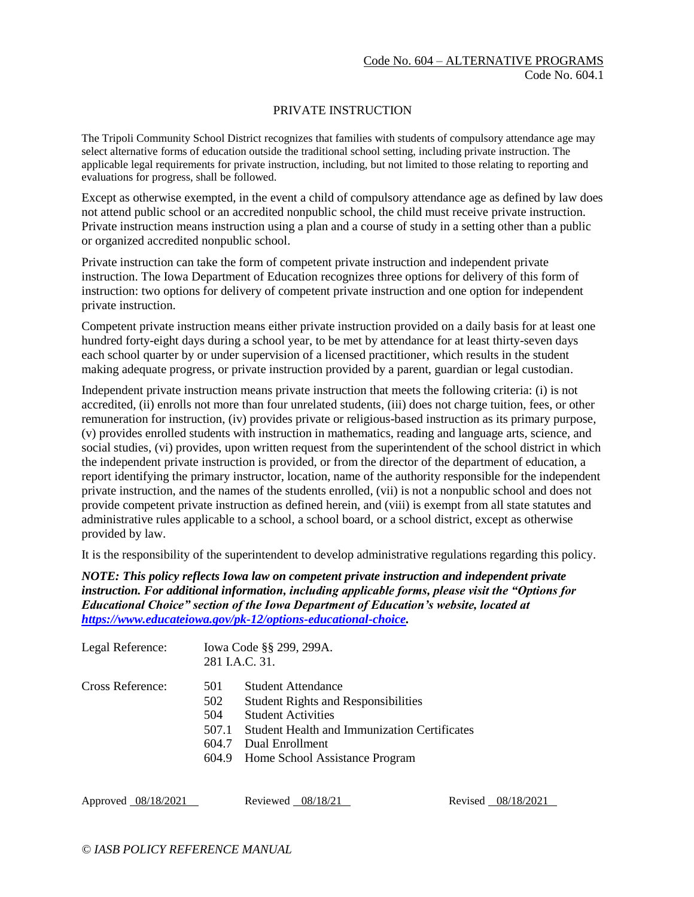### PRIVATE INSTRUCTION

The Tripoli Community School District recognizes that families with students of compulsory attendance age may select alternative forms of education outside the traditional school setting, including private instruction. The applicable legal requirements for private instruction, including, but not limited to those relating to reporting and evaluations for progress, shall be followed.

Except as otherwise exempted, in the event a child of compulsory attendance age as defined by law does not attend public school or an accredited nonpublic school, the child must receive private instruction. Private instruction means instruction using a plan and a course of study in a setting other than a public or organized accredited nonpublic school.

Private instruction can take the form of competent private instruction and independent private instruction. The Iowa Department of Education recognizes three options for delivery of this form of instruction: two options for delivery of competent private instruction and one option for independent private instruction.

Competent private instruction means either private instruction provided on a daily basis for at least one hundred forty-eight days during a school year, to be met by attendance for at least thirty-seven days each school quarter by or under supervision of a licensed practitioner, which results in the student making adequate progress, or private instruction provided by a parent, guardian or legal custodian.

Independent private instruction means private instruction that meets the following criteria: (i) is not accredited, (ii) enrolls not more than four unrelated students, (iii) does not charge tuition, fees, or other remuneration for instruction, (iv) provides private or religious-based instruction as its primary purpose, (v) provides enrolled students with instruction in mathematics, reading and language arts, science, and social studies, (vi) provides, upon written request from the superintendent of the school district in which the independent private instruction is provided, or from the director of the department of education, a report identifying the primary instructor, location, name of the authority responsible for the independent private instruction, and the names of the students enrolled, (vii) is not a nonpublic school and does not provide competent private instruction as defined herein, and (viii) is exempt from all state statutes and administrative rules applicable to a school, a school board, or a school district, except as otherwise provided by law.

It is the responsibility of the superintendent to develop administrative regulations regarding this policy.

*NOTE: This policy reflects Iowa law on competent private instruction and independent private instruction. For additional information, including applicable forms, please visit the "Options for Educational Choice" section of the Iowa Department of Education's website, located at [https://www.educateiowa.gov/pk-12/options-educational-choice.](https://www.educateiowa.gov/pk-12/options-educational-choice)* 

| Legal Reference: |                                     | Iowa Code §§ 299, 299A.<br>281 I.A.C. 31.                                                                                                                                                                       |  |
|------------------|-------------------------------------|-----------------------------------------------------------------------------------------------------------------------------------------------------------------------------------------------------------------|--|
| Cross Reference: | 501<br>502<br>504<br>507.1<br>604.7 | Student Attendance<br><b>Student Rights and Responsibilities</b><br><b>Student Activities</b><br><b>Student Health and Immunization Certificates</b><br>Dual Enrollment<br>604.9 Home School Assistance Program |  |
|                  |                                     |                                                                                                                                                                                                                 |  |

Approved 08/18/2021 Reviewed 08/18/21 Revised 08/18/2021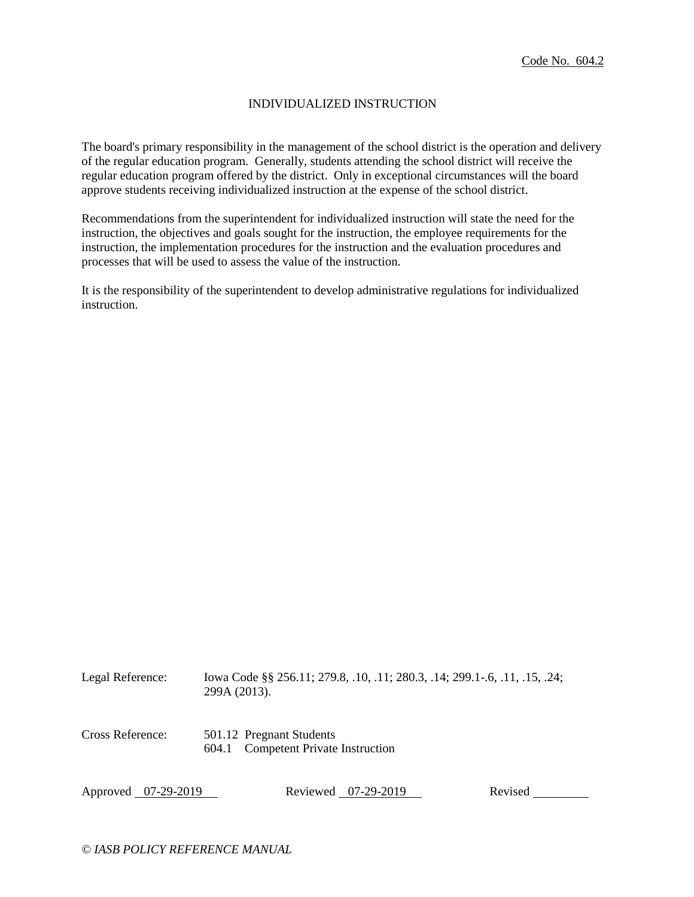### INDIVIDUALIZED INSTRUCTION

The board's primary responsibility in the management of the school district is the operation and delivery of the regular education program. Generally, students attending the school district will receive the regular education program offered by the district. Only in exceptional circumstances will the board approve students receiving individualized instruction at the expense of the school district.

Recommendations from the superintendent for individualized instruction will state the need for the instruction, the objectives and goals sought for the instruction, the employee requirements for the instruction, the implementation procedures for the instruction and the evaluation procedures and processes that will be used to assess the value of the instruction.

It is the responsibility of the superintendent to develop administrative regulations for individualized instruction.

| Legal Reference:    | lowa Code §§ 256.11; 279.8, .10, .11; 280.3, .14; 299.1-.6, .11, .15, .24;<br>299A (2013). |
|---------------------|--------------------------------------------------------------------------------------------|
| Cross Reference:    | 501.12 Pregnant Students<br><b>Competent Private Instruction</b><br>604.1                  |
| Approved 07-29-2019 | Revised<br>Reviewed 07-29-2019                                                             |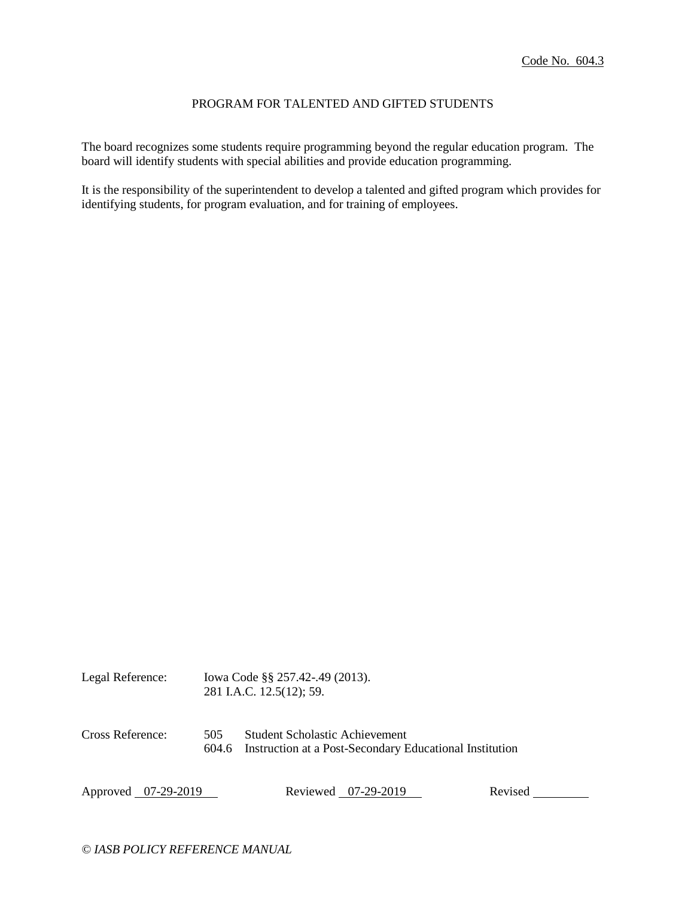### PROGRAM FOR TALENTED AND GIFTED STUDENTS

The board recognizes some students require programming beyond the regular education program. The board will identify students with special abilities and provide education programming.

It is the responsibility of the superintendent to develop a talented and gifted program which provides for identifying students, for program evaluation, and for training of employees.

| Legal Reference:                 |  | lowa Code §§ 257.42-.49 (2013).<br>281 I.A.C. 12.5(12); 59.                               |                     |         |  |
|----------------------------------|--|-------------------------------------------------------------------------------------------|---------------------|---------|--|
| Cross Reference:<br>505<br>604.6 |  | Student Scholastic Achievement<br>Instruction at a Post-Secondary Educational Institution |                     |         |  |
| Approved 07-29-2019              |  |                                                                                           | Reviewed 07-29-2019 | Revised |  |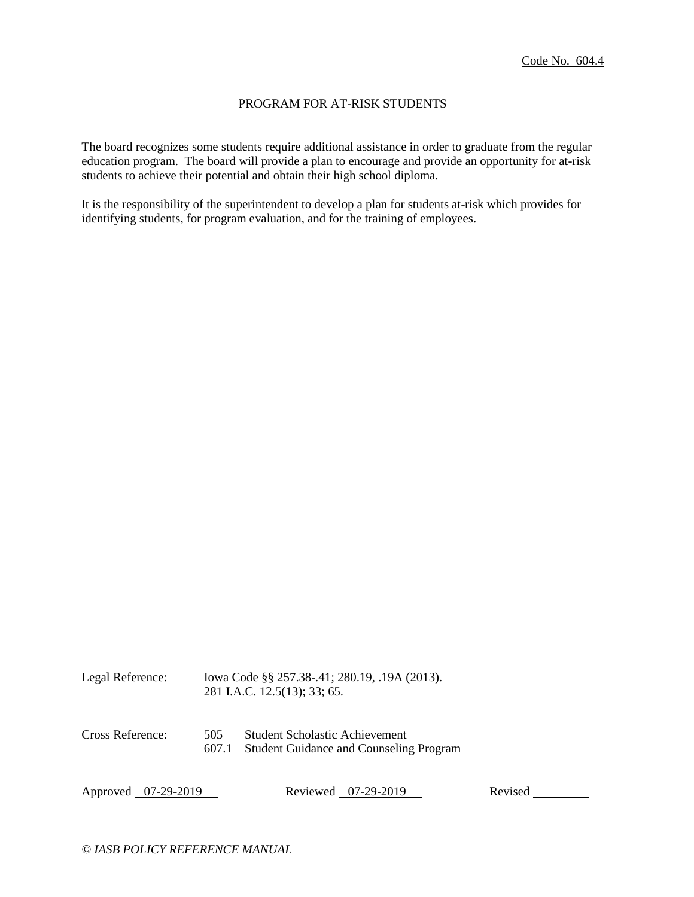### PROGRAM FOR AT-RISK STUDENTS

The board recognizes some students require additional assistance in order to graduate from the regular education program. The board will provide a plan to encourage and provide an opportunity for at-risk students to achieve their potential and obtain their high school diploma.

It is the responsibility of the superintendent to develop a plan for students at-risk which provides for identifying students, for program evaluation, and for the training of employees.

| Legal Reference:    | Iowa Code §§ 257.38-.41; 280.19, .19A (2013).<br>281 I.A.C. 12.5(13); 33; 65. |                                                                                  |         |
|---------------------|-------------------------------------------------------------------------------|----------------------------------------------------------------------------------|---------|
| Cross Reference:    | 505<br>607.1                                                                  | Student Scholastic Achievement<br><b>Student Guidance and Counseling Program</b> |         |
| Approved 07-29-2019 |                                                                               | Reviewed 07-29-2019                                                              | Revised |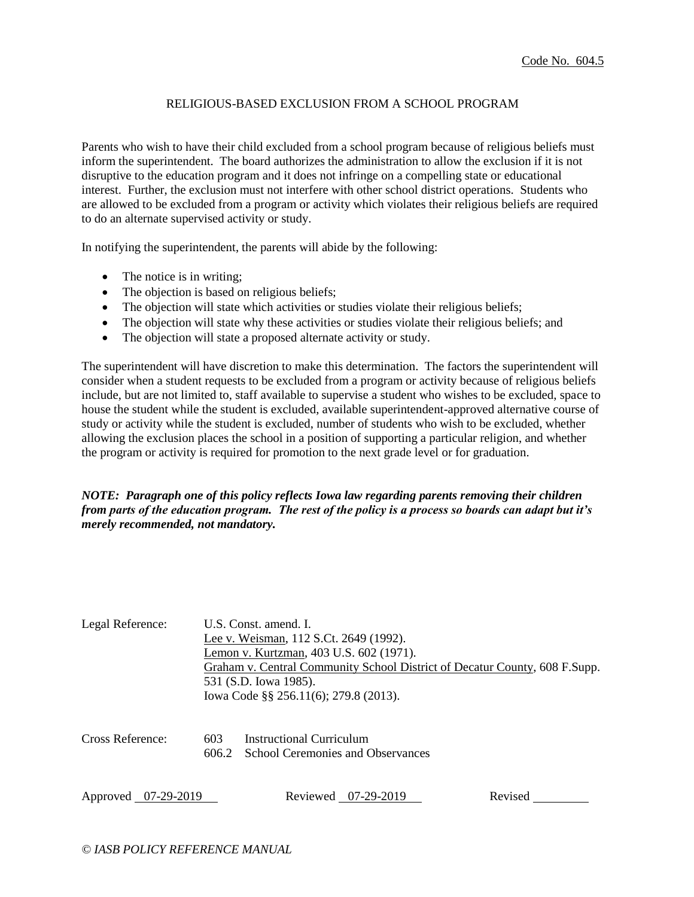## RELIGIOUS-BASED EXCLUSION FROM A SCHOOL PROGRAM

Parents who wish to have their child excluded from a school program because of religious beliefs must inform the superintendent. The board authorizes the administration to allow the exclusion if it is not disruptive to the education program and it does not infringe on a compelling state or educational interest. Further, the exclusion must not interfere with other school district operations. Students who are allowed to be excluded from a program or activity which violates their religious beliefs are required to do an alternate supervised activity or study.

In notifying the superintendent, the parents will abide by the following:

- The notice is in writing;
- The objection is based on religious beliefs;
- The objection will state which activities or studies violate their religious beliefs;
- The objection will state why these activities or studies violate their religious beliefs; and
- The objection will state a proposed alternate activity or study.

The superintendent will have discretion to make this determination. The factors the superintendent will consider when a student requests to be excluded from a program or activity because of religious beliefs include, but are not limited to, staff available to supervise a student who wishes to be excluded, space to house the student while the student is excluded, available superintendent-approved alternative course of study or activity while the student is excluded, number of students who wish to be excluded, whether allowing the exclusion places the school in a position of supporting a particular religion, and whether the program or activity is required for promotion to the next grade level or for graduation.

## *NOTE: Paragraph one of this policy reflects Iowa law regarding parents removing their children from parts of the education program. The rest of the policy is a process so boards can adapt but it's merely recommended, not mandatory.*

| Legal Reference:    | U.S. Const. amend. I.<br>Lee v. Weisman, 112 S.Ct. 2649 (1992).<br>Lemon v. Kurtzman, 403 U.S. 602 (1971).<br>Graham v. Central Community School District of Decatur County, 608 F.Supp.<br>531 (S.D. Iowa 1985). |                                                                      |         |  |
|---------------------|-------------------------------------------------------------------------------------------------------------------------------------------------------------------------------------------------------------------|----------------------------------------------------------------------|---------|--|
|                     | lowa Code §§ 256.11(6); 279.8 (2013).                                                                                                                                                                             |                                                                      |         |  |
| Cross Reference:    | 603<br>606.2                                                                                                                                                                                                      | Instructional Curriculum<br><b>School Ceremonies and Observances</b> |         |  |
| Approved 07-29-2019 |                                                                                                                                                                                                                   | Reviewed 07-29-2019                                                  | Revised |  |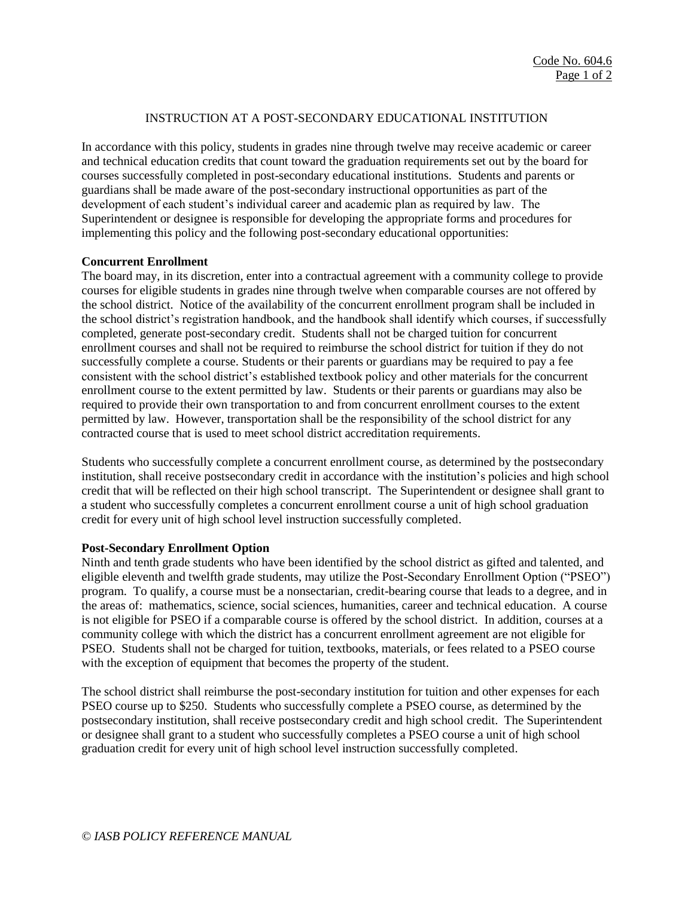# INSTRUCTION AT A POST-SECONDARY EDUCATIONAL INSTITUTION

In accordance with this policy, students in grades nine through twelve may receive academic or career and technical education credits that count toward the graduation requirements set out by the board for courses successfully completed in post-secondary educational institutions. Students and parents or guardians shall be made aware of the post-secondary instructional opportunities as part of the development of each student's individual career and academic plan as required by law. The Superintendent or designee is responsible for developing the appropriate forms and procedures for implementing this policy and the following post-secondary educational opportunities:

## **Concurrent Enrollment**

The board may, in its discretion, enter into a contractual agreement with a community college to provide courses for eligible students in grades nine through twelve when comparable courses are not offered by the school district. Notice of the availability of the concurrent enrollment program shall be included in the school district's registration handbook, and the handbook shall identify which courses, if successfully completed, generate post-secondary credit. Students shall not be charged tuition for concurrent enrollment courses and shall not be required to reimburse the school district for tuition if they do not successfully complete a course. Students or their parents or guardians may be required to pay a fee consistent with the school district's established textbook policy and other materials for the concurrent enrollment course to the extent permitted by law. Students or their parents or guardians may also be required to provide their own transportation to and from concurrent enrollment courses to the extent permitted by law. However, transportation shall be the responsibility of the school district for any contracted course that is used to meet school district accreditation requirements.

Students who successfully complete a concurrent enrollment course, as determined by the postsecondary institution, shall receive postsecondary credit in accordance with the institution's policies and high school credit that will be reflected on their high school transcript. The Superintendent or designee shall grant to a student who successfully completes a concurrent enrollment course a unit of high school graduation credit for every unit of high school level instruction successfully completed.

## **Post-Secondary Enrollment Option**

Ninth and tenth grade students who have been identified by the school district as gifted and talented, and eligible eleventh and twelfth grade students, may utilize the Post-Secondary Enrollment Option ("PSEO") program. To qualify, a course must be a nonsectarian, credit-bearing course that leads to a degree, and in the areas of: mathematics, science, social sciences, humanities, career and technical education. A course is not eligible for PSEO if a comparable course is offered by the school district. In addition, courses at a community college with which the district has a concurrent enrollment agreement are not eligible for PSEO. Students shall not be charged for tuition, textbooks, materials, or fees related to a PSEO course with the exception of equipment that becomes the property of the student.

The school district shall reimburse the post-secondary institution for tuition and other expenses for each PSEO course up to \$250. Students who successfully complete a PSEO course, as determined by the postsecondary institution, shall receive postsecondary credit and high school credit. The Superintendent or designee shall grant to a student who successfully completes a PSEO course a unit of high school graduation credit for every unit of high school level instruction successfully completed.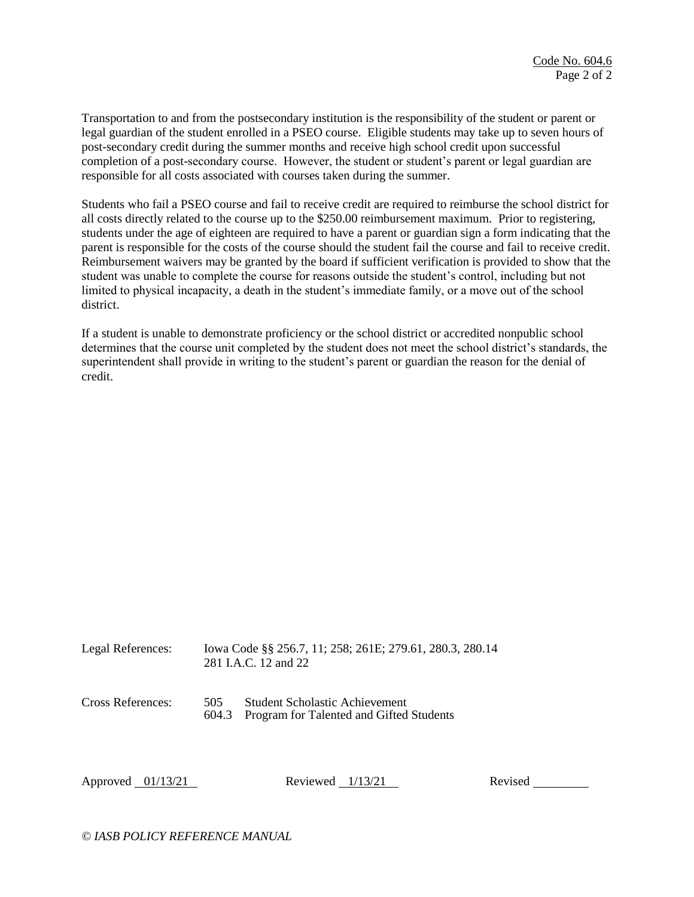Transportation to and from the postsecondary institution is the responsibility of the student or parent or legal guardian of the student enrolled in a PSEO course. Eligible students may take up to seven hours of post-secondary credit during the summer months and receive high school credit upon successful completion of a post-secondary course. However, the student or student's parent or legal guardian are responsible for all costs associated with courses taken during the summer.

Students who fail a PSEO course and fail to receive credit are required to reimburse the school district for all costs directly related to the course up to the \$250.00 reimbursement maximum. Prior to registering, students under the age of eighteen are required to have a parent or guardian sign a form indicating that the parent is responsible for the costs of the course should the student fail the course and fail to receive credit. Reimbursement waivers may be granted by the board if sufficient verification is provided to show that the student was unable to complete the course for reasons outside the student's control, including but not limited to physical incapacity, a death in the student's immediate family, or a move out of the school district.

If a student is unable to demonstrate proficiency or the school district or accredited nonpublic school determines that the course unit completed by the student does not meet the school district's standards, the superintendent shall provide in writing to the student's parent or guardian the reason for the denial of credit.

| Legal References: | Iowa Code §§ 256.7, 11; 258; 261E; 279.61, 280.3, 280.14<br>281 I.A.C. 12 and 22 |                                                                                   |  |
|-------------------|----------------------------------------------------------------------------------|-----------------------------------------------------------------------------------|--|
| Cross References: | 505<br>604.3                                                                     | <b>Student Scholastic Achievement</b><br>Program for Talented and Gifted Students |  |

Approved 01/13/21 Reviewed 1/13/21 Revised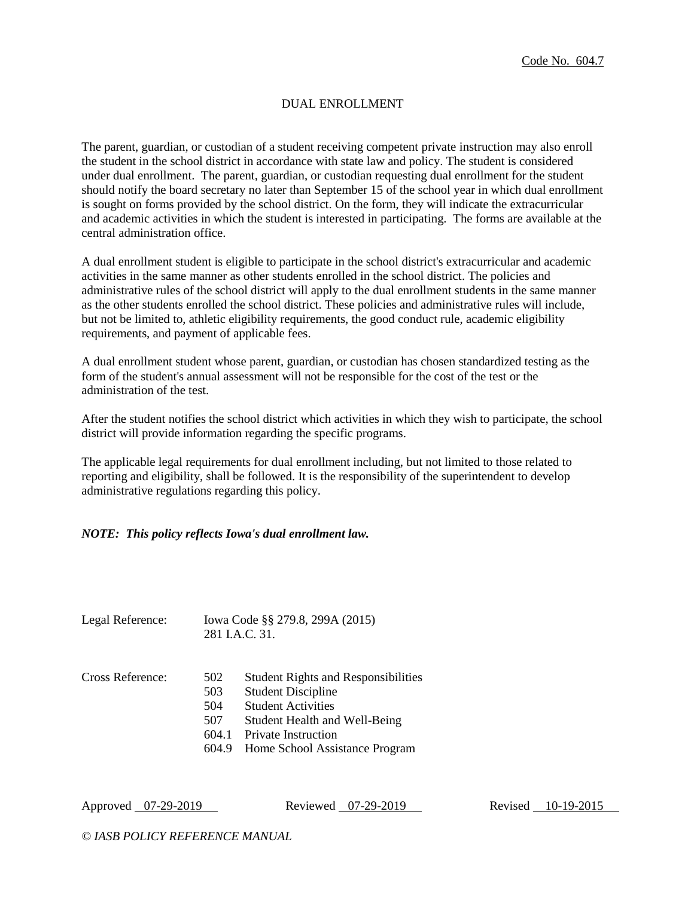# DUAL ENROLLMENT

The parent, guardian, or custodian of a student receiving competent private instruction may also enroll the student in the school district in accordance with state law and policy. The student is considered under dual enrollment. The parent, guardian, or custodian requesting dual enrollment for the student should notify the board secretary no later than September 15 of the school year in which dual enrollment is sought on forms provided by the school district. On the form, they will indicate the extracurricular and academic activities in which the student is interested in participating. The forms are available at the central administration office.

A dual enrollment student is eligible to participate in the school district's extracurricular and academic activities in the same manner as other students enrolled in the school district. The policies and administrative rules of the school district will apply to the dual enrollment students in the same manner as the other students enrolled the school district. These policies and administrative rules will include, but not be limited to, athletic eligibility requirements, the good conduct rule, academic eligibility requirements, and payment of applicable fees.

A dual enrollment student whose parent, guardian, or custodian has chosen standardized testing as the form of the student's annual assessment will not be responsible for the cost of the test or the administration of the test.

After the student notifies the school district which activities in which they wish to participate, the school district will provide information regarding the specific programs.

The applicable legal requirements for dual enrollment including, but not limited to those related to reporting and eligibility, shall be followed. It is the responsibility of the superintendent to develop administrative regulations regarding this policy.

#### *NOTE: This policy reflects Iowa's dual enrollment law.*

| Legal Reference: |                   | Iowa Code §§ 279.8, 299A (2015)<br>281 I.A.C. 31.                                                    |
|------------------|-------------------|------------------------------------------------------------------------------------------------------|
| Cross Reference: | 502<br>503<br>504 | <b>Student Rights and Responsibilities</b><br><b>Student Discipline</b><br><b>Student Activities</b> |
|                  | 507               | Student Health and Well-Being                                                                        |
|                  | 604.1             | <b>Private Instruction</b>                                                                           |
|                  | 604.9             | Home School Assistance Program                                                                       |

Approved 07-29-2019 Reviewed 07-29-2019 Revised 10-19-2015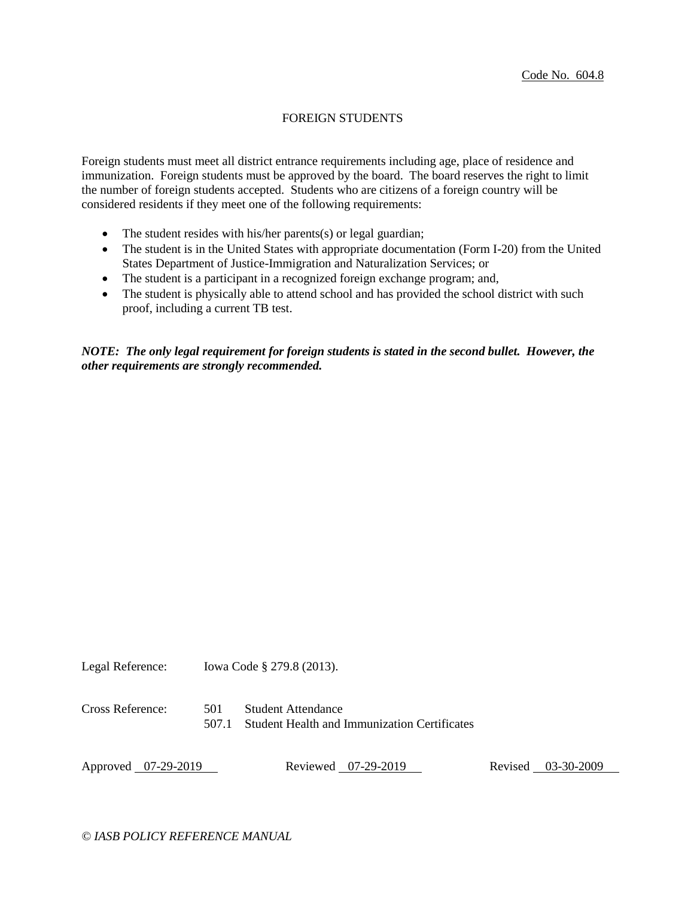# FOREIGN STUDENTS

Foreign students must meet all district entrance requirements including age, place of residence and immunization. Foreign students must be approved by the board. The board reserves the right to limit the number of foreign students accepted. Students who are citizens of a foreign country will be considered residents if they meet one of the following requirements:

- The student resides with his/her parents(s) or legal guardian;
- The student is in the United States with appropriate documentation (Form I-20) from the United States Department of Justice-Immigration and Naturalization Services; or
- The student is a participant in a recognized foreign exchange program; and,
- The student is physically able to attend school and has provided the school district with such proof, including a current TB test.

*NOTE: The only legal requirement for foreign students is stated in the second bullet. However, the other requirements are strongly recommended.*

Legal Reference: Iowa Code § 279.8 (2013).

Cross Reference: 501 Student Attendance 507.1 Student Health and Immunization Certificates

Approved 07-29-2019 Reviewed 07-29-2019 Revised 03-30-2009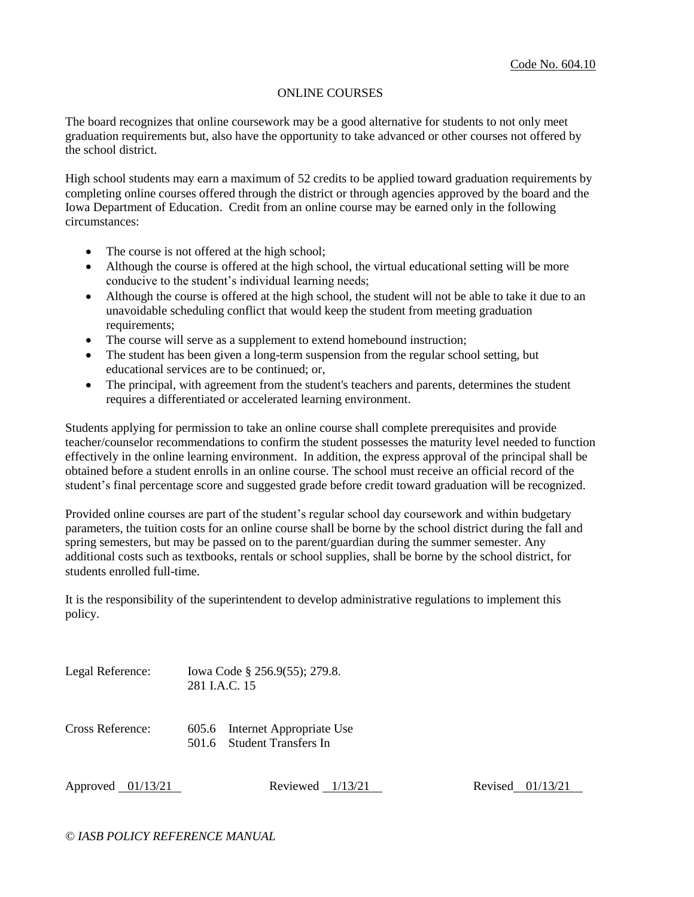### ONLINE COURSES

The board recognizes that online coursework may be a good alternative for students to not only meet graduation requirements but, also have the opportunity to take advanced or other courses not offered by the school district.

High school students may earn a maximum of 52 credits to be applied toward graduation requirements by completing online courses offered through the district or through agencies approved by the board and the Iowa Department of Education. Credit from an online course may be earned only in the following circumstances:

- The course is not offered at the high school;
- Although the course is offered at the high school, the virtual educational setting will be more conducive to the student's individual learning needs;
- Although the course is offered at the high school, the student will not be able to take it due to an unavoidable scheduling conflict that would keep the student from meeting graduation requirements;
- The course will serve as a supplement to extend homebound instruction;
- The student has been given a long-term suspension from the regular school setting, but educational services are to be continued; or,
- The principal, with agreement from the student's teachers and parents, determines the student requires a differentiated or accelerated learning environment.

Students applying for permission to take an online course shall complete prerequisites and provide teacher/counselor recommendations to confirm the student possesses the maturity level needed to function effectively in the online learning environment. In addition, the express approval of the principal shall be obtained before a student enrolls in an online course. The school must receive an official record of the student's final percentage score and suggested grade before credit toward graduation will be recognized.

Provided online courses are part of the student's regular school day coursework and within budgetary parameters, the tuition costs for an online course shall be borne by the school district during the fall and spring semesters, but may be passed on to the parent/guardian during the summer semester. Any additional costs such as textbooks, rentals or school supplies, shall be borne by the school district, for students enrolled full-time.

It is the responsibility of the superintendent to develop administrative regulations to implement this policy.

- Legal Reference: Iowa Code § 256.9(55); 279.8. 281 I.A.C. 15
- Cross Reference: 605.6 Internet Appropriate Use 501.6 Student Transfers In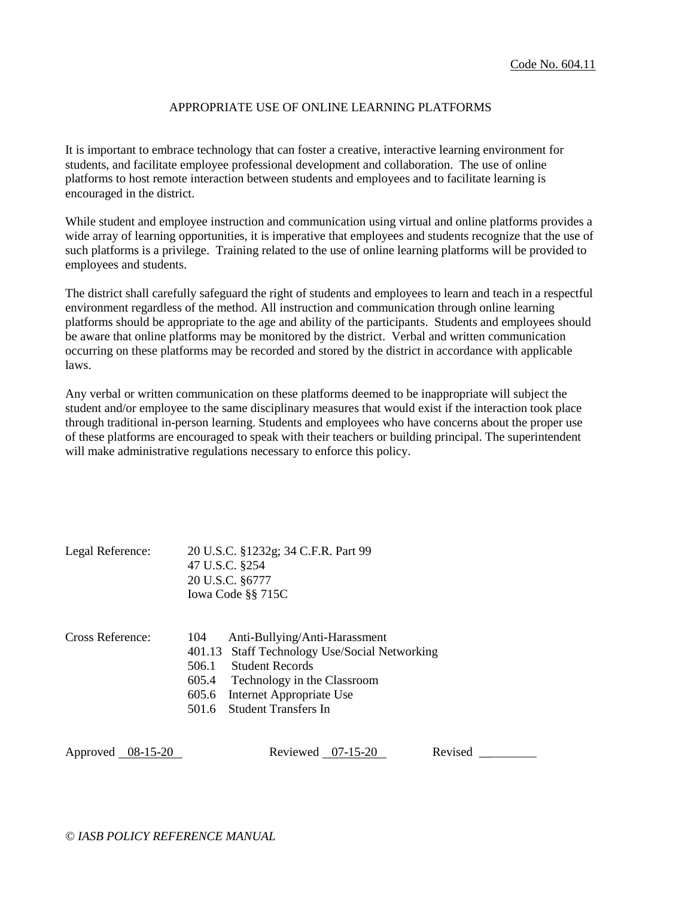## APPROPRIATE USE OF ONLINE LEARNING PLATFORMS

It is important to embrace technology that can foster a creative, interactive learning environment for students, and facilitate employee professional development and collaboration. The use of online platforms to host remote interaction between students and employees and to facilitate learning is encouraged in the district.

While student and employee instruction and communication using virtual and online platforms provides a wide array of learning opportunities, it is imperative that employees and students recognize that the use of such platforms is a privilege. Training related to the use of online learning platforms will be provided to employees and students.

The district shall carefully safeguard the right of students and employees to learn and teach in a respectful environment regardless of the method. All instruction and communication through online learning platforms should be appropriate to the age and ability of the participants. Students and employees should be aware that online platforms may be monitored by the district. Verbal and written communication occurring on these platforms may be recorded and stored by the district in accordance with applicable laws.

Any verbal or written communication on these platforms deemed to be inappropriate will subject the student and/or employee to the same disciplinary measures that would exist if the interaction took place through traditional in-person learning. Students and employees who have concerns about the proper use of these platforms are encouraged to speak with their teachers or building principal. The superintendent will make administrative regulations necessary to enforce this policy.

| Legal Reference: | 20 U.S.C. §1232g; 34 C.F.R. Part 99 |
|------------------|-------------------------------------|
|                  | 47 U.S.C. §254                      |
|                  | 20 U.S.C. §6777                     |
|                  | Iowa Code §§ 715C                   |
|                  |                                     |

| Cross Reference: | 104 | Anti-Bullying/Anti-Harassment                 |
|------------------|-----|-----------------------------------------------|
|                  |     | 401.13 Staff Technology Use/Social Networking |
|                  |     | 506.1 Student Records                         |
|                  |     | 605.4 Technology in the Classroom             |
|                  |     | 605.6 Internet Appropriate Use                |
|                  |     | 501.6 Student Transfers In                    |
|                  |     |                                               |

Approved 08-15-20 Reviewed 07-15-20 Revised \_\_\_\_\_\_\_\_\_\_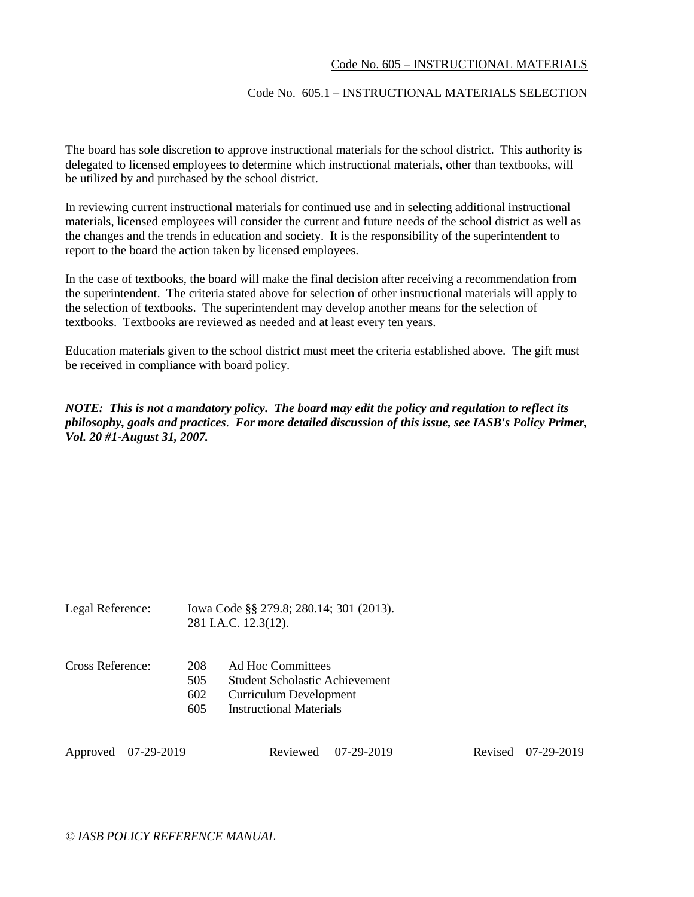#### Code No. 605 – INSTRUCTIONAL MATERIALS

#### Code No. 605.1 – INSTRUCTIONAL MATERIALS SELECTION

The board has sole discretion to approve instructional materials for the school district. This authority is delegated to licensed employees to determine which instructional materials, other than textbooks, will be utilized by and purchased by the school district.

In reviewing current instructional materials for continued use and in selecting additional instructional materials, licensed employees will consider the current and future needs of the school district as well as the changes and the trends in education and society. It is the responsibility of the superintendent to report to the board the action taken by licensed employees.

In the case of textbooks, the board will make the final decision after receiving a recommendation from the superintendent. The criteria stated above for selection of other instructional materials will apply to the selection of textbooks. The superintendent may develop another means for the selection of textbooks. Textbooks are reviewed as needed and at least every ten years.

Education materials given to the school district must meet the criteria established above. The gift must be received in compliance with board policy.

*NOTE: This is not a mandatory policy. The board may edit the policy and regulation to reflect its philosophy, goals and practices*. *For more detailed discussion of this issue, see IASB's Policy Primer, Vol. 20 #1-August 31, 2007.*

| Legal Reference: |                          | Iowa Code §§ 279.8; 280.14; 301 (2013).<br>281 I.A.C. 12.3(12).                                                 |  |
|------------------|--------------------------|-----------------------------------------------------------------------------------------------------------------|--|
| Cross Reference: | 208<br>505<br>602<br>605 | Ad Hoc Committees<br>Student Scholastic Achievement<br>Curriculum Development<br><b>Instructional Materials</b> |  |

Approved 07-29-2019 Reviewed 07-29-2019 Reviewed 07-29-2019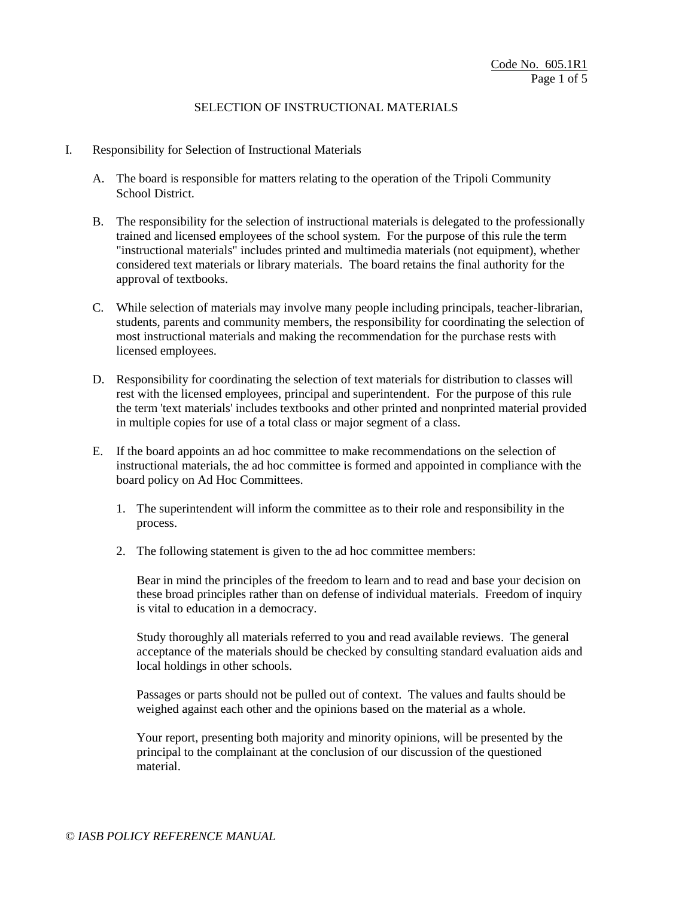- I. Responsibility for Selection of Instructional Materials
	- A. The board is responsible for matters relating to the operation of the Tripoli Community School District.
	- B. The responsibility for the selection of instructional materials is delegated to the professionally trained and licensed employees of the school system. For the purpose of this rule the term "instructional materials" includes printed and multimedia materials (not equipment), whether considered text materials or library materials. The board retains the final authority for the approval of textbooks.
	- C. While selection of materials may involve many people including principals, teacher-librarian, students, parents and community members, the responsibility for coordinating the selection of most instructional materials and making the recommendation for the purchase rests with licensed employees.
	- D. Responsibility for coordinating the selection of text materials for distribution to classes will rest with the licensed employees, principal and superintendent. For the purpose of this rule the term 'text materials' includes textbooks and other printed and nonprinted material provided in multiple copies for use of a total class or major segment of a class.
	- E. If the board appoints an ad hoc committee to make recommendations on the selection of instructional materials, the ad hoc committee is formed and appointed in compliance with the board policy on Ad Hoc Committees.
		- 1. The superintendent will inform the committee as to their role and responsibility in the process.
		- 2. The following statement is given to the ad hoc committee members:

Bear in mind the principles of the freedom to learn and to read and base your decision on these broad principles rather than on defense of individual materials. Freedom of inquiry is vital to education in a democracy.

Study thoroughly all materials referred to you and read available reviews. The general acceptance of the materials should be checked by consulting standard evaluation aids and local holdings in other schools.

Passages or parts should not be pulled out of context. The values and faults should be weighed against each other and the opinions based on the material as a whole.

Your report, presenting both majority and minority opinions, will be presented by the principal to the complainant at the conclusion of our discussion of the questioned material.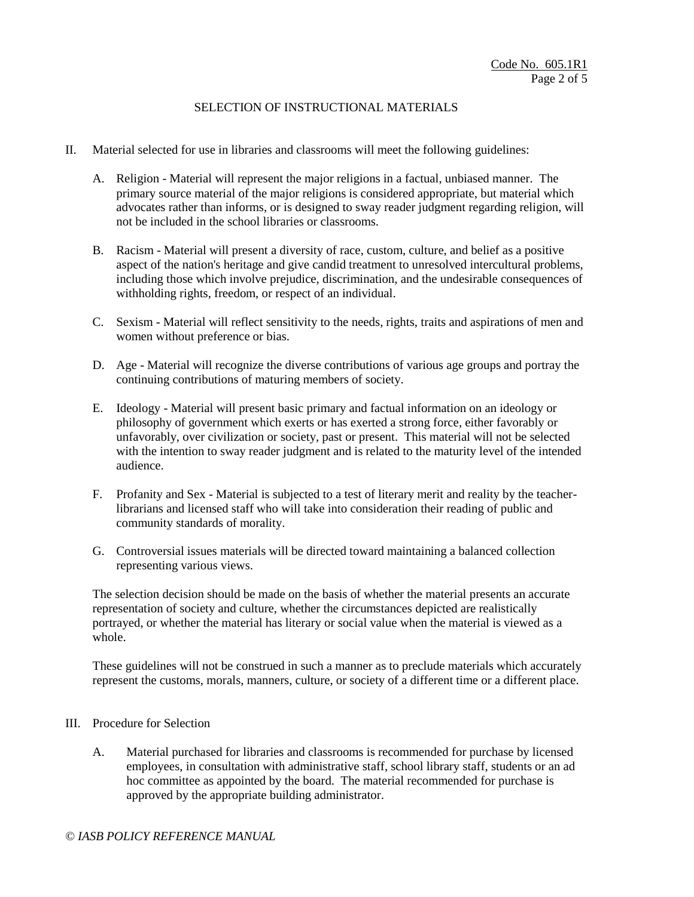- II. Material selected for use in libraries and classrooms will meet the following guidelines:
	- A. Religion Material will represent the major religions in a factual, unbiased manner. The primary source material of the major religions is considered appropriate, but material which advocates rather than informs, or is designed to sway reader judgment regarding religion, will not be included in the school libraries or classrooms.
	- B. Racism Material will present a diversity of race, custom, culture, and belief as a positive aspect of the nation's heritage and give candid treatment to unresolved intercultural problems, including those which involve prejudice, discrimination, and the undesirable consequences of withholding rights, freedom, or respect of an individual.
	- C. Sexism Material will reflect sensitivity to the needs, rights, traits and aspirations of men and women without preference or bias.
	- D. Age Material will recognize the diverse contributions of various age groups and portray the continuing contributions of maturing members of society.
	- E. Ideology Material will present basic primary and factual information on an ideology or philosophy of government which exerts or has exerted a strong force, either favorably or unfavorably, over civilization or society, past or present. This material will not be selected with the intention to sway reader judgment and is related to the maturity level of the intended audience.
	- F. Profanity and Sex Material is subjected to a test of literary merit and reality by the teacherlibrarians and licensed staff who will take into consideration their reading of public and community standards of morality.
	- G. Controversial issues materials will be directed toward maintaining a balanced collection representing various views.

The selection decision should be made on the basis of whether the material presents an accurate representation of society and culture, whether the circumstances depicted are realistically portrayed, or whether the material has literary or social value when the material is viewed as a whole.

These guidelines will not be construed in such a manner as to preclude materials which accurately represent the customs, morals, manners, culture, or society of a different time or a different place.

- III. Procedure for Selection
	- A. Material purchased for libraries and classrooms is recommended for purchase by licensed employees, in consultation with administrative staff, school library staff, students or an ad hoc committee as appointed by the board. The material recommended for purchase is approved by the appropriate building administrator.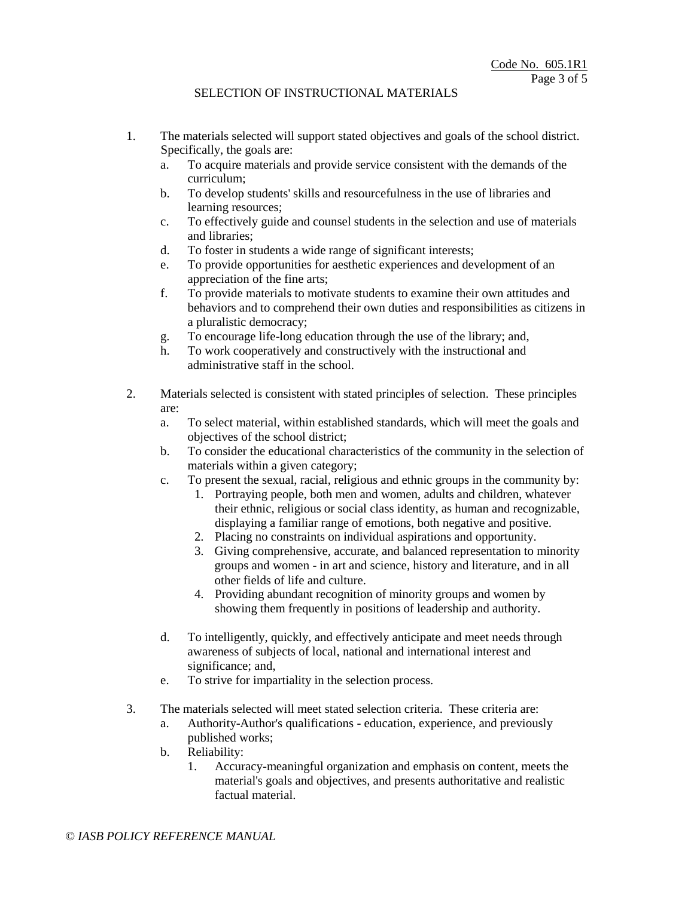- 1. The materials selected will support stated objectives and goals of the school district. Specifically, the goals are:
	- a. To acquire materials and provide service consistent with the demands of the curriculum;
	- b. To develop students' skills and resourcefulness in the use of libraries and learning resources;
	- c. To effectively guide and counsel students in the selection and use of materials and libraries;
	- d. To foster in students a wide range of significant interests;
	- e. To provide opportunities for aesthetic experiences and development of an appreciation of the fine arts;
	- f. To provide materials to motivate students to examine their own attitudes and behaviors and to comprehend their own duties and responsibilities as citizens in a pluralistic democracy;
	- g. To encourage life-long education through the use of the library; and,
	- h. To work cooperatively and constructively with the instructional and administrative staff in the school.
- 2. Materials selected is consistent with stated principles of selection. These principles are:
	- a. To select material, within established standards, which will meet the goals and objectives of the school district;
	- b. To consider the educational characteristics of the community in the selection of materials within a given category;
	- c. To present the sexual, racial, religious and ethnic groups in the community by:
		- 1. Portraying people, both men and women, adults and children, whatever their ethnic, religious or social class identity, as human and recognizable, displaying a familiar range of emotions, both negative and positive.
		- 2. Placing no constraints on individual aspirations and opportunity.
		- 3. Giving comprehensive, accurate, and balanced representation to minority groups and women - in art and science, history and literature, and in all other fields of life and culture.
		- 4. Providing abundant recognition of minority groups and women by showing them frequently in positions of leadership and authority.
	- d. To intelligently, quickly, and effectively anticipate and meet needs through awareness of subjects of local, national and international interest and significance; and,
	- e. To strive for impartiality in the selection process.
- 3. The materials selected will meet stated selection criteria. These criteria are:
	- a. Authority-Author's qualifications education, experience, and previously published works;
	- b. Reliability:
		- 1. Accuracy-meaningful organization and emphasis on content, meets the material's goals and objectives, and presents authoritative and realistic factual material.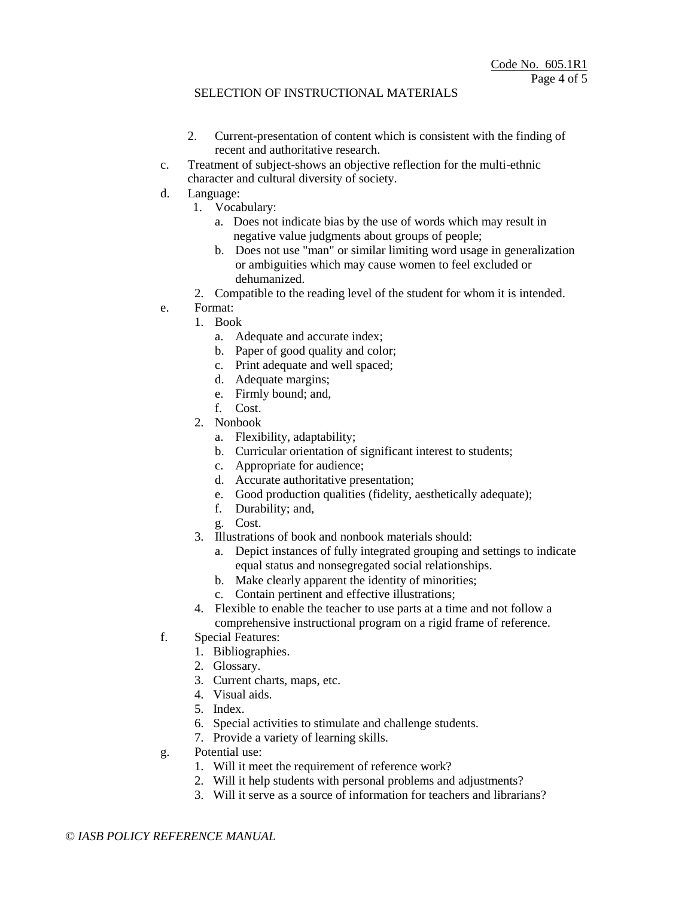- 2. Current-presentation of content which is consistent with the finding of recent and authoritative research.
- c. Treatment of subject-shows an objective reflection for the multi-ethnic character and cultural diversity of society.
- d. Language:
	- 1. Vocabulary:
		- a. Does not indicate bias by the use of words which may result in negative value judgments about groups of people;
		- b. Does not use "man" or similar limiting word usage in generalization or ambiguities which may cause women to feel excluded or dehumanized.
	- 2. Compatible to the reading level of the student for whom it is intended.
- e. Format:
	- 1. Book
		- a. Adequate and accurate index;
		- b. Paper of good quality and color;
		- c. Print adequate and well spaced;
		- d. Adequate margins;
		- e. Firmly bound; and,
		- f. Cost.
	- 2. Nonbook
		- a. Flexibility, adaptability;
		- b. Curricular orientation of significant interest to students;
		- c. Appropriate for audience;
		- d. Accurate authoritative presentation;
		- e. Good production qualities (fidelity, aesthetically adequate);
		- f. Durability; and,
		- g. Cost.
	- 3. Illustrations of book and nonbook materials should:
		- a. Depict instances of fully integrated grouping and settings to indicate equal status and nonsegregated social relationships.
		- b. Make clearly apparent the identity of minorities;
		- c. Contain pertinent and effective illustrations;
	- 4. Flexible to enable the teacher to use parts at a time and not follow a comprehensive instructional program on a rigid frame of reference.
- f. Special Features:
	- 1. Bibliographies.
	- 2. Glossary.
	- 3. Current charts, maps, etc.
	- 4. Visual aids.
	- 5. Index.
	- 6. Special activities to stimulate and challenge students.
	- 7. Provide a variety of learning skills.
- g. Potential use:
	- 1. Will it meet the requirement of reference work?
	- 2. Will it help students with personal problems and adjustments?
	- 3. Will it serve as a source of information for teachers and librarians?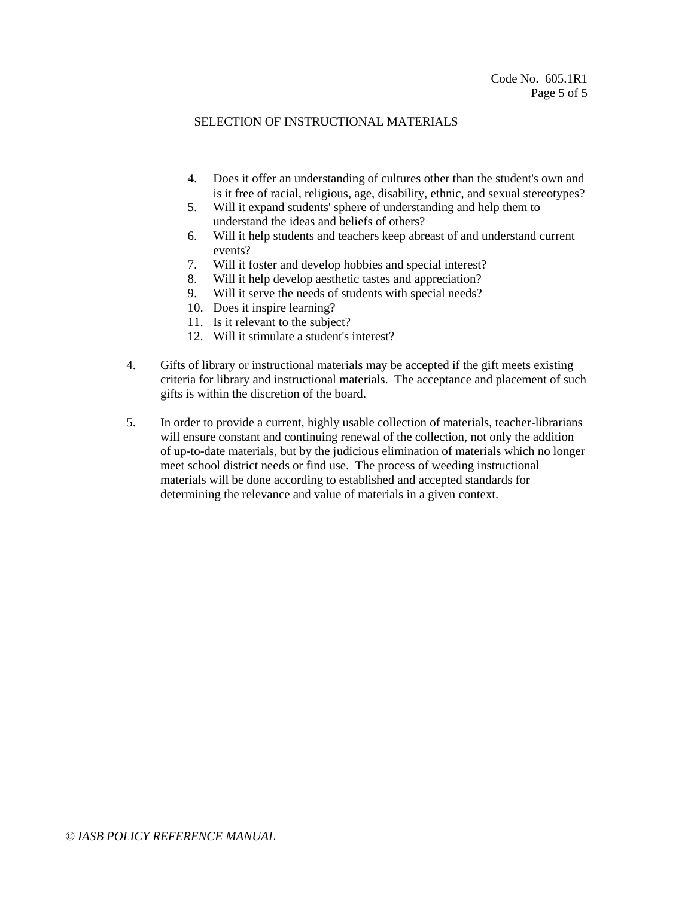- 4. Does it offer an understanding of cultures other than the student's own and is it free of racial, religious, age, disability, ethnic, and sexual stereotypes?
- 5. Will it expand students' sphere of understanding and help them to understand the ideas and beliefs of others?
- 6. Will it help students and teachers keep abreast of and understand current events?
- 7. Will it foster and develop hobbies and special interest?
- 8. Will it help develop aesthetic tastes and appreciation?
- 9. Will it serve the needs of students with special needs?
- 10. Does it inspire learning?
- 11. Is it relevant to the subject?
- 12. Will it stimulate a student's interest?
- 4. Gifts of library or instructional materials may be accepted if the gift meets existing criteria for library and instructional materials. The acceptance and placement of such gifts is within the discretion of the board.
- 5. In order to provide a current, highly usable collection of materials, teacher-librarians will ensure constant and continuing renewal of the collection, not only the addition of up-to-date materials, but by the judicious elimination of materials which no longer meet school district needs or find use. The process of weeding instructional materials will be done according to established and accepted standards for determining the relevance and value of materials in a given context.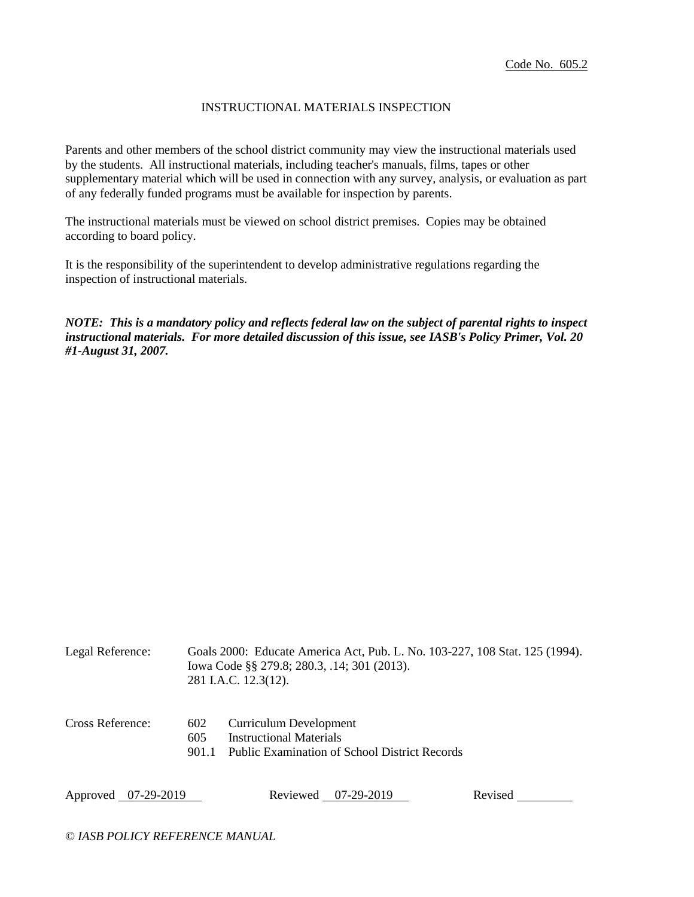## INSTRUCTIONAL MATERIALS INSPECTION

Parents and other members of the school district community may view the instructional materials used by the students. All instructional materials, including teacher's manuals, films, tapes or other supplementary material which will be used in connection with any survey, analysis, or evaluation as part of any federally funded programs must be available for inspection by parents.

The instructional materials must be viewed on school district premises. Copies may be obtained according to board policy.

It is the responsibility of the superintendent to develop administrative regulations regarding the inspection of instructional materials.

*NOTE: This is a mandatory policy and reflects federal law on the subject of parental rights to inspect instructional materials. For more detailed discussion of this issue, see IASB's Policy Primer, Vol. 20 #1-August 31, 2007.*

| Legal Reference:    |                     | Goals 2000: Educate America Act, Pub. L. No. 103-227, 108 Stat. 125 (1994).<br>Iowa Code §§ 279.8; 280.3, .14; 301 (2013).<br>281 I.A.C. 12.3(12). |         |  |
|---------------------|---------------------|----------------------------------------------------------------------------------------------------------------------------------------------------|---------|--|
| Cross Reference:    | 602<br>605<br>901.1 | Curriculum Development<br><b>Instructional Materials</b><br>Public Examination of School District Records                                          |         |  |
| Approved 07-29-2019 |                     | Reviewed 07-29-2019                                                                                                                                | Revised |  |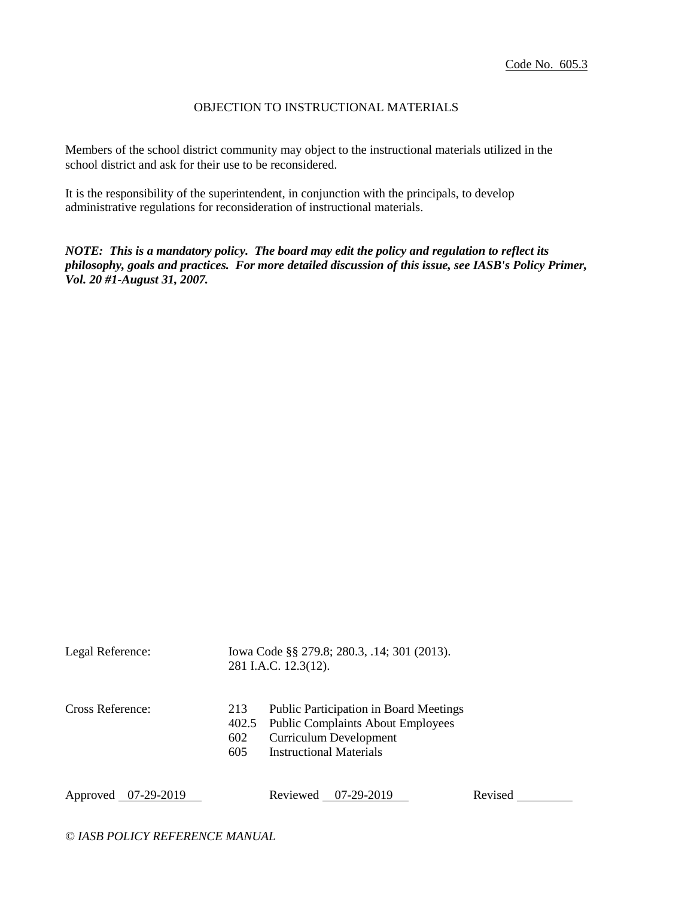## OBJECTION TO INSTRUCTIONAL MATERIALS

Members of the school district community may object to the instructional materials utilized in the school district and ask for their use to be reconsidered.

It is the responsibility of the superintendent, in conjunction with the principals, to develop administrative regulations for reconsideration of instructional materials.

*NOTE: This is a mandatory policy. The board may edit the policy and regulation to reflect its philosophy, goals and practices. For more detailed discussion of this issue, see IASB's Policy Primer, Vol. 20 #1-August 31, 2007.*

| Legal Reference:    |                   | Iowa Code §§ 279.8; 280.3, .14; 301 (2013).<br>281 I.A.C. 12.3(12).                                                                                         |         |  |
|---------------------|-------------------|-------------------------------------------------------------------------------------------------------------------------------------------------------------|---------|--|
| Cross Reference:    | 213<br>602<br>605 | <b>Public Participation in Board Meetings</b><br>402.5 Public Complaints About Employees<br><b>Curriculum Development</b><br><b>Instructional Materials</b> |         |  |
| Approved 07-29-2019 |                   | 07-29-2019<br>Reviewed                                                                                                                                      | Revised |  |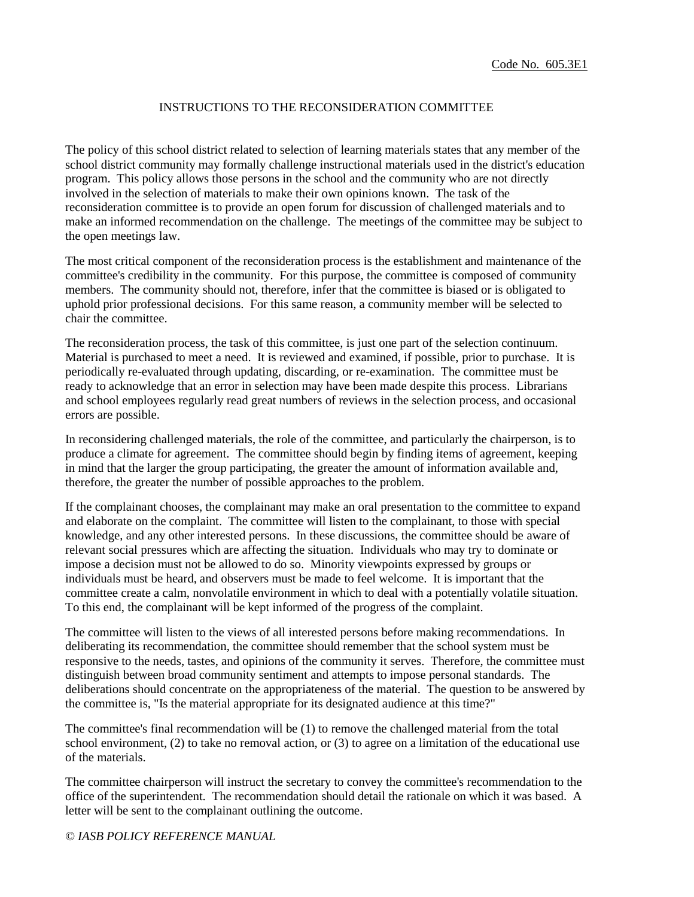### INSTRUCTIONS TO THE RECONSIDERATION COMMITTEE

The policy of this school district related to selection of learning materials states that any member of the school district community may formally challenge instructional materials used in the district's education program. This policy allows those persons in the school and the community who are not directly involved in the selection of materials to make their own opinions known. The task of the reconsideration committee is to provide an open forum for discussion of challenged materials and to make an informed recommendation on the challenge. The meetings of the committee may be subject to the open meetings law.

The most critical component of the reconsideration process is the establishment and maintenance of the committee's credibility in the community. For this purpose, the committee is composed of community members. The community should not, therefore, infer that the committee is biased or is obligated to uphold prior professional decisions. For this same reason, a community member will be selected to chair the committee.

The reconsideration process, the task of this committee, is just one part of the selection continuum. Material is purchased to meet a need. It is reviewed and examined, if possible, prior to purchase. It is periodically re-evaluated through updating, discarding, or re-examination. The committee must be ready to acknowledge that an error in selection may have been made despite this process. Librarians and school employees regularly read great numbers of reviews in the selection process, and occasional errors are possible.

In reconsidering challenged materials, the role of the committee, and particularly the chairperson, is to produce a climate for agreement. The committee should begin by finding items of agreement, keeping in mind that the larger the group participating, the greater the amount of information available and, therefore, the greater the number of possible approaches to the problem.

If the complainant chooses, the complainant may make an oral presentation to the committee to expand and elaborate on the complaint. The committee will listen to the complainant, to those with special knowledge, and any other interested persons. In these discussions, the committee should be aware of relevant social pressures which are affecting the situation. Individuals who may try to dominate or impose a decision must not be allowed to do so. Minority viewpoints expressed by groups or individuals must be heard, and observers must be made to feel welcome. It is important that the committee create a calm, nonvolatile environment in which to deal with a potentially volatile situation. To this end, the complainant will be kept informed of the progress of the complaint.

The committee will listen to the views of all interested persons before making recommendations. In deliberating its recommendation, the committee should remember that the school system must be responsive to the needs, tastes, and opinions of the community it serves. Therefore, the committee must distinguish between broad community sentiment and attempts to impose personal standards. The deliberations should concentrate on the appropriateness of the material. The question to be answered by the committee is, "Is the material appropriate for its designated audience at this time?"

The committee's final recommendation will be (1) to remove the challenged material from the total school environment, (2) to take no removal action, or (3) to agree on a limitation of the educational use of the materials.

The committee chairperson will instruct the secretary to convey the committee's recommendation to the office of the superintendent. The recommendation should detail the rationale on which it was based. A letter will be sent to the complainant outlining the outcome.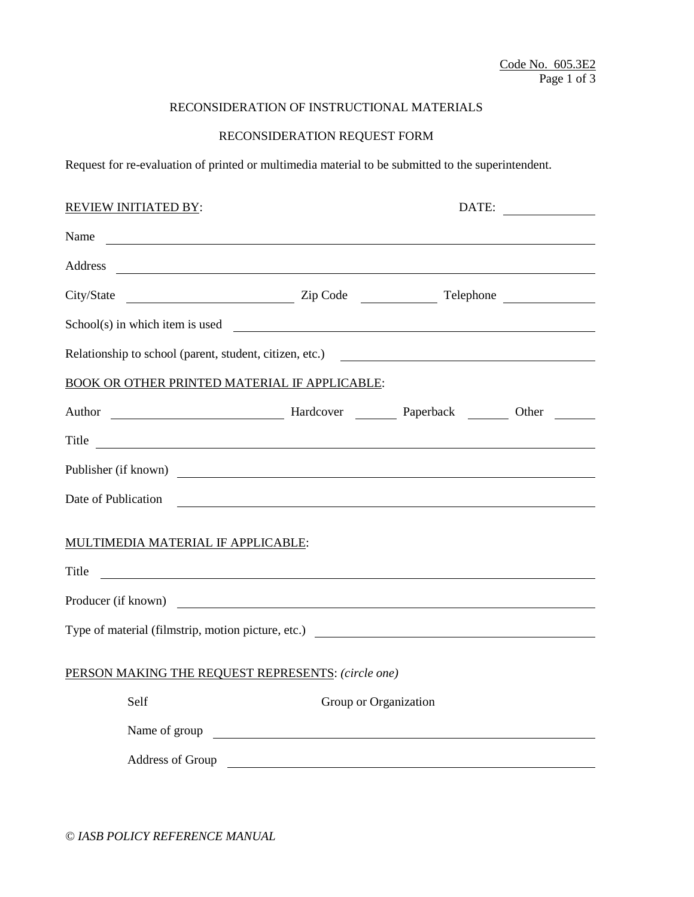# RECONSIDERATION OF INSTRUCTIONAL MATERIALS

# RECONSIDERATION REQUEST FORM

Request for re-evaluation of printed or multimedia material to be submitted to the superintendent.

| <b>REVIEW INITIATED BY:</b>                                                                                                                                                                                                                           |                                                                                                                       | DATE: |  |
|-------------------------------------------------------------------------------------------------------------------------------------------------------------------------------------------------------------------------------------------------------|-----------------------------------------------------------------------------------------------------------------------|-------|--|
| Name                                                                                                                                                                                                                                                  |                                                                                                                       |       |  |
| Address<br><u> 2000 - Jan James James Barnett, amerikan bisa di sebagai pertama dan bagi pertama dan bagi pertama dan bagi </u>                                                                                                                       |                                                                                                                       |       |  |
|                                                                                                                                                                                                                                                       |                                                                                                                       |       |  |
| School(s) in which item is used                                                                                                                                                                                                                       |                                                                                                                       |       |  |
| Relationship to school (parent, student, citizen, etc.)                                                                                                                                                                                               |                                                                                                                       |       |  |
| <b>BOOK OR OTHER PRINTED MATERIAL IF APPLICABLE:</b>                                                                                                                                                                                                  |                                                                                                                       |       |  |
| Author Manuel Manuel Manuel Manuel Manuel Paperback Manuel Other Manuel Manuel Manuel Manuel Manuel Manuel Manuel Manuel Manuel Manuel Manuel Manuel Manuel Manuel Manuel Manuel Manuel Manuel Manuel Manuel Manuel Manuel Man                        |                                                                                                                       |       |  |
| Title<br><u> 1989 - Andrea State Barbara, amerikan personal di sebagai personal di sebagai personal di sebagai personal d</u>                                                                                                                         |                                                                                                                       |       |  |
| Publisher (if known)                                                                                                                                                                                                                                  |                                                                                                                       |       |  |
| Date of Publication<br><u> 1980 - John Stein, Amerikaansk politiker (* 1918)</u>                                                                                                                                                                      |                                                                                                                       |       |  |
| MULTIMEDIA MATERIAL IF APPLICABLE:                                                                                                                                                                                                                    |                                                                                                                       |       |  |
| Title<br><u> 1980 - Andrea Andrew Maria (h. 1980).</u>                                                                                                                                                                                                |                                                                                                                       |       |  |
| Producer (if known)                                                                                                                                                                                                                                   |                                                                                                                       |       |  |
|                                                                                                                                                                                                                                                       |                                                                                                                       |       |  |
| PERSON MAKING THE REQUEST REPRESENTS: (circle one)                                                                                                                                                                                                    |                                                                                                                       |       |  |
| Self                                                                                                                                                                                                                                                  | Group or Organization                                                                                                 |       |  |
| Name of group<br><u>and the state of the state of the state of the state of the state of the state of the state of the state of the state of the state of the state of the state of the state of the state of the state of the state of the state</u> |                                                                                                                       |       |  |
| Address of Group                                                                                                                                                                                                                                      | <u>and the state of the state of the state of the state of the state of the state of the state of the state of th</u> |       |  |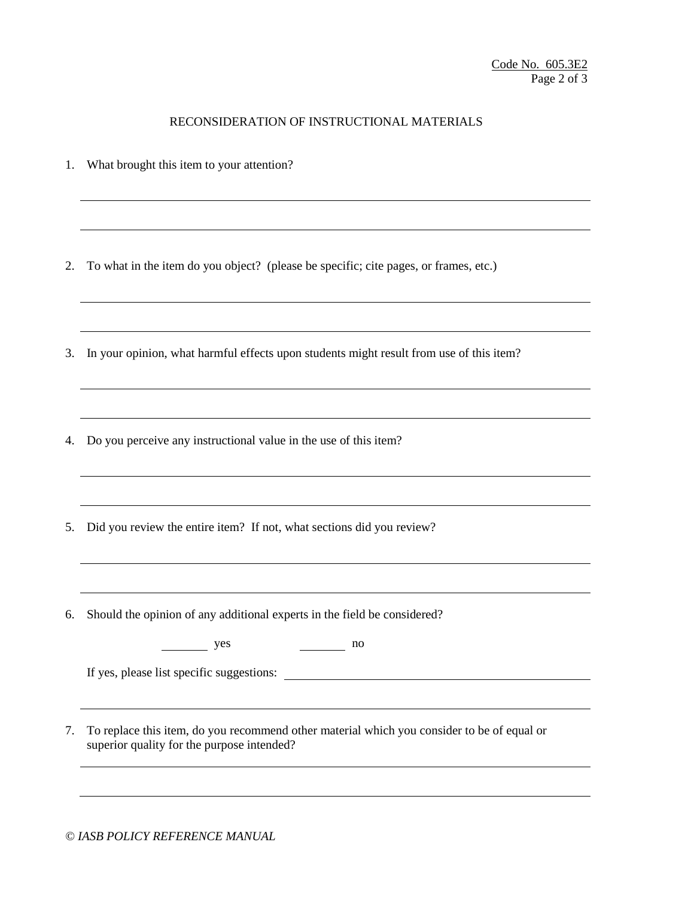## RECONSIDERATION OF INSTRUCTIONAL MATERIALS

1. What brought this item to your attention?

2. To what in the item do you object? (please be specific; cite pages, or frames, etc.)

- 3. In your opinion, what harmful effects upon students might result from use of this item?
- 4. Do you perceive any instructional value in the use of this item?
- 5. Did you review the entire item? If not, what sections did you review?
- 6. Should the opinion of any additional experts in the field be considered?

| <b>Section</b><br>$\mathbf{100}$<br>∼<br>--<br>$\sim$<br>$-1$ |
|---------------------------------------------------------------|
|                                                               |

If yes, please list specific suggestions:

7. To replace this item, do you recommend other material which you consider to be of equal or superior quality for the purpose intended?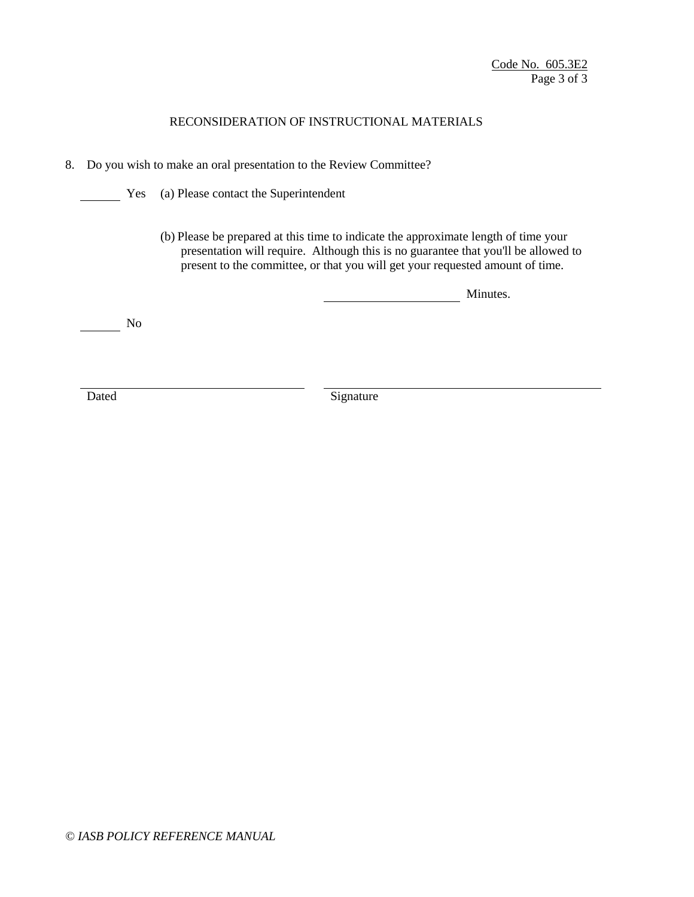# RECONSIDERATION OF INSTRUCTIONAL MATERIALS

- 8. Do you wish to make an oral presentation to the Review Committee?
	- **Yes** (a) Please contact the Superintendent
		- (b) Please be prepared at this time to indicate the approximate length of time your presentation will require. Although this is no guarantee that you'll be allowed to present to the committee, or that you will get your requested amount of time.

**Minutes.** Minutes.

 $\frac{1}{\sqrt{1-\frac{1}{2}}}\sqrt{1-\frac{1}{2}}$ 

Dated Signature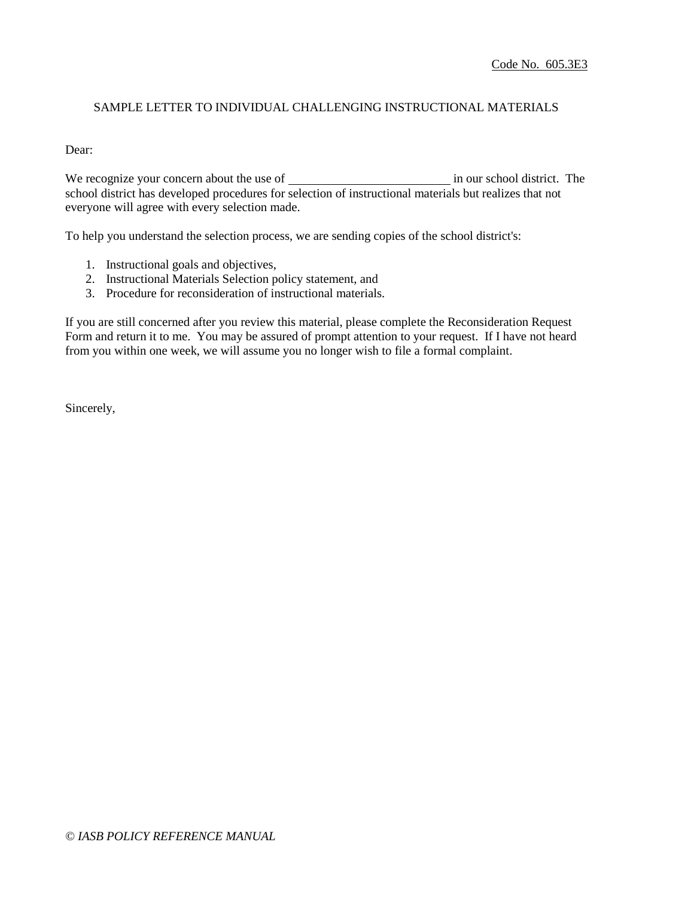## SAMPLE LETTER TO INDIVIDUAL CHALLENGING INSTRUCTIONAL MATERIALS

Dear:

We recognize your concern about the use of in our school district. The school district has developed procedures for selection of instructional materials but realizes that not everyone will agree with every selection made.

To help you understand the selection process, we are sending copies of the school district's:

- 1. Instructional goals and objectives,
- 2. Instructional Materials Selection policy statement, and
- 3. Procedure for reconsideration of instructional materials.

If you are still concerned after you review this material, please complete the Reconsideration Request Form and return it to me. You may be assured of prompt attention to your request. If I have not heard from you within one week, we will assume you no longer wish to file a formal complaint.

Sincerely,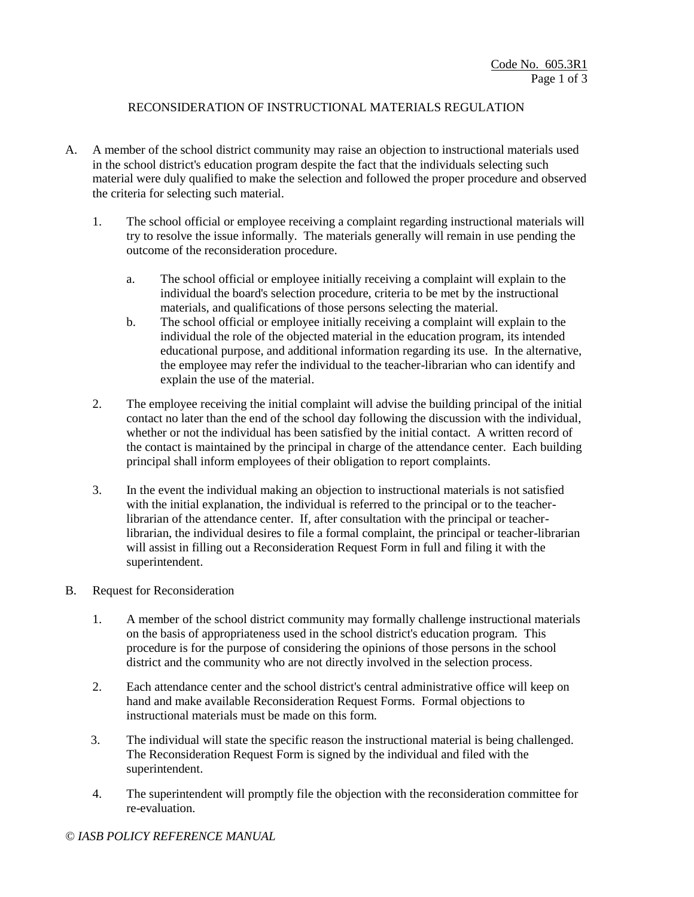## RECONSIDERATION OF INSTRUCTIONAL MATERIALS REGULATION

- A. A member of the school district community may raise an objection to instructional materials used in the school district's education program despite the fact that the individuals selecting such material were duly qualified to make the selection and followed the proper procedure and observed the criteria for selecting such material.
	- 1. The school official or employee receiving a complaint regarding instructional materials will try to resolve the issue informally. The materials generally will remain in use pending the outcome of the reconsideration procedure.
		- a. The school official or employee initially receiving a complaint will explain to the individual the board's selection procedure, criteria to be met by the instructional materials, and qualifications of those persons selecting the material.
		- b. The school official or employee initially receiving a complaint will explain to the individual the role of the objected material in the education program, its intended educational purpose, and additional information regarding its use. In the alternative, the employee may refer the individual to the teacher-librarian who can identify and explain the use of the material.
	- 2. The employee receiving the initial complaint will advise the building principal of the initial contact no later than the end of the school day following the discussion with the individual, whether or not the individual has been satisfied by the initial contact. A written record of the contact is maintained by the principal in charge of the attendance center. Each building principal shall inform employees of their obligation to report complaints.
	- 3. In the event the individual making an objection to instructional materials is not satisfied with the initial explanation, the individual is referred to the principal or to the teacherlibrarian of the attendance center. If, after consultation with the principal or teacherlibrarian, the individual desires to file a formal complaint, the principal or teacher-librarian will assist in filling out a Reconsideration Request Form in full and filing it with the superintendent.

### B. Request for Reconsideration

- 1. A member of the school district community may formally challenge instructional materials on the basis of appropriateness used in the school district's education program. This procedure is for the purpose of considering the opinions of those persons in the school district and the community who are not directly involved in the selection process.
- 2. Each attendance center and the school district's central administrative office will keep on hand and make available Reconsideration Request Forms. Formal objections to instructional materials must be made on this form.
- 3. The individual will state the specific reason the instructional material is being challenged. The Reconsideration Request Form is signed by the individual and filed with the superintendent.
- 4. The superintendent will promptly file the objection with the reconsideration committee for re-evaluation.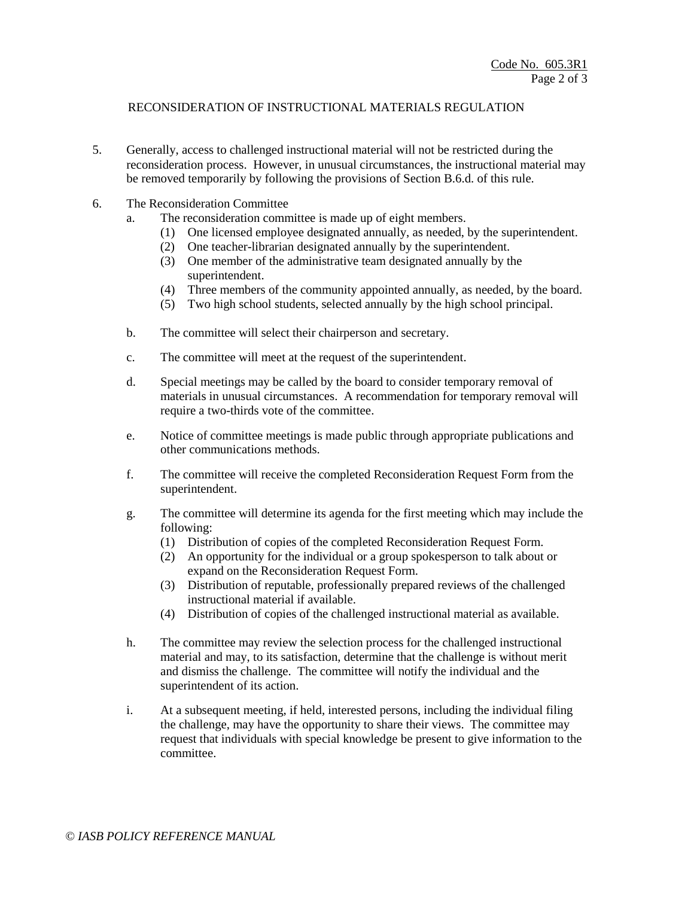## RECONSIDERATION OF INSTRUCTIONAL MATERIALS REGULATION

- 5. Generally, access to challenged instructional material will not be restricted during the reconsideration process. However, in unusual circumstances, the instructional material may be removed temporarily by following the provisions of Section B.6.d. of this rule.
- 6. The Reconsideration Committee
	- a. The reconsideration committee is made up of eight members.
		- (1) One licensed employee designated annually, as needed, by the superintendent.
		- (2) One teacher-librarian designated annually by the superintendent.
		- (3) One member of the administrative team designated annually by the superintendent.
		- (4) Three members of the community appointed annually, as needed, by the board.
		- (5) Two high school students, selected annually by the high school principal.
	- b. The committee will select their chairperson and secretary.
	- c. The committee will meet at the request of the superintendent.
	- d. Special meetings may be called by the board to consider temporary removal of materials in unusual circumstances. A recommendation for temporary removal will require a two-thirds vote of the committee.
	- e. Notice of committee meetings is made public through appropriate publications and other communications methods.
	- f. The committee will receive the completed Reconsideration Request Form from the superintendent.
	- g. The committee will determine its agenda for the first meeting which may include the following:
		- (1) Distribution of copies of the completed Reconsideration Request Form.
		- (2) An opportunity for the individual or a group spokesperson to talk about or expand on the Reconsideration Request Form.
		- (3) Distribution of reputable, professionally prepared reviews of the challenged instructional material if available.
		- (4) Distribution of copies of the challenged instructional material as available.
	- h. The committee may review the selection process for the challenged instructional material and may, to its satisfaction, determine that the challenge is without merit and dismiss the challenge. The committee will notify the individual and the superintendent of its action.
	- i. At a subsequent meeting, if held, interested persons, including the individual filing the challenge, may have the opportunity to share their views. The committee may request that individuals with special knowledge be present to give information to the committee.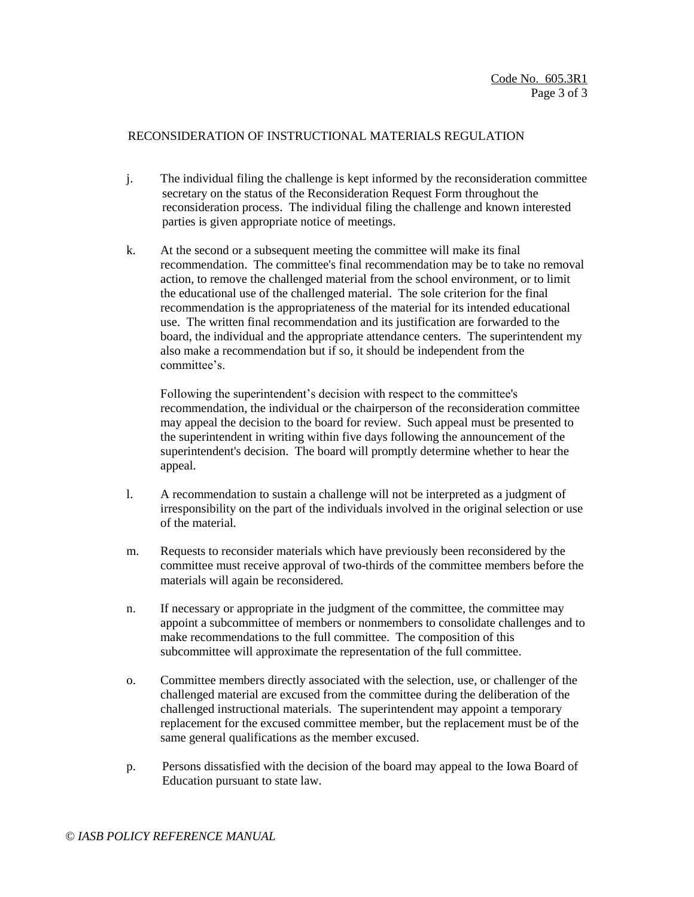### RECONSIDERATION OF INSTRUCTIONAL MATERIALS REGULATION

- j. The individual filing the challenge is kept informed by the reconsideration committee secretary on the status of the Reconsideration Request Form throughout the reconsideration process. The individual filing the challenge and known interested parties is given appropriate notice of meetings.
- k. At the second or a subsequent meeting the committee will make its final recommendation. The committee's final recommendation may be to take no removal action, to remove the challenged material from the school environment, or to limit the educational use of the challenged material. The sole criterion for the final recommendation is the appropriateness of the material for its intended educational use. The written final recommendation and its justification are forwarded to the board, the individual and the appropriate attendance centers. The superintendent my also make a recommendation but if so, it should be independent from the committee's.

Following the superintendent's decision with respect to the committee's recommendation, the individual or the chairperson of the reconsideration committee may appeal the decision to the board for review. Such appeal must be presented to the superintendent in writing within five days following the announcement of the superintendent's decision. The board will promptly determine whether to hear the appeal.

- l. A recommendation to sustain a challenge will not be interpreted as a judgment of irresponsibility on the part of the individuals involved in the original selection or use of the material.
- m. Requests to reconsider materials which have previously been reconsidered by the committee must receive approval of two-thirds of the committee members before the materials will again be reconsidered.
- n. If necessary or appropriate in the judgment of the committee, the committee may appoint a subcommittee of members or nonmembers to consolidate challenges and to make recommendations to the full committee. The composition of this subcommittee will approximate the representation of the full committee.
- o. Committee members directly associated with the selection, use, or challenger of the challenged material are excused from the committee during the deliberation of the challenged instructional materials. The superintendent may appoint a temporary replacement for the excused committee member, but the replacement must be of the same general qualifications as the member excused.
- p. Persons dissatisfied with the decision of the board may appeal to the Iowa Board of Education pursuant to state law.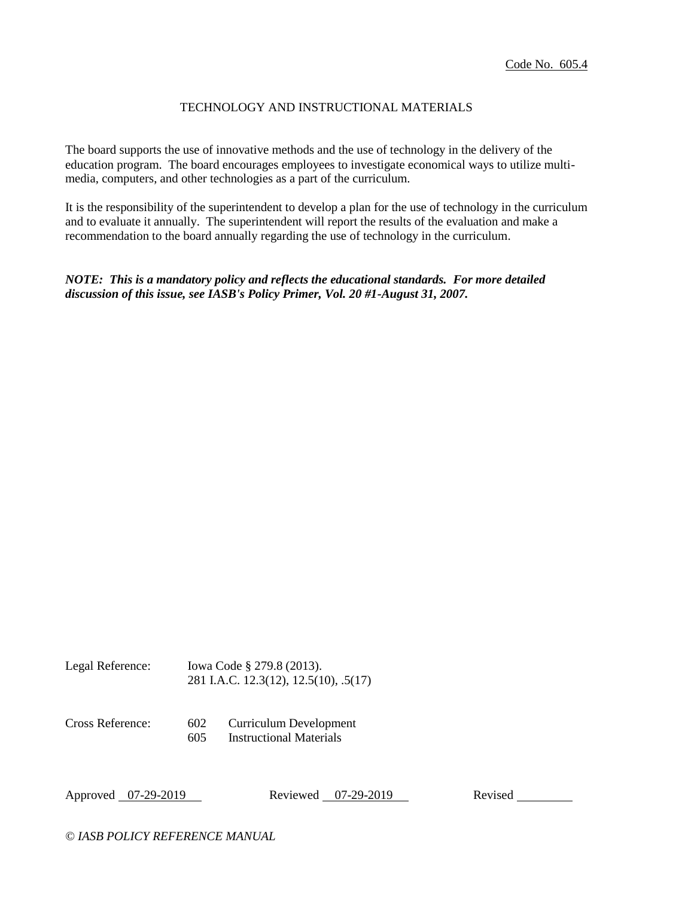## TECHNOLOGY AND INSTRUCTIONAL MATERIALS

The board supports the use of innovative methods and the use of technology in the delivery of the education program. The board encourages employees to investigate economical ways to utilize multimedia, computers, and other technologies as a part of the curriculum.

It is the responsibility of the superintendent to develop a plan for the use of technology in the curriculum and to evaluate it annually. The superintendent will report the results of the evaluation and make a recommendation to the board annually regarding the use of technology in the curriculum.

*NOTE: This is a mandatory policy and reflects the educational standards. For more detailed discussion of this issue, see IASB's Policy Primer, Vol. 20 #1-August 31, 2007.*

Legal Reference: Iowa Code § 279.8 (2013). 281 I.A.C. 12.3(12), 12.5(10), .5(17)

Cross Reference: 602 Curriculum Development 605 Instructional Materials

Approved 07-29-2019 Reviewed 07-29-2019 Revised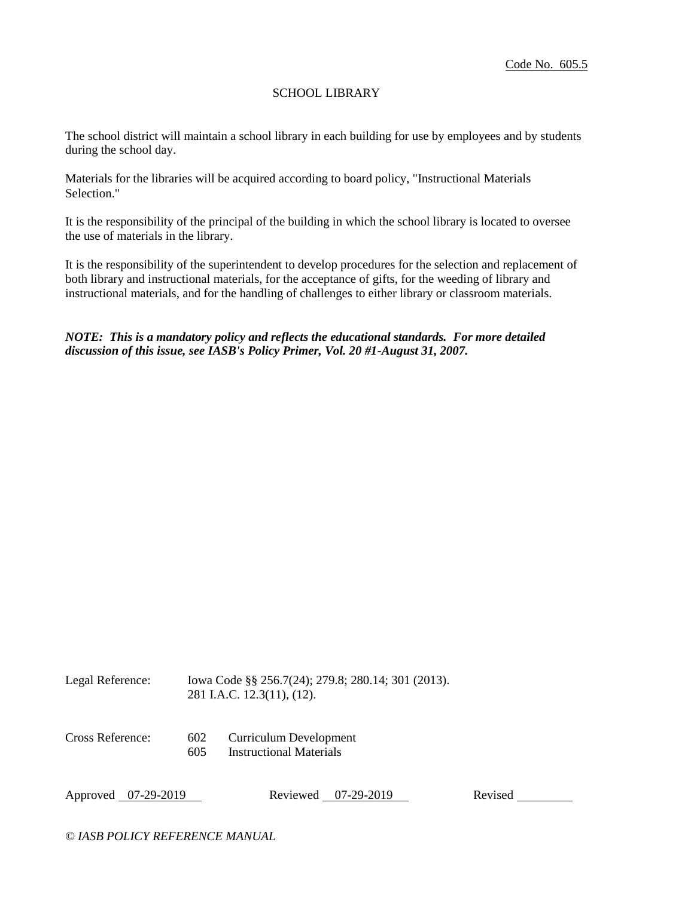## SCHOOL LIBRARY

The school district will maintain a school library in each building for use by employees and by students during the school day.

Materials for the libraries will be acquired according to board policy, "Instructional Materials Selection."

It is the responsibility of the principal of the building in which the school library is located to oversee the use of materials in the library.

It is the responsibility of the superintendent to develop procedures for the selection and replacement of both library and instructional materials, for the acceptance of gifts, for the weeding of library and instructional materials, and for the handling of challenges to either library or classroom materials.

## *NOTE: This is a mandatory policy and reflects the educational standards. For more detailed discussion of this issue, see IASB's Policy Primer, Vol. 20 #1-August 31, 2007.*

Legal Reference: Iowa Code §§ 256.7(24); 279.8; 280.14; 301 (2013). 281 I.A.C. 12.3(11), (12).

Cross Reference: 602 Curriculum Development 605 Instructional Materials

Approved 07-29-2019 Reviewed 07-29-2019 Revised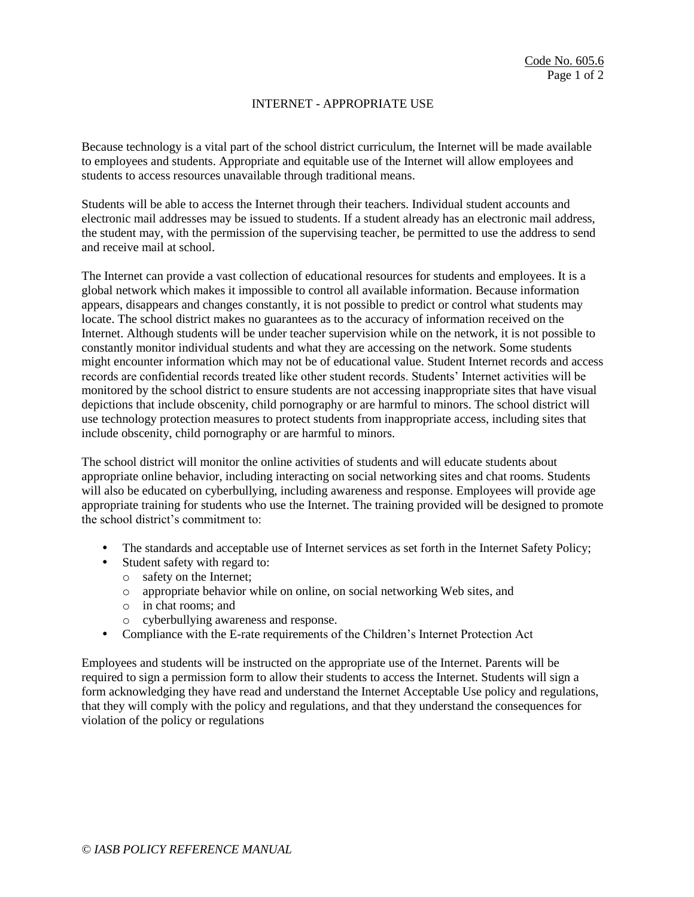### INTERNET - APPROPRIATE USE

Because technology is a vital part of the school district curriculum, the Internet will be made available to employees and students. Appropriate and equitable use of the Internet will allow employees and students to access resources unavailable through traditional means.

Students will be able to access the Internet through their teachers. Individual student accounts and electronic mail addresses may be issued to students. If a student already has an electronic mail address, the student may, with the permission of the supervising teacher, be permitted to use the address to send and receive mail at school.

The Internet can provide a vast collection of educational resources for students and employees. It is a global network which makes it impossible to control all available information. Because information appears, disappears and changes constantly, it is not possible to predict or control what students may locate. The school district makes no guarantees as to the accuracy of information received on the Internet. Although students will be under teacher supervision while on the network, it is not possible to constantly monitor individual students and what they are accessing on the network. Some students might encounter information which may not be of educational value. Student Internet records and access records are confidential records treated like other student records. Students' Internet activities will be monitored by the school district to ensure students are not accessing inappropriate sites that have visual depictions that include obscenity, child pornography or are harmful to minors. The school district will use technology protection measures to protect students from inappropriate access, including sites that include obscenity, child pornography or are harmful to minors.

The school district will monitor the online activities of students and will educate students about appropriate online behavior, including interacting on social networking sites and chat rooms. Students will also be educated on cyberbullying, including awareness and response. Employees will provide age appropriate training for students who use the Internet. The training provided will be designed to promote the school district's commitment to:

- The standards and acceptable use of Internet services as set forth in the Internet Safety Policy;
- Student safety with regard to:
	- o safety on the Internet;
	- o appropriate behavior while on online, on social networking Web sites, and
	- o in chat rooms; and
	- o cyberbullying awareness and response.
- Compliance with the E-rate requirements of the Children's Internet Protection Act

Employees and students will be instructed on the appropriate use of the Internet. Parents will be required to sign a permission form to allow their students to access the Internet. Students will sign a form acknowledging they have read and understand the Internet Acceptable Use policy and regulations, that they will comply with the policy and regulations, and that they understand the consequences for violation of the policy or regulations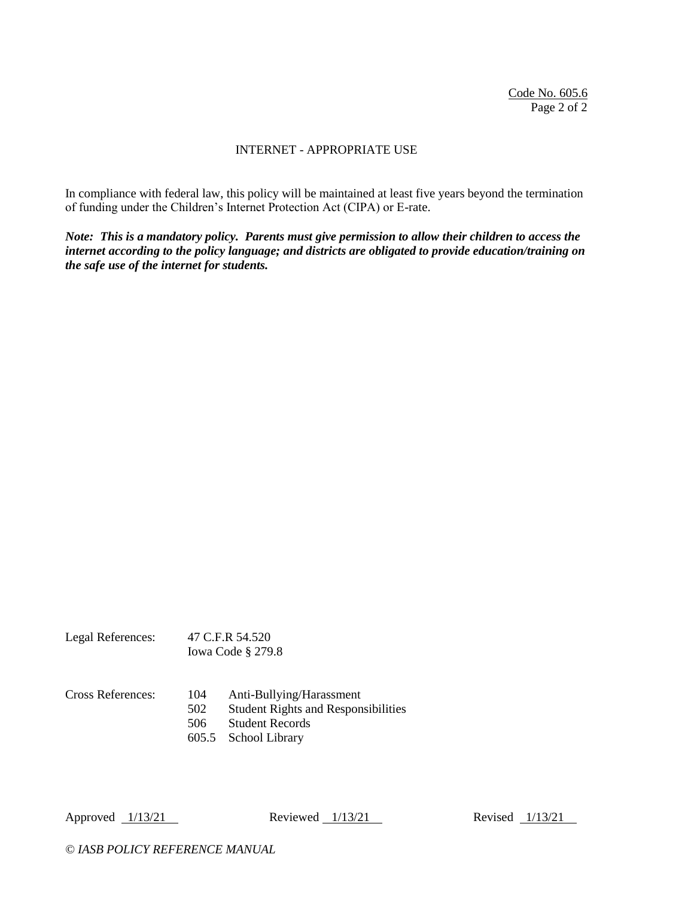Code No. 605.6 Page 2 of 2

#### INTERNET - APPROPRIATE USE

In compliance with federal law, this policy will be maintained at least five years beyond the termination of funding under the Children's Internet Protection Act (CIPA) or E-rate.

*Note: This is a mandatory policy. Parents must give permission to allow their children to access the internet according to the policy language; and districts are obligated to provide education/training on the safe use of the internet for students.*

Legal References: 47 C.F.R 54.520 Iowa Code § 279.8

Cross References: 104 Anti-Bullying/Harassment 502 Student Rights and Responsibilities 506 Student Records 605.5 School Library

Approved 1/13/21 Reviewed 1/13/21 Revised 1/13/21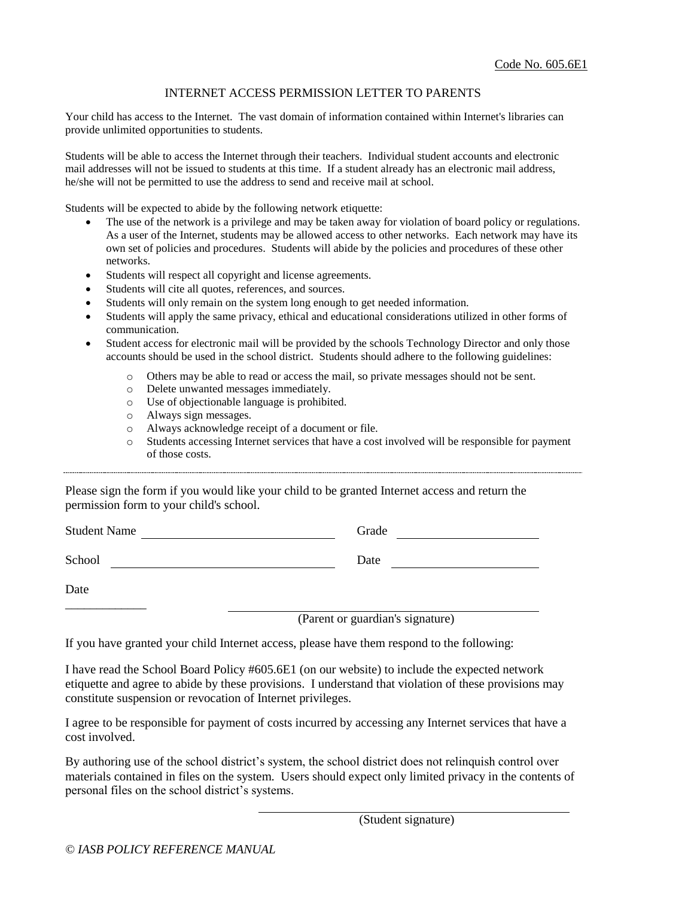### INTERNET ACCESS PERMISSION LETTER TO PARENTS

Your child has access to the Internet. The vast domain of information contained within Internet's libraries can provide unlimited opportunities to students.

Students will be able to access the Internet through their teachers. Individual student accounts and electronic mail addresses will not be issued to students at this time. If a student already has an electronic mail address, he/she will not be permitted to use the address to send and receive mail at school.

Students will be expected to abide by the following network etiquette:

- The use of the network is a privilege and may be taken away for violation of board policy or regulations. As a user of the Internet, students may be allowed access to other networks. Each network may have its own set of policies and procedures. Students will abide by the policies and procedures of these other networks.
- Students will respect all copyright and license agreements.
- Students will cite all quotes, references, and sources.
- Students will only remain on the system long enough to get needed information.
- Students will apply the same privacy, ethical and educational considerations utilized in other forms of communication.
- Student access for electronic mail will be provided by the schools Technology Director and only those accounts should be used in the school district. Students should adhere to the following guidelines:
	- o Others may be able to read or access the mail, so private messages should not be sent.
	- o Delete unwanted messages immediately.
	- o Use of objectionable language is prohibited.
	- o Always sign messages.
	- o Always acknowledge receipt of a document or file.
	- o Students accessing Internet services that have a cost involved will be responsible for payment of those costs.

Please sign the form if you would like your child to be granted Internet access and return the permission form to your child's school.

| <b>Student Name</b> | Grade |
|---------------------|-------|
| School              | Date  |
| Date                |       |

(Parent or guardian's signature)

If you have granted your child Internet access, please have them respond to the following:

I have read the School Board Policy #605.6E1 (on our website) to include the expected network etiquette and agree to abide by these provisions. I understand that violation of these provisions may constitute suspension or revocation of Internet privileges.

I agree to be responsible for payment of costs incurred by accessing any Internet services that have a cost involved.

By authoring use of the school district's system, the school district does not relinquish control over materials contained in files on the system. Users should expect only limited privacy in the contents of personal files on the school district's systems.

(Student signature)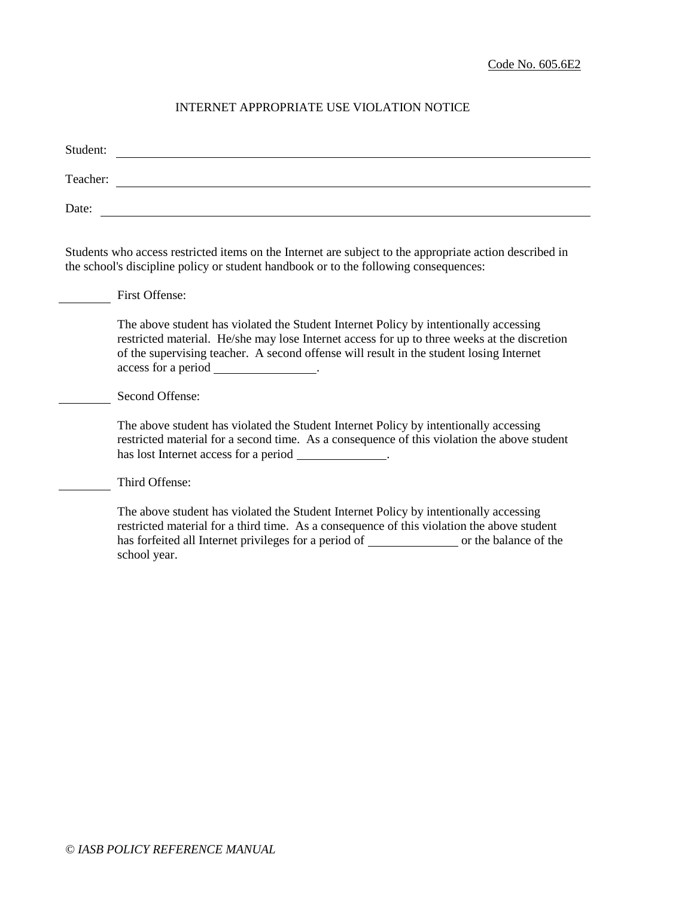# INTERNET APPROPRIATE USE VIOLATION NOTICE

| Student: |                                                                                                                                                                                                                                                                                                                            |
|----------|----------------------------------------------------------------------------------------------------------------------------------------------------------------------------------------------------------------------------------------------------------------------------------------------------------------------------|
| Teacher: | <u> 1980 - Johann Stoff, deutscher Stoffen und der Stoffen und der Stoffen und der Stoffen und der Stoffen und de</u>                                                                                                                                                                                                      |
| Date:    |                                                                                                                                                                                                                                                                                                                            |
|          | Students who access restricted items on the Internet are subject to the appropriate action described in<br>the school's discipline policy or student handbook or to the following consequences:                                                                                                                            |
|          | <b>First Offense:</b>                                                                                                                                                                                                                                                                                                      |
|          | The above student has violated the Student Internet Policy by intentionally accessing<br>restricted material. He/she may lose Internet access for up to three weeks at the discretion<br>of the supervising teacher. A second offense will result in the student losing Internet<br>access for a period _________________. |
|          | Second Offense:                                                                                                                                                                                                                                                                                                            |
|          | The above student has violated the Student Internet Policy by intentionally accessing<br>restricted material for a second time. As a consequence of this violation the above student<br>has lost Internet access for a period ______________.                                                                              |
|          | Third Offense:                                                                                                                                                                                                                                                                                                             |
|          | The above student has violated the Student Internet Policy by intentionally accessing<br>restricted material for a third time. As a consequence of this violation the above student<br>school year.                                                                                                                        |
|          |                                                                                                                                                                                                                                                                                                                            |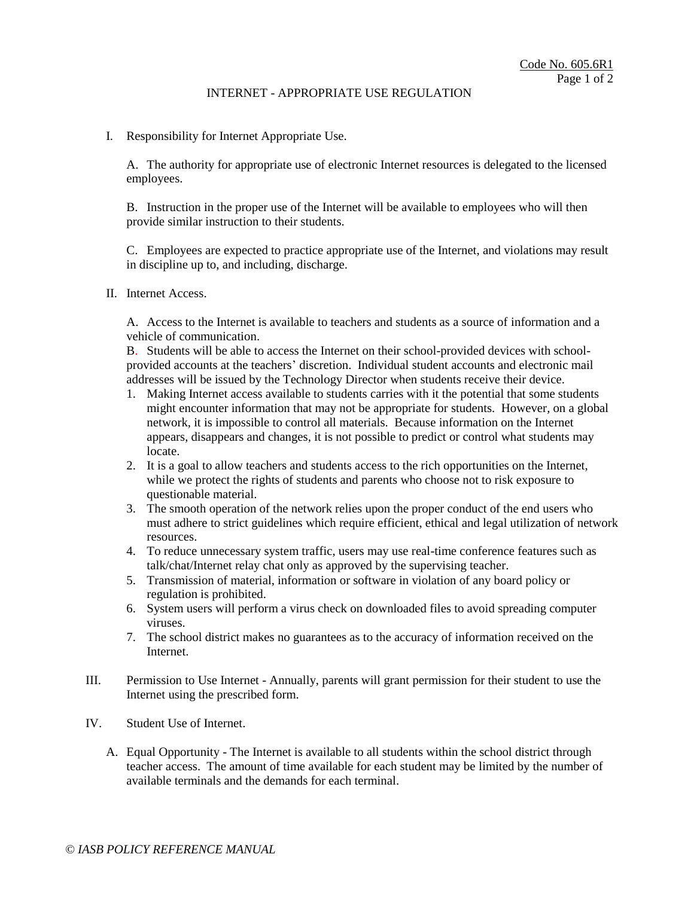#### INTERNET - APPROPRIATE USE REGULATION

I. Responsibility for Internet Appropriate Use.

A. The authority for appropriate use of electronic Internet resources is delegated to the licensed employees.

B. Instruction in the proper use of the Internet will be available to employees who will then provide similar instruction to their students.

C. Employees are expected to practice appropriate use of the Internet, and violations may result in discipline up to, and including, discharge.

II. Internet Access.

A. Access to the Internet is available to teachers and students as a source of information and a vehicle of communication.

B. Students will be able to access the Internet on their school-provided devices with schoolprovided accounts at the teachers' discretion. Individual student accounts and electronic mail addresses will be issued by the Technology Director when students receive their device.

- 1. Making Internet access available to students carries with it the potential that some students might encounter information that may not be appropriate for students. However, on a global network, it is impossible to control all materials. Because information on the Internet appears, disappears and changes, it is not possible to predict or control what students may locate.
- 2. It is a goal to allow teachers and students access to the rich opportunities on the Internet, while we protect the rights of students and parents who choose not to risk exposure to questionable material.
- 3. The smooth operation of the network relies upon the proper conduct of the end users who must adhere to strict guidelines which require efficient, ethical and legal utilization of network resources.
- 4. To reduce unnecessary system traffic, users may use real-time conference features such as talk/chat/Internet relay chat only as approved by the supervising teacher.
- 5. Transmission of material, information or software in violation of any board policy or regulation is prohibited.
- 6. System users will perform a virus check on downloaded files to avoid spreading computer viruses.
- 7. The school district makes no guarantees as to the accuracy of information received on the Internet.
- III. Permission to Use Internet Annually, parents will grant permission for their student to use the Internet using the prescribed form.
- IV. Student Use of Internet.
	- A. Equal Opportunity The Internet is available to all students within the school district through teacher access. The amount of time available for each student may be limited by the number of available terminals and the demands for each terminal.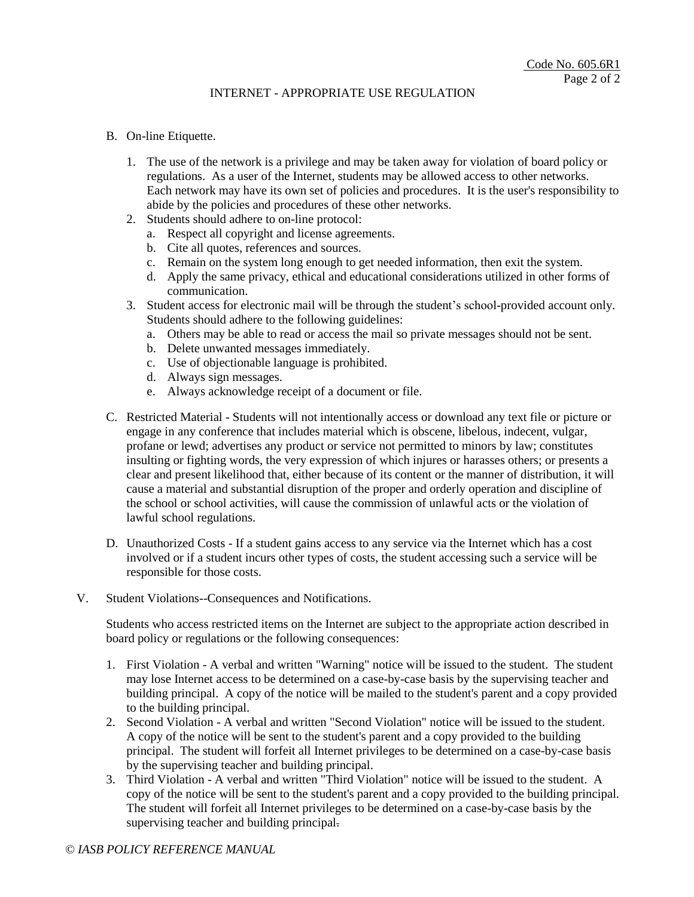## INTERNET - APPROPRIATE USE REGULATION

#### B. On-line Etiquette.

- 1. The use of the network is a privilege and may be taken away for violation of board policy or regulations. As a user of the Internet, students may be allowed access to other networks. Each network may have its own set of policies and procedures. It is the user's responsibility to abide by the policies and procedures of these other networks.
- 2. Students should adhere to on-line protocol:
	- a. Respect all copyright and license agreements.
	- b. Cite all quotes, references and sources.
	- c. Remain on the system long enough to get needed information, then exit the system.
	- d. Apply the same privacy, ethical and educational considerations utilized in other forms of communication.
- 3. Student access for electronic mail will be through the student's school-provided account only. Students should adhere to the following guidelines:
	- a. Others may be able to read or access the mail so private messages should not be sent.
	- b. Delete unwanted messages immediately.
	- c. Use of objectionable language is prohibited.
	- d. Always sign messages.
	- e. Always acknowledge receipt of a document or file.
- C. Restricted Material Students will not intentionally access or download any text file or picture or engage in any conference that includes material which is obscene, libelous, indecent, vulgar, profane or lewd; advertises any product or service not permitted to minors by law; constitutes insulting or fighting words, the very expression of which injures or harasses others; or presents a clear and present likelihood that, either because of its content or the manner of distribution, it will cause a material and substantial disruption of the proper and orderly operation and discipline of the school or school activities, will cause the commission of unlawful acts or the violation of lawful school regulations.
- D. Unauthorized Costs If a student gains access to any service via the Internet which has a cost involved or if a student incurs other types of costs, the student accessing such a service will be responsible for those costs.
- V. Student Violations--Consequences and Notifications.

Students who access restricted items on the Internet are subject to the appropriate action described in board policy or regulations or the following consequences:

- 1. First Violation A verbal and written "Warning" notice will be issued to the student. The student may lose Internet access to be determined on a case-by-case basis by the supervising teacher and building principal. A copy of the notice will be mailed to the student's parent and a copy provided to the building principal.
- 2. Second Violation A verbal and written "Second Violation" notice will be issued to the student. A copy of the notice will be sent to the student's parent and a copy provided to the building principal. The student will forfeit all Internet privileges to be determined on a case-by-case basis by the supervising teacher and building principal.
- 3. Third Violation A verbal and written "Third Violation" notice will be issued to the student. A copy of the notice will be sent to the student's parent and a copy provided to the building principal. The student will forfeit all Internet privileges to be determined on a case-by-case basis by the supervising teacher and building principal.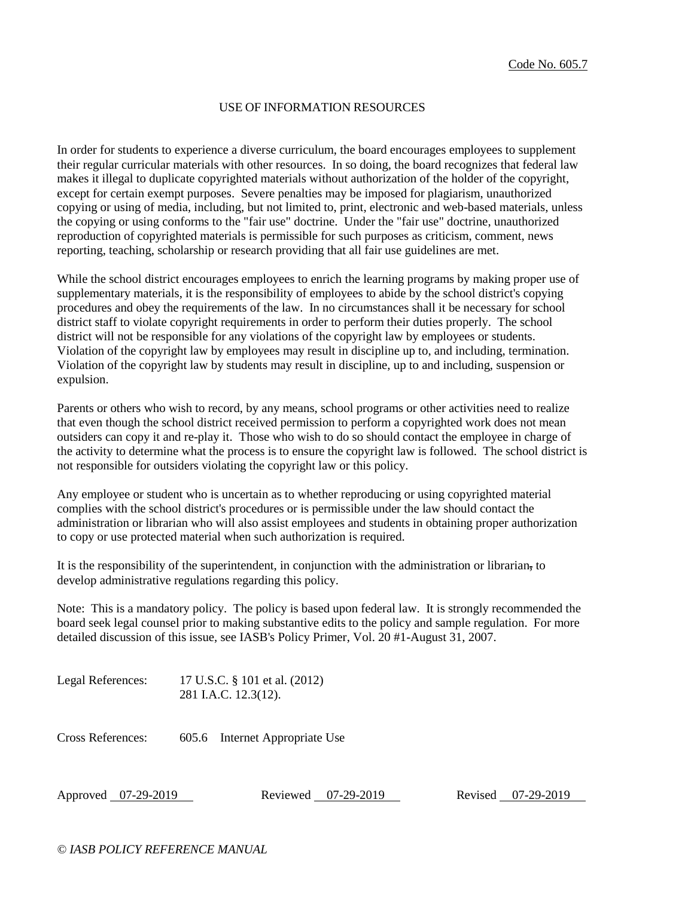#### USE OF INFORMATION RESOURCES

In order for students to experience a diverse curriculum, the board encourages employees to supplement their regular curricular materials with other resources. In so doing, the board recognizes that federal law makes it illegal to duplicate copyrighted materials without authorization of the holder of the copyright, except for certain exempt purposes. Severe penalties may be imposed for plagiarism, unauthorized copying or using of media, including, but not limited to, print, electronic and web-based materials, unless the copying or using conforms to the "fair use" doctrine. Under the "fair use" doctrine, unauthorized reproduction of copyrighted materials is permissible for such purposes as criticism, comment, news reporting, teaching, scholarship or research providing that all fair use guidelines are met.

While the school district encourages employees to enrich the learning programs by making proper use of supplementary materials, it is the responsibility of employees to abide by the school district's copying procedures and obey the requirements of the law. In no circumstances shall it be necessary for school district staff to violate copyright requirements in order to perform their duties properly. The school district will not be responsible for any violations of the copyright law by employees or students. Violation of the copyright law by employees may result in discipline up to, and including, termination. Violation of the copyright law by students may result in discipline, up to and including, suspension or expulsion.

Parents or others who wish to record, by any means, school programs or other activities need to realize that even though the school district received permission to perform a copyrighted work does not mean outsiders can copy it and re-play it. Those who wish to do so should contact the employee in charge of the activity to determine what the process is to ensure the copyright law is followed. The school district is not responsible for outsiders violating the copyright law or this policy.

Any employee or student who is uncertain as to whether reproducing or using copyrighted material complies with the school district's procedures or is permissible under the law should contact the administration or librarian who will also assist employees and students in obtaining proper authorization to copy or use protected material when such authorization is required.

It is the responsibility of the superintendent, in conjunction with the administration or librarian*,* to develop administrative regulations regarding this policy.

Note: This is a mandatory policy. The policy is based upon federal law. It is strongly recommended the board seek legal counsel prior to making substantive edits to the policy and sample regulation. For more detailed discussion of this issue, see IASB's Policy Primer, Vol. 20 #1-August 31, 2007.

Legal References: 17 U.S.C. § 101 et al. (2012) 281 I.A.C. 12.3(12).

Cross References: 605.6 Internet Appropriate Use

Approved 07-29-2019 Reviewed 07-29-2019 Revised 07-29-2019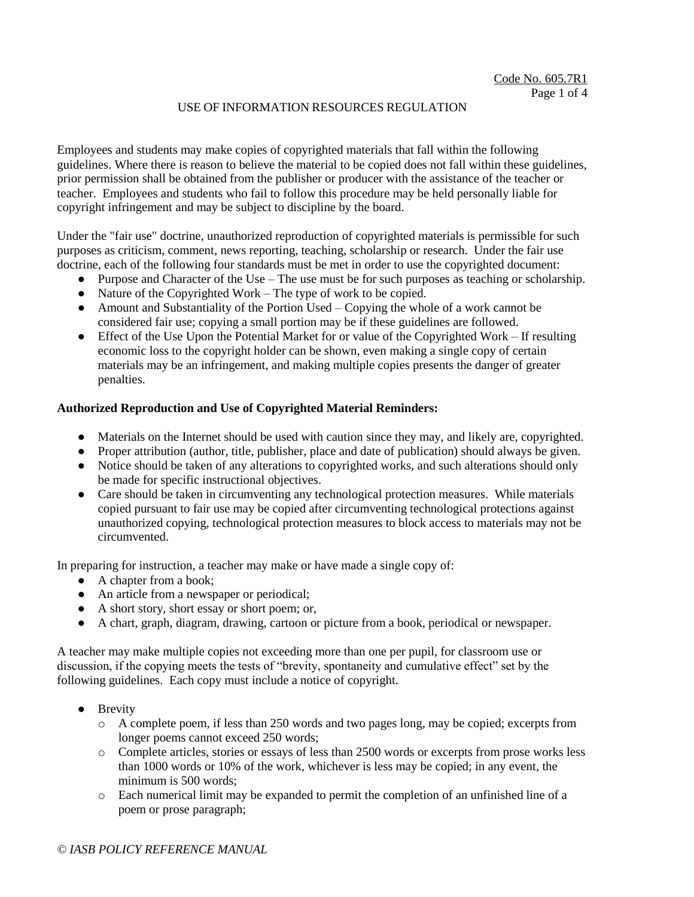Employees and students may make copies of copyrighted materials that fall within the following guidelines. Where there is reason to believe the material to be copied does not fall within these guidelines, prior permission shall be obtained from the publisher or producer with the assistance of the teacher or teacher. Employees and students who fail to follow this procedure may be held personally liable for copyright infringement and may be subject to discipline by the board.

Under the "fair use" doctrine, unauthorized reproduction of copyrighted materials is permissible for such purposes as criticism, comment, news reporting, teaching, scholarship or research. Under the fair use doctrine, each of the following four standards must be met in order to use the copyrighted document:

- Purpose and Character of the Use The use must be for such purposes as teaching or scholarship.
- $\bullet$  Nature of the Copyrighted Work The type of work to be copied.
- $\bullet$  Amount and Substantiality of the Portion Used Copying the whole of a work cannot be considered fair use; copying a small portion may be if these guidelines are followed.
- Effect of the Use Upon the Potential Market for or value of the Copyrighted Work If resulting economic loss to the copyright holder can be shown, even making a single copy of certain materials may be an infringement, and making multiple copies presents the danger of greater penalties.

### **Authorized Reproduction and Use of Copyrighted Material Reminders:**

- Materials on the Internet should be used with caution since they may, and likely are, copyrighted.
- Proper attribution (author, title, publisher, place and date of publication) should always be given.
- Notice should be taken of any alterations to copyrighted works, and such alterations should only be made for specific instructional objectives.
- Care should be taken in circumventing any technological protection measures. While materials copied pursuant to fair use may be copied after circumventing technological protections against unauthorized copying, technological protection measures to block access to materials may not be circumvented.

In preparing for instruction, a teacher may make or have made a single copy of:

- $\bullet$  A chapter from a book;
- An article from a newspaper or periodical;
- A short story, short essay or short poem; or,
- A chart, graph, diagram, drawing, cartoon or picture from a book, periodical or newspaper.

A teacher may make multiple copies not exceeding more than one per pupil, for classroom use or discussion, if the copying meets the tests of "brevity, spontaneity and cumulative effect" set by the following guidelines. Each copy must include a notice of copyright.

- Brevity
	- o A complete poem, if less than 250 words and two pages long, may be copied; excerpts from longer poems cannot exceed 250 words;
	- o Complete articles, stories or essays of less than 2500 words or excerpts from prose works less than 1000 words or 10% of the work, whichever is less may be copied; in any event, the minimum is 500 words;
	- o Each numerical limit may be expanded to permit the completion of an unfinished line of a poem or prose paragraph;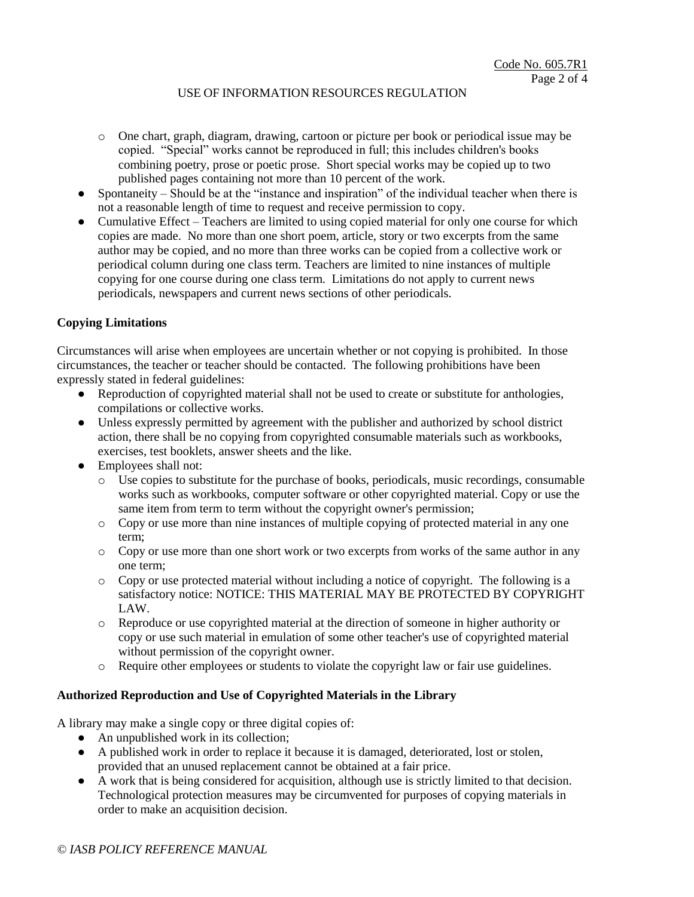- o One chart, graph, diagram, drawing, cartoon or picture per book or periodical issue may be copied. "Special" works cannot be reproduced in full; this includes children's books combining poetry, prose or poetic prose. Short special works may be copied up to two published pages containing not more than 10 percent of the work.
- Spontaneity Should be at the "instance and inspiration" of the individual teacher when there is not a reasonable length of time to request and receive permission to copy.
- Cumulative Effect Teachers are limited to using copied material for only one course for which copies are made. No more than one short poem, article, story or two excerpts from the same author may be copied, and no more than three works can be copied from a collective work or periodical column during one class term. Teachers are limited to nine instances of multiple copying for one course during one class term. Limitations do not apply to current news periodicals, newspapers and current news sections of other periodicals.

### **Copying Limitations**

Circumstances will arise when employees are uncertain whether or not copying is prohibited. In those circumstances, the teacher or teacher should be contacted. The following prohibitions have been expressly stated in federal guidelines:

- Reproduction of copyrighted material shall not be used to create or substitute for anthologies, compilations or collective works.
- Unless expressly permitted by agreement with the publisher and authorized by school district action, there shall be no copying from copyrighted consumable materials such as workbooks, exercises, test booklets, answer sheets and the like.
- Employees shall not:
	- o Use copies to substitute for the purchase of books, periodicals, music recordings, consumable works such as workbooks, computer software or other copyrighted material. Copy or use the same item from term to term without the copyright owner's permission;
	- o Copy or use more than nine instances of multiple copying of protected material in any one term;
	- o Copy or use more than one short work or two excerpts from works of the same author in any one term;
	- $\circ$  Copy or use protected material without including a notice of copyright. The following is a satisfactory notice: NOTICE: THIS MATERIAL MAY BE PROTECTED BY COPYRIGHT LAW.
	- o Reproduce or use copyrighted material at the direction of someone in higher authority or copy or use such material in emulation of some other teacher's use of copyrighted material without permission of the copyright owner.
	- o Require other employees or students to violate the copyright law or fair use guidelines.

## **Authorized Reproduction and Use of Copyrighted Materials in the Library**

A library may make a single copy or three digital copies of:

- An unpublished work in its collection;
- A published work in order to replace it because it is damaged, deteriorated, lost or stolen, provided that an unused replacement cannot be obtained at a fair price.
- A work that is being considered for acquisition, although use is strictly limited to that decision. Technological protection measures may be circumvented for purposes of copying materials in order to make an acquisition decision.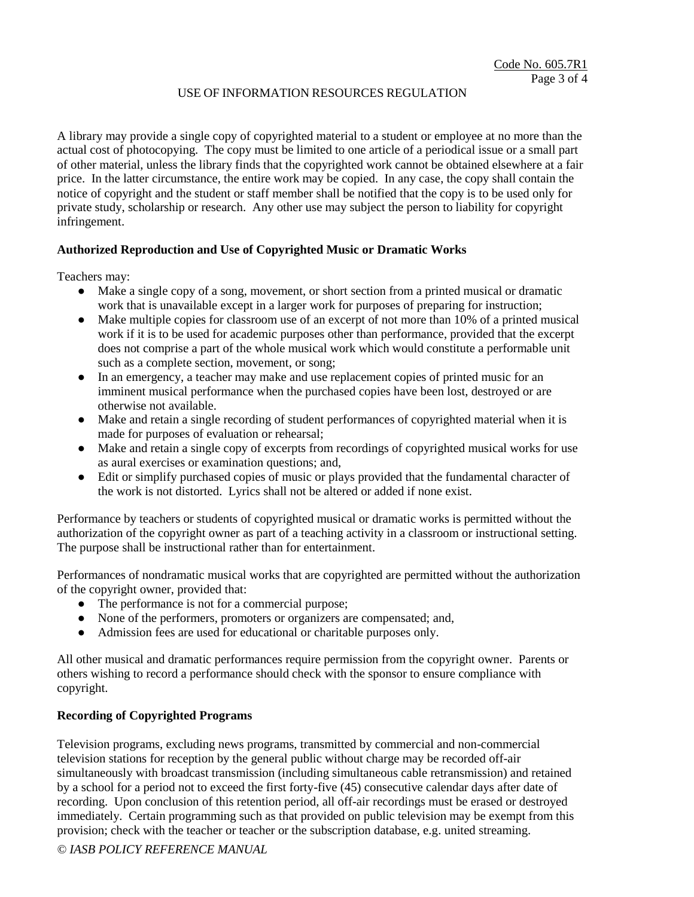A library may provide a single copy of copyrighted material to a student or employee at no more than the actual cost of photocopying. The copy must be limited to one article of a periodical issue or a small part of other material, unless the library finds that the copyrighted work cannot be obtained elsewhere at a fair price. In the latter circumstance, the entire work may be copied. In any case, the copy shall contain the notice of copyright and the student or staff member shall be notified that the copy is to be used only for private study, scholarship or research. Any other use may subject the person to liability for copyright infringement.

### **Authorized Reproduction and Use of Copyrighted Music or Dramatic Works**

Teachers may:

- Make a single copy of a song, movement, or short section from a printed musical or dramatic work that is unavailable except in a larger work for purposes of preparing for instruction;
- Make multiple copies for classroom use of an excerpt of not more than 10% of a printed musical work if it is to be used for academic purposes other than performance, provided that the excerpt does not comprise a part of the whole musical work which would constitute a performable unit such as a complete section, movement, or song;
- In an emergency, a teacher may make and use replacement copies of printed music for an imminent musical performance when the purchased copies have been lost, destroyed or are otherwise not available.
- Make and retain a single recording of student performances of copyrighted material when it is made for purposes of evaluation or rehearsal;
- Make and retain a single copy of excerpts from recordings of copyrighted musical works for use as aural exercises or examination questions; and,
- Edit or simplify purchased copies of music or plays provided that the fundamental character of the work is not distorted. Lyrics shall not be altered or added if none exist.

Performance by teachers or students of copyrighted musical or dramatic works is permitted without the authorization of the copyright owner as part of a teaching activity in a classroom or instructional setting. The purpose shall be instructional rather than for entertainment.

Performances of nondramatic musical works that are copyrighted are permitted without the authorization of the copyright owner, provided that:

- The performance is not for a commercial purpose;
- None of the performers, promoters or organizers are compensated; and,
- Admission fees are used for educational or charitable purposes only.

All other musical and dramatic performances require permission from the copyright owner. Parents or others wishing to record a performance should check with the sponsor to ensure compliance with copyright.

### **Recording of Copyrighted Programs**

Television programs, excluding news programs, transmitted by commercial and non-commercial television stations for reception by the general public without charge may be recorded off-air simultaneously with broadcast transmission (including simultaneous cable retransmission) and retained by a school for a period not to exceed the first forty-five (45) consecutive calendar days after date of recording. Upon conclusion of this retention period, all off-air recordings must be erased or destroyed immediately. Certain programming such as that provided on public television may be exempt from this provision; check with the teacher or teacher or the subscription database, e.g. united streaming.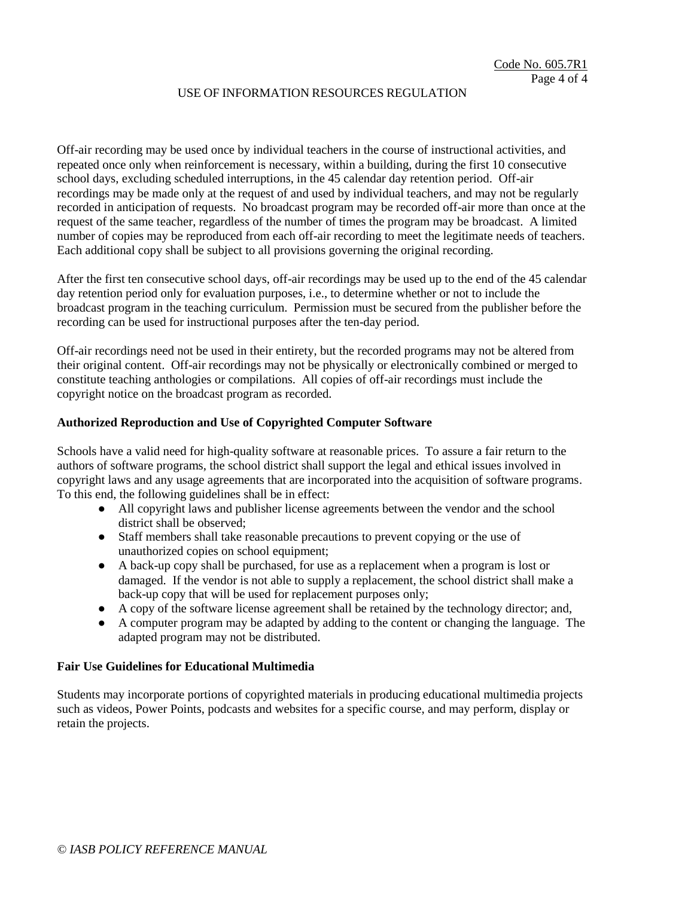Off-air recording may be used once by individual teachers in the course of instructional activities, and repeated once only when reinforcement is necessary, within a building, during the first 10 consecutive school days, excluding scheduled interruptions, in the 45 calendar day retention period. Off-air recordings may be made only at the request of and used by individual teachers, and may not be regularly recorded in anticipation of requests. No broadcast program may be recorded off-air more than once at the request of the same teacher, regardless of the number of times the program may be broadcast. A limited number of copies may be reproduced from each off-air recording to meet the legitimate needs of teachers. Each additional copy shall be subject to all provisions governing the original recording.

After the first ten consecutive school days, off-air recordings may be used up to the end of the 45 calendar day retention period only for evaluation purposes, i.e., to determine whether or not to include the broadcast program in the teaching curriculum. Permission must be secured from the publisher before the recording can be used for instructional purposes after the ten-day period.

Off-air recordings need not be used in their entirety, but the recorded programs may not be altered from their original content. Off-air recordings may not be physically or electronically combined or merged to constitute teaching anthologies or compilations. All copies of off-air recordings must include the copyright notice on the broadcast program as recorded.

#### **Authorized Reproduction and Use of Copyrighted Computer Software**

Schools have a valid need for high-quality software at reasonable prices. To assure a fair return to the authors of software programs, the school district shall support the legal and ethical issues involved in copyright laws and any usage agreements that are incorporated into the acquisition of software programs. To this end, the following guidelines shall be in effect:

- All copyright laws and publisher license agreements between the vendor and the school district shall be observed;
- Staff members shall take reasonable precautions to prevent copying or the use of unauthorized copies on school equipment;
- A back-up copy shall be purchased, for use as a replacement when a program is lost or damaged. If the vendor is not able to supply a replacement, the school district shall make a back-up copy that will be used for replacement purposes only;
- A copy of the software license agreement shall be retained by the technology director; and,
- A computer program may be adapted by adding to the content or changing the language. The adapted program may not be distributed.

#### **Fair Use Guidelines for Educational Multimedia**

Students may incorporate portions of copyrighted materials in producing educational multimedia projects such as videos, Power Points, podcasts and websites for a specific course, and may perform, display or retain the projects.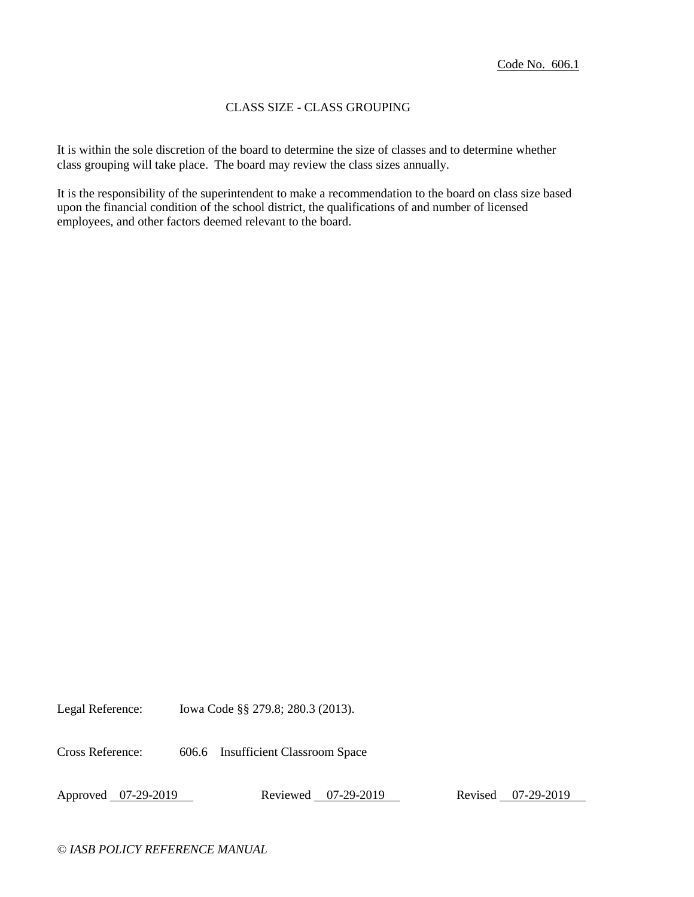## CLASS SIZE - CLASS GROUPING

It is within the sole discretion of the board to determine the size of classes and to determine whether class grouping will take place. The board may review the class sizes annually.

It is the responsibility of the superintendent to make a recommendation to the board on class size based upon the financial condition of the school district, the qualifications of and number of licensed employees, and other factors deemed relevant to the board.

Legal Reference: Iowa Code §§ 279.8; 280.3 (2013).

Cross Reference: 606.6 Insufficient Classroom Space

Approved 07-29-2019 Reviewed 07-29-2019 Revised 07-29-2019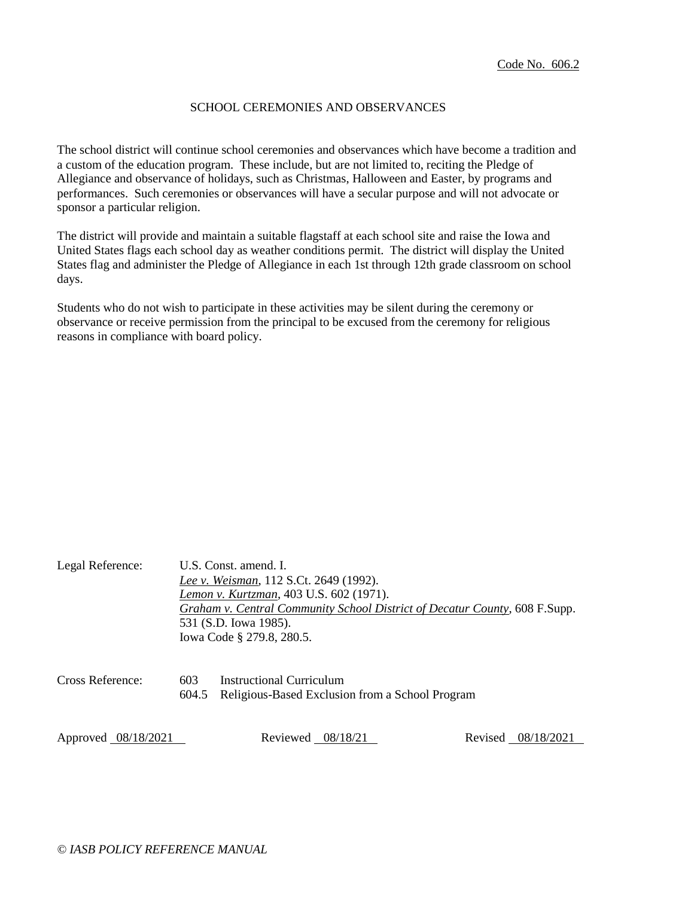## SCHOOL CEREMONIES AND OBSERVANCES

The school district will continue school ceremonies and observances which have become a tradition and a custom of the education program. These include, but are not limited to, reciting the Pledge of Allegiance and observance of holidays, such as Christmas, Halloween and Easter, by programs and performances. Such ceremonies or observances will have a secular purpose and will not advocate or sponsor a particular religion.

The district will provide and maintain a suitable flagstaff at each school site and raise the Iowa and United States flags each school day as weather conditions permit. The district will display the United States flag and administer the Pledge of Allegiance in each 1st through 12th grade classroom on school days.

Students who do not wish to participate in these activities may be silent during the ceremony or observance or receive permission from the principal to be excused from the ceremony for religious reasons in compliance with board policy.

| Legal Reference:    |              | U.S. Const. amend. I.<br>Lee v. Weisman, 112 S.Ct. 2649 (1992).<br>Lemon v. Kurtzman, 403 U.S. 602 (1971).<br>Graham v. Central Community School District of Decatur County, 608 F.Supp.<br>531 (S.D. Iowa 1985).<br>Iowa Code § 279.8, 280.5. |                       |  |
|---------------------|--------------|------------------------------------------------------------------------------------------------------------------------------------------------------------------------------------------------------------------------------------------------|-----------------------|--|
| Cross Reference:    | 603<br>604.5 | Instructional Curriculum<br>Religious-Based Exclusion from a School Program                                                                                                                                                                    |                       |  |
| Approved 08/18/2021 |              | Reviewed $08/18/21$                                                                                                                                                                                                                            | 08/18/2021<br>Revised |  |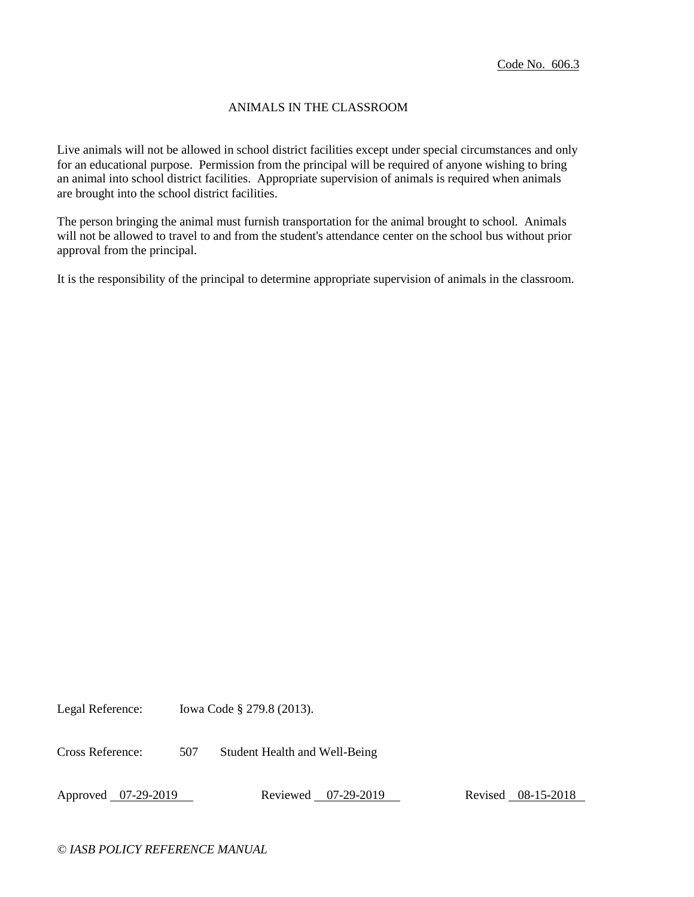## ANIMALS IN THE CLASSROOM

Live animals will not be allowed in school district facilities except under special circumstances and only for an educational purpose. Permission from the principal will be required of anyone wishing to bring an animal into school district facilities. Appropriate supervision of animals is required when animals are brought into the school district facilities.

The person bringing the animal must furnish transportation for the animal brought to school. Animals will not be allowed to travel to and from the student's attendance center on the school bus without prior approval from the principal.

It is the responsibility of the principal to determine appropriate supervision of animals in the classroom.

Legal Reference: Iowa Code § 279.8 (2013).

Cross Reference: 507 Student Health and Well-Being

Approved 07-29-2019 Reviewed 07-29-2019 Revised 08-15-2018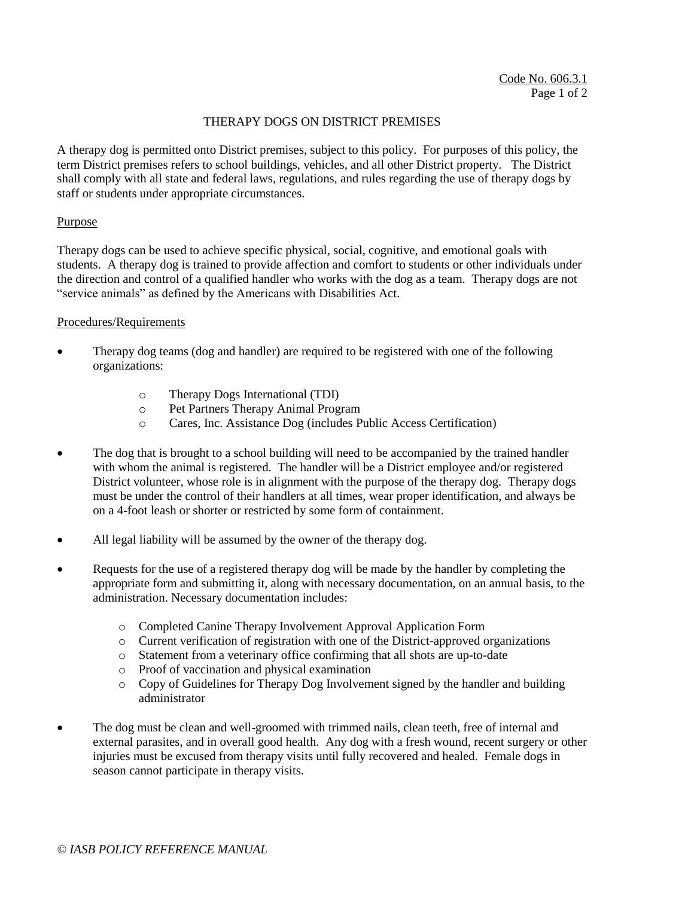### THERAPY DOGS ON DISTRICT PREMISES

A therapy dog is permitted onto District premises, subject to this policy. For purposes of this policy, the term District premises refers to school buildings, vehicles, and all other District property. The District shall comply with all state and federal laws, regulations, and rules regarding the use of therapy dogs by staff or students under appropriate circumstances.

#### Purpose

Therapy dogs can be used to achieve specific physical, social, cognitive, and emotional goals with students. A therapy dog is trained to provide affection and comfort to students or other individuals under the direction and control of a qualified handler who works with the dog as a team. Therapy dogs are not "service animals" as defined by the Americans with Disabilities Act.

#### Procedures/Requirements

- Therapy dog teams (dog and handler) are required to be registered with one of the following organizations:
	- o Therapy Dogs International (TDI)
	- o Pet Partners Therapy Animal Program
	- o Cares, Inc. Assistance Dog (includes Public Access Certification)
- The dog that is brought to a school building will need to be accompanied by the trained handler with whom the animal is registered. The handler will be a District employee and/or registered District volunteer, whose role is in alignment with the purpose of the therapy dog. Therapy dogs must be under the control of their handlers at all times, wear proper identification, and always be on a 4-foot leash or shorter or restricted by some form of containment.
- All legal liability will be assumed by the owner of the therapy dog.
- Requests for the use of a registered therapy dog will be made by the handler by completing the appropriate form and submitting it, along with necessary documentation, on an annual basis, to the administration. Necessary documentation includes:
	- o Completed Canine Therapy Involvement Approval Application Form
	- o Current verification of registration with one of the District-approved organizations
	- o Statement from a veterinary office confirming that all shots are up-to-date
	- o Proof of vaccination and physical examination
	- $\circ$  Copy of Guidelines for Therapy Dog Involvement signed by the handler and building administrator
- The dog must be clean and well-groomed with trimmed nails, clean teeth, free of internal and external parasites, and in overall good health. Any dog with a fresh wound, recent surgery or other injuries must be excused from therapy visits until fully recovered and healed. Female dogs in season cannot participate in therapy visits.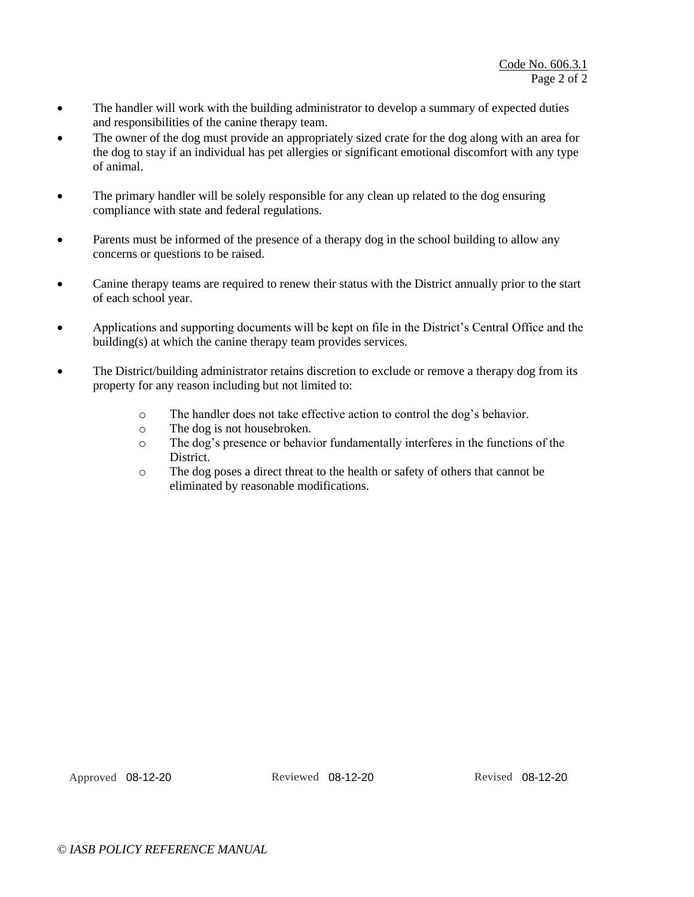- The handler will work with the building administrator to develop a summary of expected duties and responsibilities of the canine therapy team.
- The owner of the dog must provide an appropriately sized crate for the dog along with an area for the dog to stay if an individual has pet allergies or significant emotional discomfort with any type of animal.
- The primary handler will be solely responsible for any clean up related to the dog ensuring compliance with state and federal regulations.
- Parents must be informed of the presence of a therapy dog in the school building to allow any concerns or questions to be raised.
- Canine therapy teams are required to renew their status with the District annually prior to the start of each school year.
- Applications and supporting documents will be kept on file in the District's Central Office and the building(s) at which the canine therapy team provides services.
- The District/building administrator retains discretion to exclude or remove a therapy dog from its property for any reason including but not limited to:
	- o The handler does not take effective action to control the dog's behavior.
	- o The dog is not housebroken.
	- o The dog's presence or behavior fundamentally interferes in the functions of the **District**
	- o The dog poses a direct threat to the health or safety of others that cannot be eliminated by reasonable modifications.

Approved 08-12-20 Reviewed 08-12-20 Revised 08-12-20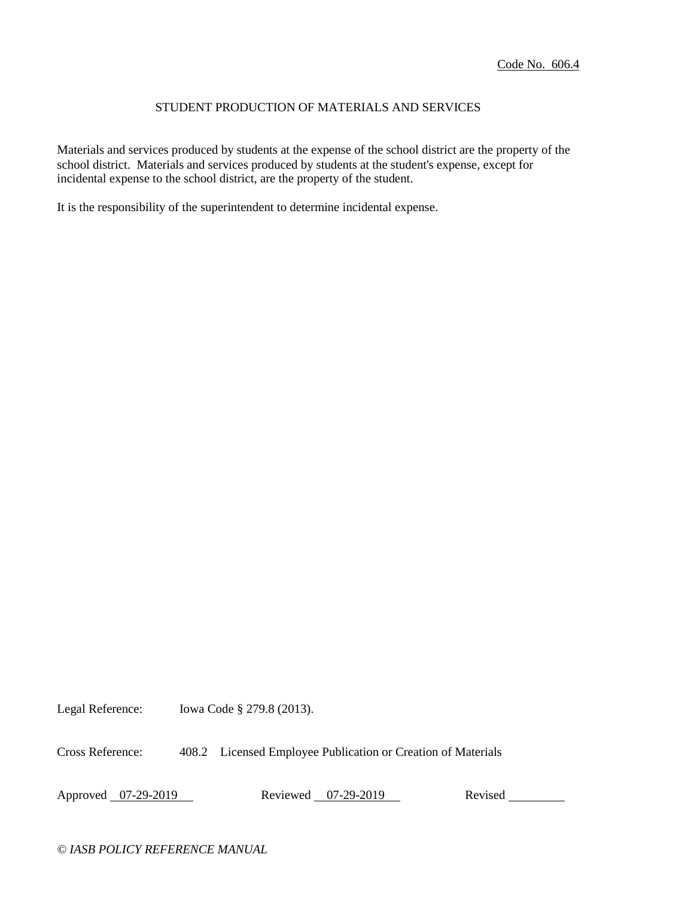## STUDENT PRODUCTION OF MATERIALS AND SERVICES

Materials and services produced by students at the expense of the school district are the property of the school district. Materials and services produced by students at the student's expense, except for incidental expense to the school district, are the property of the student.

It is the responsibility of the superintendent to determine incidental expense.

Legal Reference: Iowa Code § 279.8 (2013).

Cross Reference: 408.2 Licensed Employee Publication or Creation of Materials

Approved 07-29-2019 Reviewed 07-29-2019 Revised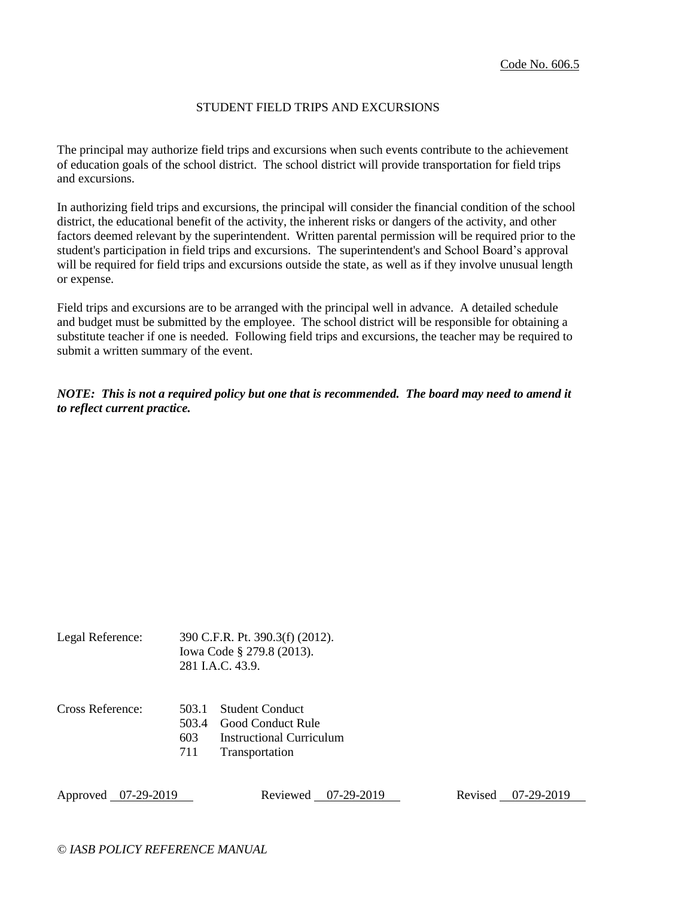#### STUDENT FIELD TRIPS AND EXCURSIONS

The principal may authorize field trips and excursions when such events contribute to the achievement of education goals of the school district. The school district will provide transportation for field trips and excursions.

In authorizing field trips and excursions, the principal will consider the financial condition of the school district, the educational benefit of the activity, the inherent risks or dangers of the activity, and other factors deemed relevant by the superintendent. Written parental permission will be required prior to the student's participation in field trips and excursions. The superintendent's and School Board's approval will be required for field trips and excursions outside the state, as well as if they involve unusual length or expense.

Field trips and excursions are to be arranged with the principal well in advance. A detailed schedule and budget must be submitted by the employee. The school district will be responsible for obtaining a substitute teacher if one is needed. Following field trips and excursions, the teacher may be required to submit a written summary of the event.

*NOTE: This is not a required policy but one that is recommended. The board may need to amend it to reflect current practice.*

| Legal Reference: | 390 C.F.R. Pt. 390.3(f) (2012). |  |
|------------------|---------------------------------|--|
|                  | Iowa Code § 279.8 (2013).       |  |
|                  | 281 I.A.C. 43.9.                |  |
|                  |                                 |  |
|                  |                                 |  |

| Cross Reference: |  | 503.1 Student Conduct |
|------------------|--|-----------------------|
|------------------|--|-----------------------|

- 503.4 Good Conduct Rule
- 603 Instructional Curriculum
- 711 Transportation

Approved 07-29-2019 Reviewed 07-29-2019 Revised 07-29-2019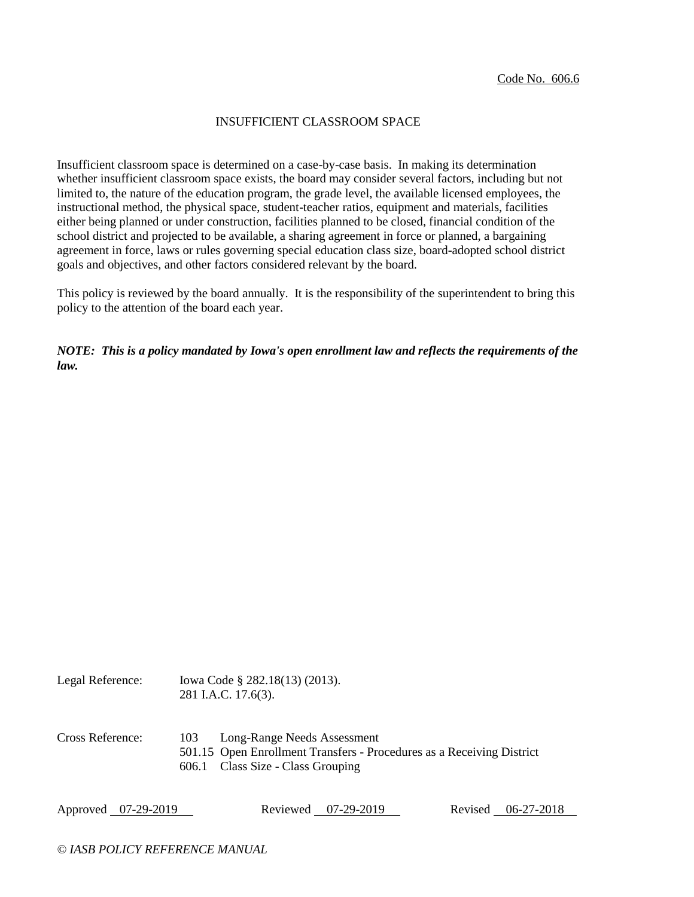# INSUFFICIENT CLASSROOM SPACE

Insufficient classroom space is determined on a case-by-case basis. In making its determination whether insufficient classroom space exists, the board may consider several factors, including but not limited to, the nature of the education program, the grade level, the available licensed employees, the instructional method, the physical space, student-teacher ratios, equipment and materials, facilities either being planned or under construction, facilities planned to be closed, financial condition of the school district and projected to be available, a sharing agreement in force or planned, a bargaining agreement in force, laws or rules governing special education class size, board-adopted school district goals and objectives, and other factors considered relevant by the board.

This policy is reviewed by the board annually. It is the responsibility of the superintendent to bring this policy to the attention of the board each year.

*NOTE: This is a policy mandated by Iowa's open enrollment law and reflects the requirements of the law.*

| Legal Reference: | Iowa Code § 282.18(13) (2013).<br>281 I.A.C. 17.6(3).                                                                                               |
|------------------|-----------------------------------------------------------------------------------------------------------------------------------------------------|
| Cross Reference: | Long-Range Needs Assessment<br>103<br>501.15 Open Enrollment Transfers - Procedures as a Receiving District<br>Class Size - Class Grouping<br>606.1 |

Approved 07-29-2019 Reviewed 07-29-2019 Revised 06-27-2018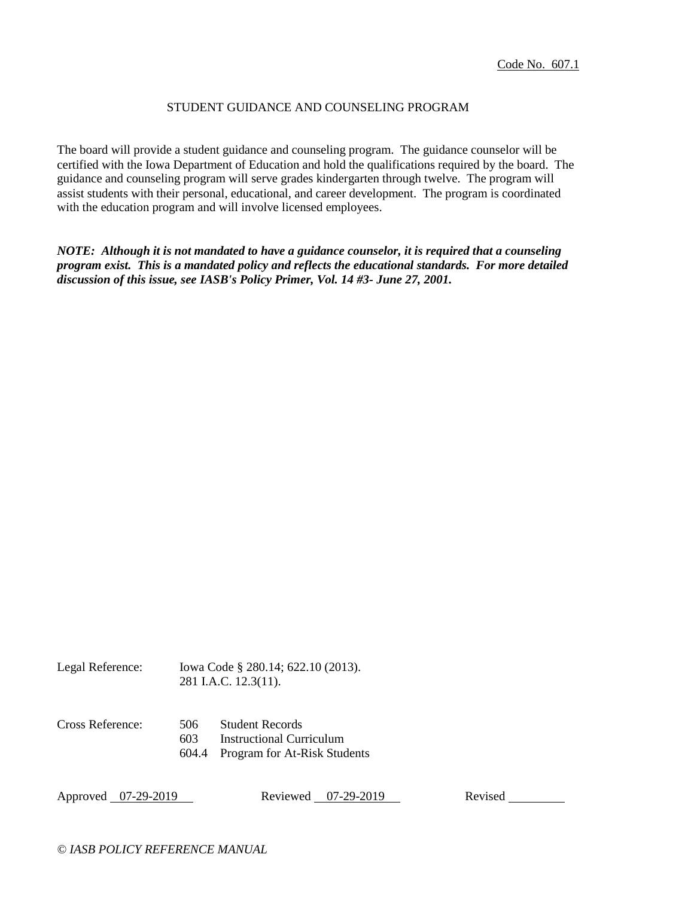### STUDENT GUIDANCE AND COUNSELING PROGRAM

The board will provide a student guidance and counseling program. The guidance counselor will be certified with the Iowa Department of Education and hold the qualifications required by the board. The guidance and counseling program will serve grades kindergarten through twelve. The program will assist students with their personal, educational, and career development. The program is coordinated with the education program and will involve licensed employees.

*NOTE: Although it is not mandated to have a guidance counselor, it is required that a counseling program exist. This is a mandated policy and reflects the educational standards. For more detailed discussion of this issue, see IASB's Policy Primer, Vol. 14 #3- June 27, 2001.*

Legal Reference: Iowa Code § 280.14; 622.10 (2013). 281 I.A.C. 12.3(11). Cross Reference: 506 Student Records 603 Instructional Curriculum 604.4 Program for At-Risk Students

Approved 07-29-2019 Reviewed 07-29-2019 Revised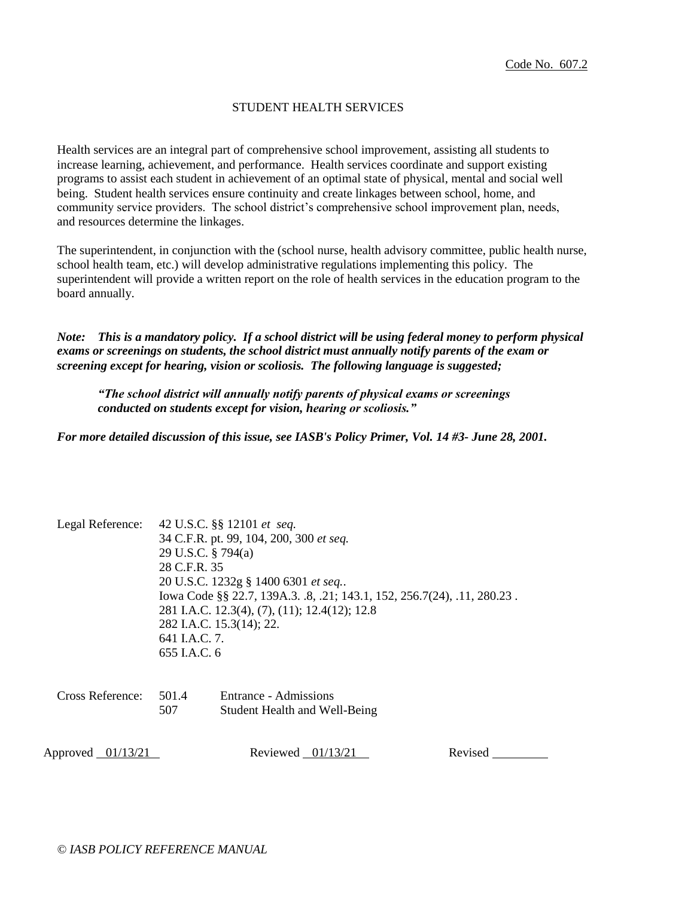### STUDENT HEALTH SERVICES

Health services are an integral part of comprehensive school improvement, assisting all students to increase learning, achievement, and performance. Health services coordinate and support existing programs to assist each student in achievement of an optimal state of physical, mental and social well being. Student health services ensure continuity and create linkages between school, home, and community service providers. The school district's comprehensive school improvement plan, needs, and resources determine the linkages.

The superintendent, in conjunction with the (school nurse, health advisory committee, public health nurse, school health team, etc.) will develop administrative regulations implementing this policy. The superintendent will provide a written report on the role of health services in the education program to the board annually.

*Note: This is a mandatory policy. If a school district will be using federal money to perform physical exams or screenings on students, the school district must annually notify parents of the exam or screening except for hearing, vision or scoliosis. The following language is suggested;*

*"The school district will annually notify parents of physical exams or screenings conducted on students except for vision, hearing or scoliosis."*

*For more detailed discussion of this issue, see IASB's Policy Primer, Vol. 14 #3- June 28, 2001.*

| Legal Reference: | 42 U.S.C. §§ 12101 et seq.<br>34 C.F.R. pt. 99, 104, 200, 300 et seq.<br>29 U.S.C. § 794(a)<br>28 C.F.R. 35<br>20 U.S.C. 1232g § 1400 6301 et seq<br>Iowa Code §§ 22.7, 139A.3. .8, .21; 143.1, 152, 256.7(24), .11, 280.23.<br>281 I.A.C. 12.3(4), (7), (11); 12.4(12); 12.8<br>282 I.A.C. 15.3(14); 22.<br>641 I.A.C. 7.<br>655 I.A.C. 6 |
|------------------|--------------------------------------------------------------------------------------------------------------------------------------------------------------------------------------------------------------------------------------------------------------------------------------------------------------------------------------------|
|                  |                                                                                                                                                                                                                                                                                                                                            |

| Cross Reference: | 501.4 | Entrance - Admissions         |
|------------------|-------|-------------------------------|
|                  | 507   | Student Health and Well-Being |

Approved 01/13/21 Reviewed 01/13/21 Revised Revised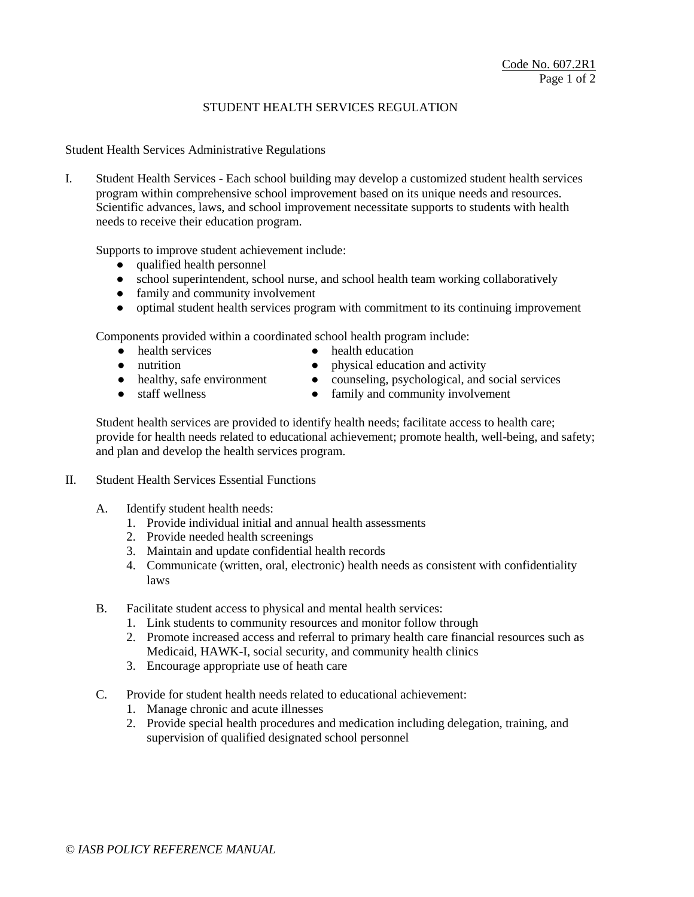## STUDENT HEALTH SERVICES REGULATION

Student Health Services Administrative Regulations

I. Student Health Services - Each school building may develop a customized student health services program within comprehensive school improvement based on its unique needs and resources. Scientific advances, laws, and school improvement necessitate supports to students with health needs to receive their education program.

Supports to improve student achievement include:

- qualified health personnel
- school superintendent, school nurse, and school health team working collaboratively
- family and community involvement
- optimal student health services program with commitment to its continuing improvement

Components provided within a coordinated school health program include:

- health services health education
- 
- 
- nutrition physical education and activity
- healthy, safe environment counseling, psychological, and social services
- staff wellness family and community involvement

Student health services are provided to identify health needs; facilitate access to health care; provide for health needs related to educational achievement; promote health, well-being, and safety; and plan and develop the health services program.

- II. Student Health Services Essential Functions
	- A. Identify student health needs:
		- 1. Provide individual initial and annual health assessments
		- 2. Provide needed health screenings
		- 3. Maintain and update confidential health records
		- 4. Communicate (written, oral, electronic) health needs as consistent with confidentiality laws
	- B. Facilitate student access to physical and mental health services:
		- 1. Link students to community resources and monitor follow through
		- 2. Promote increased access and referral to primary health care financial resources such as Medicaid, HAWK-I, social security, and community health clinics
		- 3. Encourage appropriate use of heath care
	- C. Provide for student health needs related to educational achievement:
		- 1. Manage chronic and acute illnesses
		- 2. Provide special health procedures and medication including delegation, training, and supervision of qualified designated school personnel